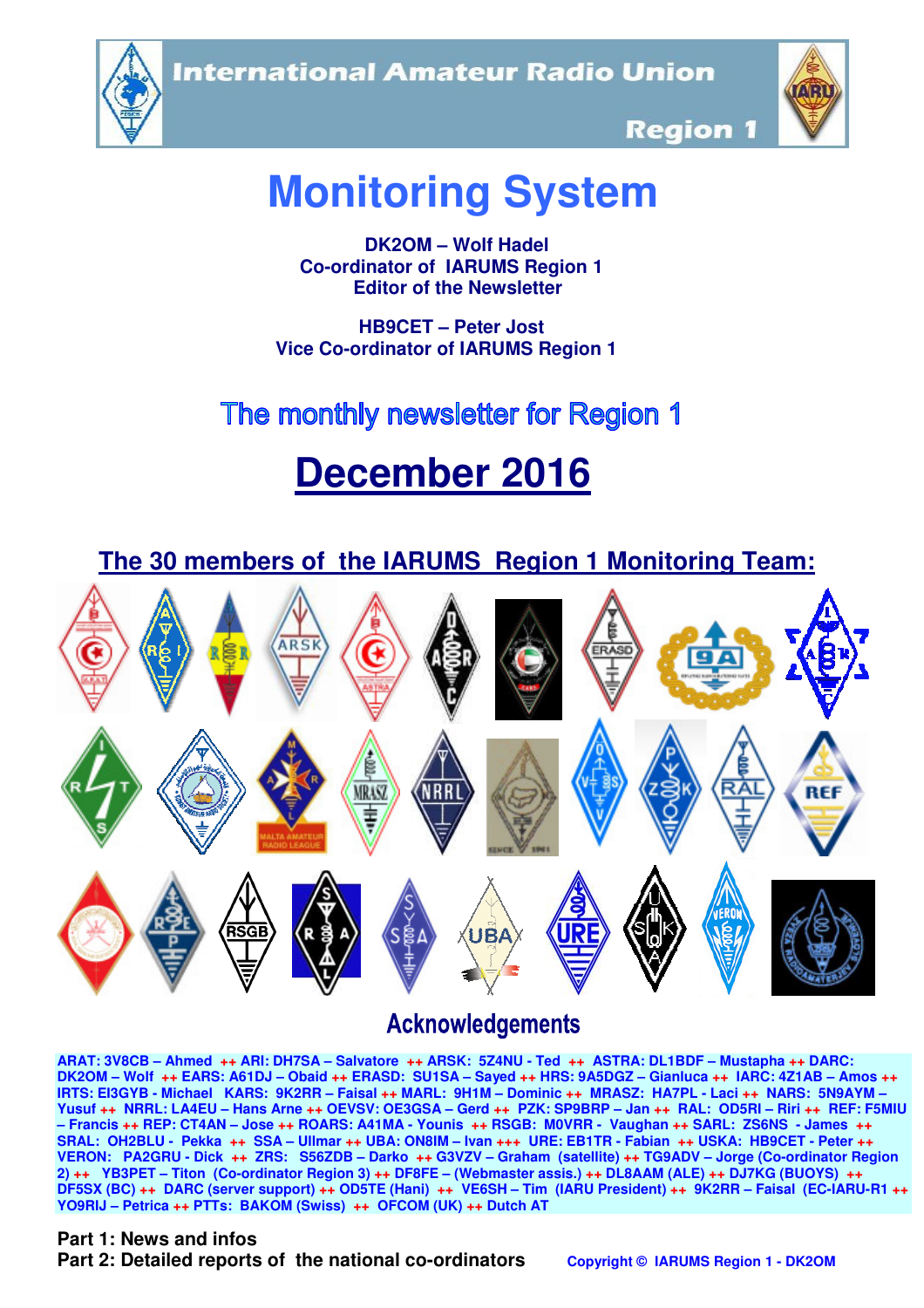**International Amateur Radio Union** 





**Region 1** 

## **Monitoring System**

 **DK2OM – Wolf Hadel Co-ordinator of IARUMS Region 1 Editor of the Newsletter** 

 **HB9CET – Peter Jost Vice Co-ordinator of IARUMS Region 1** 

# The monthly newsletter for Region 1

# **December 2016**



## **Acknowledgements**

**ARAT: 3V8CB – Ahmed ++ ARI: DH7SA – Salvatore ++ ARSK: 5Z4NU - Ted ++ ASTRA: DL1BDF – Mustapha ++ DARC: DK2OM – Wolf ++ EARS: A61DJ – Obaid ++ ERASD: SU1SA – Sayed ++ HRS: 9A5DGZ – Gianluca ++ IARC: 4Z1AB – Amos ++ IRTS: EI3GYB - Michael KARS: 9K2RR – Faisal ++ MARL: 9H1M – Dominic ++ MRASZ: HA7PL - Laci ++ NARS: 5N9AYM – Yusuf ++ NRRL: LA4EU – Hans Arne ++ OEVSV: OE3GSA – Gerd ++ PZK: SP9BRP – Jan ++ RAL: OD5RI – Riri ++ REF: F5MIU – Francis ++ REP: CT4AN – Jose ++ ROARS: A41MA - Younis ++ RSGB: M0VRR - Vaughan ++ SARL: ZS6NS - James ++ SRAL: OH2BLU - Pekka ++ SSA – Ullmar ++ UBA: ON8IM – Ivan +++ URE: EB1TR - Fabian ++ USKA: HB9CET - Peter ++ VERON: PA2GRU - Dick ++ ZRS: S56ZDB – Darko ++ G3VZV – Graham (satellite) ++ TG9ADV – Jorge (Co-ordinator Region 2) ++ YB3PET – Titon (Co-ordinator Region 3) ++ DF8FE – (Webmaster assis.) ++ DL8AAM (ALE) ++ DJ7KG (BUOYS) ++ DF5SX (BC) ++ DARC (server support) ++ OD5TE (Hani) ++ VE6SH – Tim (IARU President) ++ 9K2RR – Faisal (EC-IARU-R1 ++ YO9RIJ – Petrica ++ PTTs: BAKOM (Swiss) ++ OFCOM (UK) ++ Dutch AT**

## **Part 1: News and infos**

**Part 2: Detailed reports of the national co-ordinators copyright © IARUMS Region 1 - DK2OM**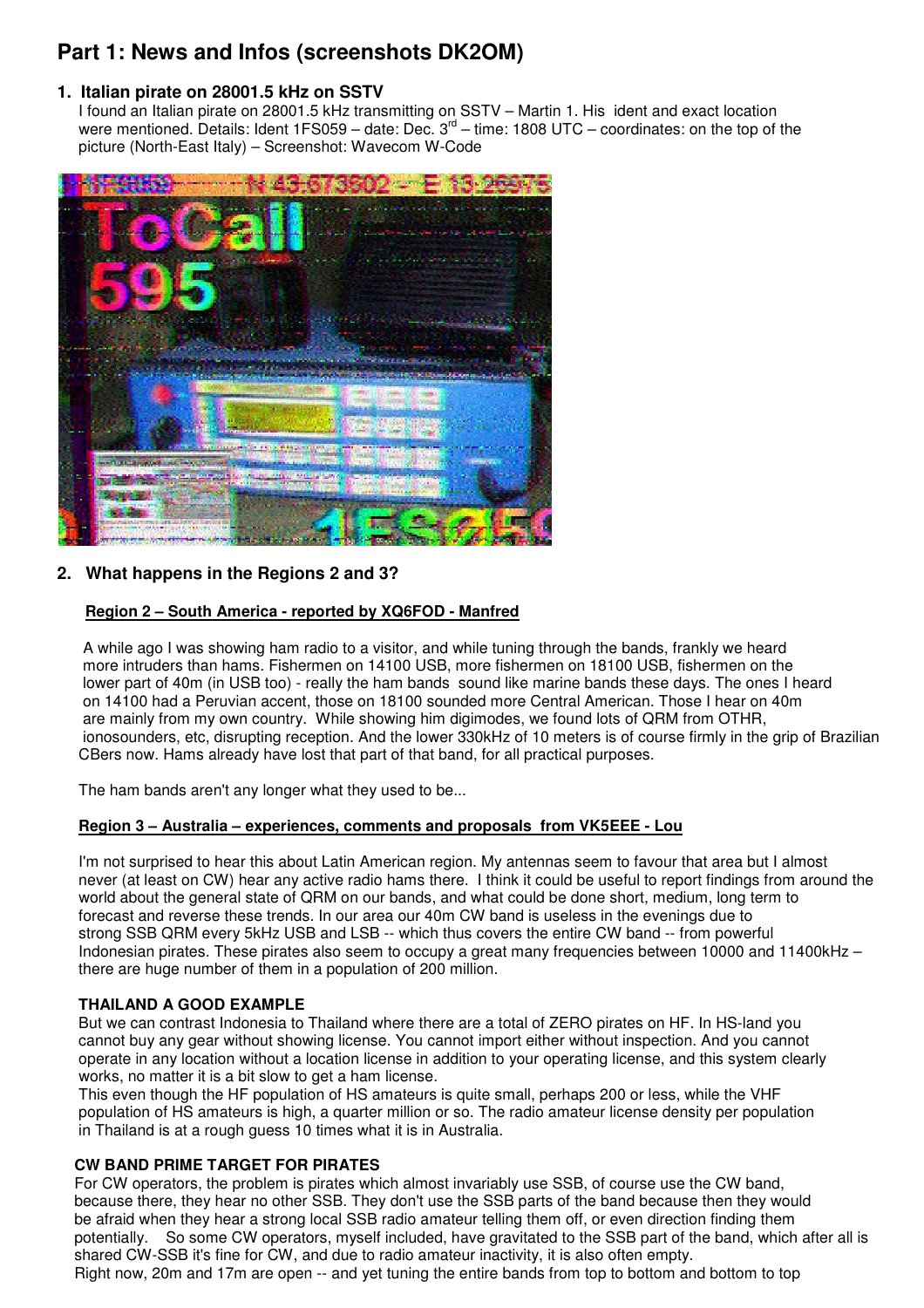## **Part 1: News and Infos (screenshots DK2OM)**

## **1. Italian pirate on 28001.5 kHz on SSTV**

 I found an Italian pirate on 28001.5 kHz transmitting on SSTV – Martin 1. His ident and exact location were mentioned. Details: Ident 1FS059 – date: Dec.  $3<sup>rd</sup>$  – time: 1808 UTC – coordinates: on the top of the picture (North-East Italy) – Screenshot: Wavecom W-Code



## **2. What happens in the Regions 2 and 3?**

#### **Region 2 – South America - reported by XQ6FOD - Manfred**

 A while ago I was showing ham radio to a visitor, and while tuning through the bands, frankly we heard more intruders than hams. Fishermen on 14100 USB, more fishermen on 18100 USB, fishermen on the lower part of 40m (in USB too) - really the ham bands sound like marine bands these days. The ones I heard on 14100 had a Peruvian accent, those on 18100 sounded more Central American. Those I hear on 40m are mainly from my own country. While showing him digimodes, we found lots of QRM from OTHR, ionosounders, etc, disrupting reception. And the lower 330kHz of 10 meters is of course firmly in the grip of Brazilian CBers now. Hams already have lost that part of that band, for all practical purposes.

The ham bands aren't any longer what they used to be...

#### **Region 3 – Australia – experiences, comments and proposals from VK5EEE - Lou**

 I'm not surprised to hear this about Latin American region. My antennas seem to favour that area but I almost never (at least on CW) hear any active radio hams there. I think it could be useful to report findings from around the world about the general state of QRM on our bands, and what could be done short, medium, long term to forecast and reverse these trends. In our area our 40m CW band is useless in the evenings due to strong SSB QRM every 5kHz USB and LSB -- which thus covers the entire CW band -- from powerful Indonesian pirates. These pirates also seem to occupy a great many frequencies between 10000 and 11400kHz – there are huge number of them in a population of 200 million.

## **THAILAND A GOOD EXAMPLE**

 But we can contrast Indonesia to Thailand where there are a total of ZERO pirates on HF. In HS-land you cannot buy any gear without showing license. You cannot import either without inspection. And you cannot operate in any location without a location license in addition to your operating license, and this system clearly works, no matter it is a bit slow to get a ham license.

 This even though the HF population of HS amateurs is quite small, perhaps 200 or less, while the VHF population of HS amateurs is high, a quarter million or so. The radio amateur license density per population in Thailand is at a rough guess 10 times what it is in Australia.

#### **CW BAND PRIME TARGET FOR PIRATES**

 For CW operators, the problem is pirates which almost invariably use SSB, of course use the CW band, because there, they hear no other SSB. They don't use the SSB parts of the band because then they would be afraid when they hear a strong local SSB radio amateur telling them off, or even direction finding them potentially. So some CW operators, myself included, have gravitated to the SSB part of the band, which after all is shared CW-SSB it's fine for CW, and due to radio amateur inactivity, it is also often empty. Right now, 20m and 17m are open -- and yet tuning the entire bands from top to bottom and bottom to top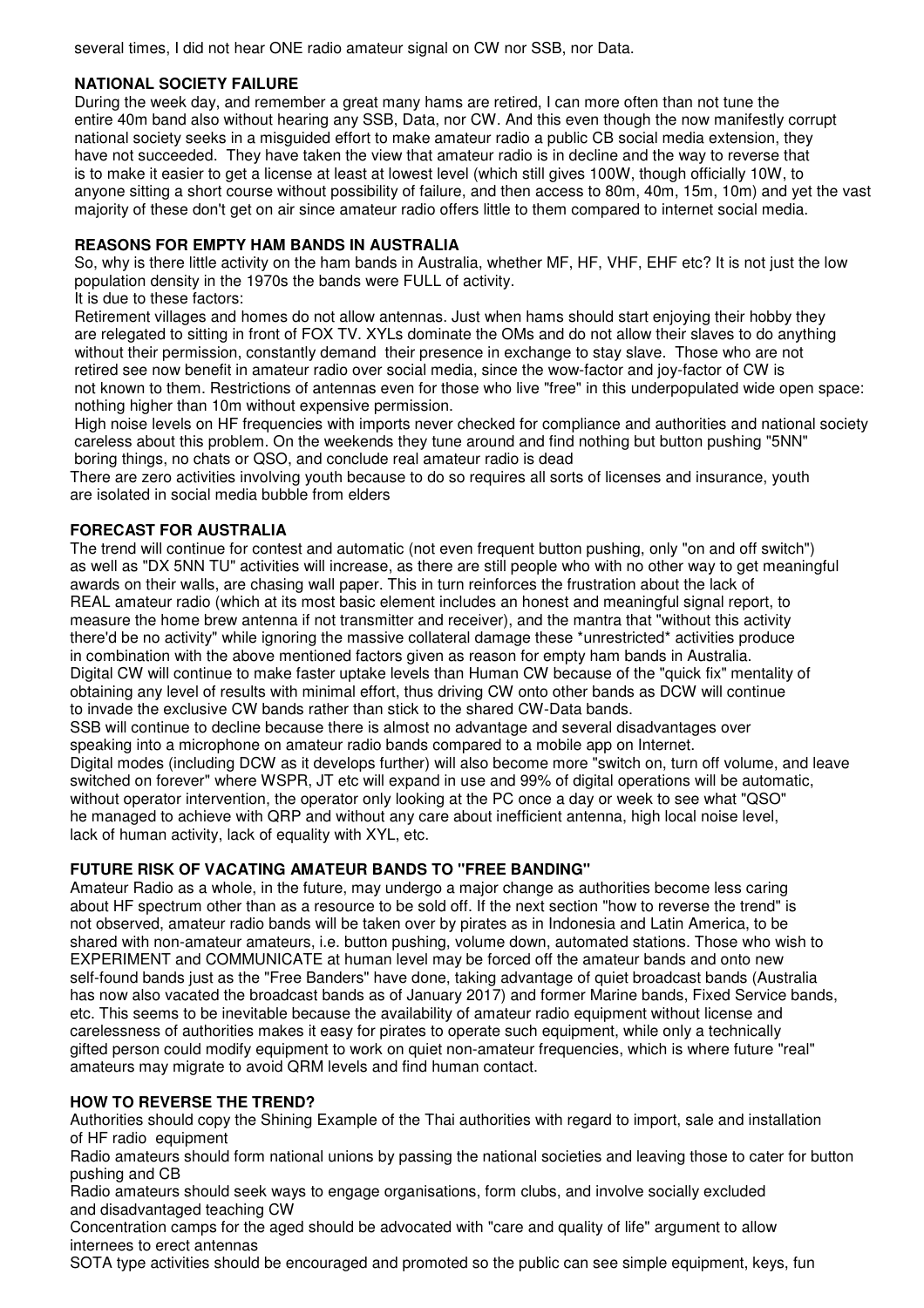several times, I did not hear ONE radio amateur signal on CW nor SSB, nor Data.

#### **NATIONAL SOCIETY FAILURE**

 During the week day, and remember a great many hams are retired, I can more often than not tune the entire 40m band also without hearing any SSB, Data, nor CW. And this even though the now manifestly corrupt national society seeks in a misguided effort to make amateur radio a public CB social media extension, they have not succeeded. They have taken the view that amateur radio is in decline and the way to reverse that is to make it easier to get a license at least at lowest level (which still gives 100W, though officially 10W, to anyone sitting a short course without possibility of failure, and then access to 80m, 40m, 15m, 10m) and yet the vast majority of these don't get on air since amateur radio offers little to them compared to internet social media.

#### **REASONS FOR EMPTY HAM BANDS IN AUSTRALIA**

 So, why is there little activity on the ham bands in Australia, whether MF, HF, VHF, EHF etc? It is not just the low population density in the 1970s the bands were FULL of activity. It is due to these factors:

 Retirement villages and homes do not allow antennas. Just when hams should start enjoying their hobby they are relegated to sitting in front of FOX TV. XYLs dominate the OMs and do not allow their slaves to do anything without their permission, constantly demand their presence in exchange to stay slave. Those who are not retired see now benefit in amateur radio over social media, since the wow-factor and joy-factor of CW is not known to them. Restrictions of antennas even for those who live "free" in this underpopulated wide open space: nothing higher than 10m without expensive permission.

 High noise levels on HF frequencies with imports never checked for compliance and authorities and national society careless about this problem. On the weekends they tune around and find nothing but button pushing "5NN" boring things, no chats or QSO, and conclude real amateur radio is dead

 There are zero activities involving youth because to do so requires all sorts of licenses and insurance, youth are isolated in social media bubble from elders

#### **FORECAST FOR AUSTRALIA**

 The trend will continue for contest and automatic (not even frequent button pushing, only "on and off switch") as well as "DX 5NN TU" activities will increase, as there are still people who with no other way to get meaningful awards on their walls, are chasing wall paper. This in turn reinforces the frustration about the lack of REAL amateur radio (which at its most basic element includes an honest and meaningful signal report, to measure the home brew antenna if not transmitter and receiver), and the mantra that "without this activity there'd be no activity" while ignoring the massive collateral damage these \*unrestricted\* activities produce in combination with the above mentioned factors given as reason for empty ham bands in Australia. Digital CW will continue to make faster uptake levels than Human CW because of the "quick fix" mentality of obtaining any level of results with minimal effort, thus driving CW onto other bands as DCW will continue to invade the exclusive CW bands rather than stick to the shared CW-Data bands.

 SSB will continue to decline because there is almost no advantage and several disadvantages over speaking into a microphone on amateur radio bands compared to a mobile app on Internet. Digital modes (including DCW as it develops further) will also become more "switch on, turn off volume, and leave switched on forever" where WSPR, JT etc will expand in use and 99% of digital operations will be automatic, without operator intervention, the operator only looking at the PC once a day or week to see what "QSO" he managed to achieve with QRP and without any care about inefficient antenna, high local noise level, lack of human activity, lack of equality with XYL, etc.

#### **FUTURE RISK OF VACATING AMATEUR BANDS TO "FREE BANDING"**

 Amateur Radio as a whole, in the future, may undergo a major change as authorities become less caring about HF spectrum other than as a resource to be sold off. If the next section "how to reverse the trend" is not observed, amateur radio bands will be taken over by pirates as in Indonesia and Latin America, to be shared with non-amateur amateurs, i.e. button pushing, volume down, automated stations. Those who wish to EXPERIMENT and COMMUNICATE at human level may be forced off the amateur bands and onto new self-found bands just as the "Free Banders" have done, taking advantage of quiet broadcast bands (Australia has now also vacated the broadcast bands as of January 2017) and former Marine bands, Fixed Service bands, etc. This seems to be inevitable because the availability of amateur radio equipment without license and carelessness of authorities makes it easy for pirates to operate such equipment, while only a technically gifted person could modify equipment to work on quiet non-amateur frequencies, which is where future "real" amateurs may migrate to avoid QRM levels and find human contact.

#### **HOW TO REVERSE THE TREND?**

 Authorities should copy the Shining Example of the Thai authorities with regard to import, sale and installation of HF radio equipment

 Radio amateurs should form national unions by passing the national societies and leaving those to cater for button pushing and CB

 Radio amateurs should seek ways to engage organisations, form clubs, and involve socially excluded and disadvantaged teaching CW

 Concentration camps for the aged should be advocated with "care and quality of life" argument to allow internees to erect antennas

SOTA type activities should be encouraged and promoted so the public can see simple equipment, keys, fun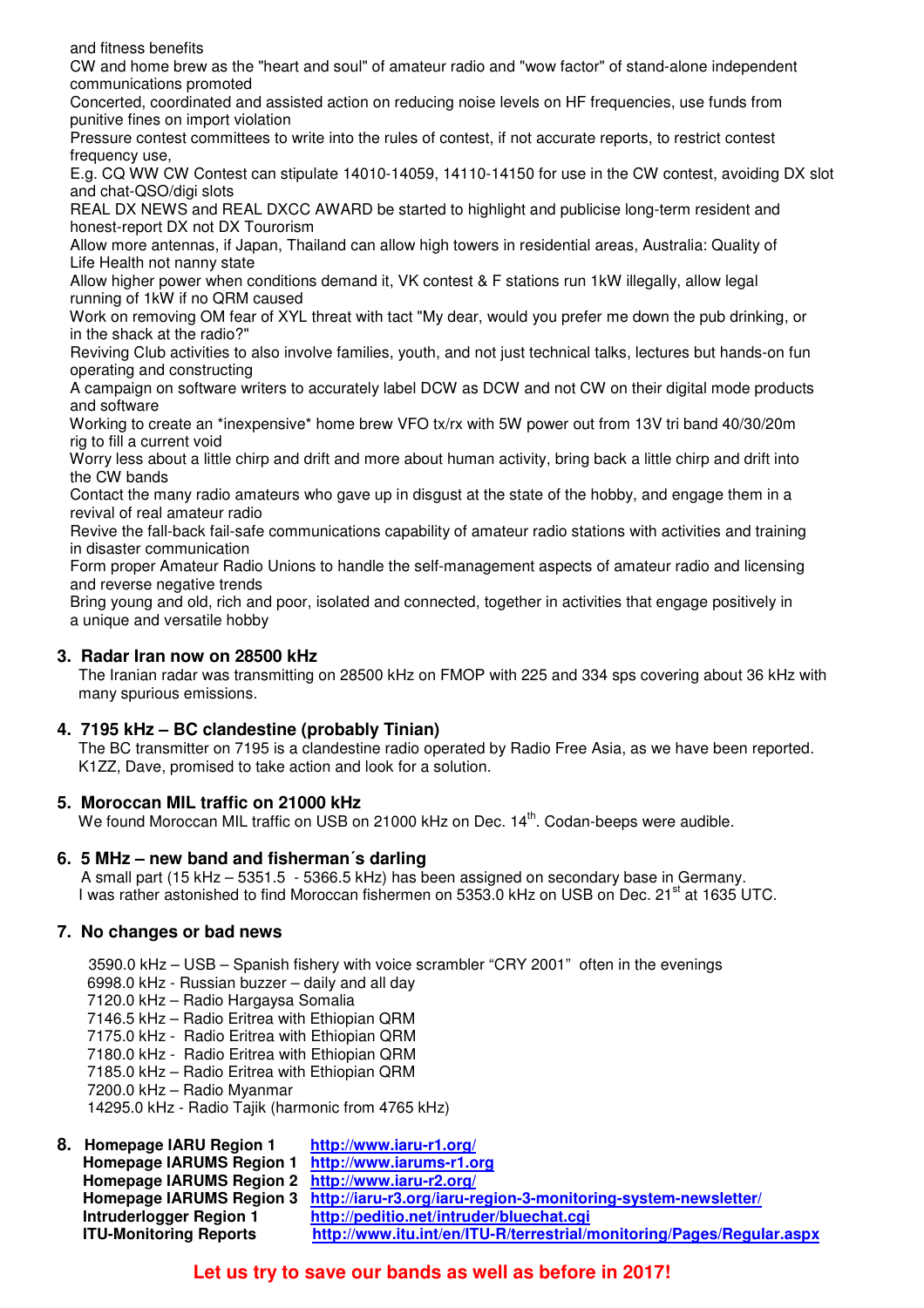and fitness benefits

 CW and home brew as the "heart and soul" of amateur radio and "wow factor" of stand-alone independent communications promoted

 Concerted, coordinated and assisted action on reducing noise levels on HF frequencies, use funds from punitive fines on import violation

 Pressure contest committees to write into the rules of contest, if not accurate reports, to restrict contest frequency use,

 E.g. CQ WW CW Contest can stipulate 14010-14059, 14110-14150 for use in the CW contest, avoiding DX slot and chat-QSO/digi slots

 REAL DX NEWS and REAL DXCC AWARD be started to highlight and publicise long-term resident and honest-report DX not DX Tourorism

 Allow more antennas, if Japan, Thailand can allow high towers in residential areas, Australia: Quality of Life Health not nanny state

 Allow higher power when conditions demand it, VK contest & F stations run 1kW illegally, allow legal running of 1kW if no QRM caused

 Work on removing OM fear of XYL threat with tact "My dear, would you prefer me down the pub drinking, or in the shack at the radio?"

 Reviving Club activities to also involve families, youth, and not just technical talks, lectures but hands-on fun operating and constructing

 A campaign on software writers to accurately label DCW as DCW and not CW on their digital mode products and software

 Working to create an \*inexpensive\* home brew VFO tx/rx with 5W power out from 13V tri band 40/30/20m rig to fill a current void

 Worry less about a little chirp and drift and more about human activity, bring back a little chirp and drift into the CW bands

 Contact the many radio amateurs who gave up in disgust at the state of the hobby, and engage them in a revival of real amateur radio

 Revive the fall-back fail-safe communications capability of amateur radio stations with activities and training in disaster communication

 Form proper Amateur Radio Unions to handle the self-management aspects of amateur radio and licensing and reverse negative trends

 Bring young and old, rich and poor, isolated and connected, together in activities that engage positively in a unique and versatile hobby

#### **3. Radar Iran now on 28500 kHz**

 The Iranian radar was transmitting on 28500 kHz on FMOP with 225 and 334 sps covering about 36 kHz with many spurious emissions.

## **4. 7195 kHz – BC clandestine (probably Tinian)**

 The BC transmitter on 7195 is a clandestine radio operated by Radio Free Asia, as we have been reported. K1ZZ, Dave, promised to take action and look for a solution.

#### **5. Moroccan MIL traffic on 21000 kHz**

We found Moroccan MIL traffic on USB on 21000 kHz on Dec. 14<sup>th</sup>. Codan-beeps were audible.

#### **6. 5 MHz – new band and fisherman´s darling**

 A small part (15 kHz – 5351.5 - 5366.5 kHz) has been assigned on secondary base in Germany. I was rather astonished to find Moroccan fishermen on 5353.0 kHz on USB on Dec. 21<sup>st</sup> at 1635 UTC.

## **7. No changes or bad news**

3590.0 kHz – USB – Spanish fishery with voice scrambler "CRY 2001" often in the evenings 6998.0 kHz - Russian buzzer – daily and all day 7120.0 kHz – Radio Hargaysa Somalia 7146.5 kHz – Radio Eritrea with Ethiopian QRM 7175.0 kHz - Radio Eritrea with Ethiopian QRM 7180.0 kHz - Radio Eritrea with Ethiopian QRM

7185.0 kHz – Radio Eritrea with Ethiopian QRM

7200.0 kHz – Radio Myanmar

14295.0 kHz - Radio Tajik (harmonic from 4765 kHz)

| 8. Homepage IARU Region 1                         | http://www.iaru-r1.org/                                                                 |
|---------------------------------------------------|-----------------------------------------------------------------------------------------|
| Homepage IARUMS Region 1 http://www.iarums-r1.org |                                                                                         |
| Homepage IARUMS Region 2 http://www.iaru-r2.org/  |                                                                                         |
|                                                   | Homepage IARUMS Region 3 http://iaru-r3.org/iaru-region-3-monitoring-system-newsletter/ |
| <b>Intruderlogger Region 1</b>                    | http://peditio.net/intruder/bluechat.cgi                                                |
| <b>ITU-Monitoring Reports</b>                     | http://www.itu.int/en/ITU-R/terrestrial/monitoring/Pages/Regular.aspx                   |
|                                                   |                                                                                         |

## **Let us try to save our bands as well as before in 2017!**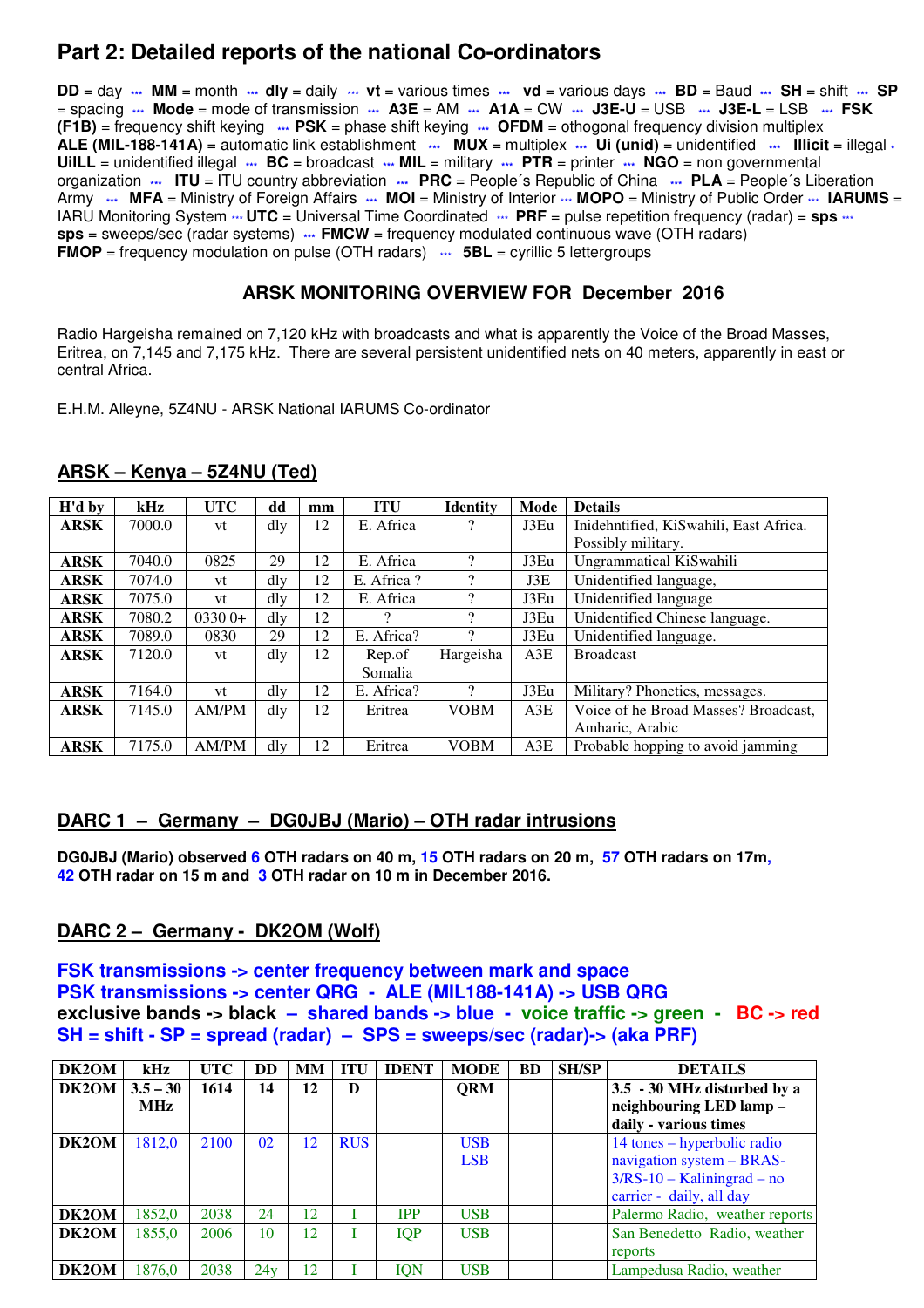## **Part 2: Detailed reports of the national Co-ordinators**

**DD** = day **\*\*\* MM** = month **\*\*\* dly** = daily \*\*\* **vt** = various times **\*\*\* vd** = various days **\*\*\* BD** = Baud **\*\*\* SH** = shift **\*\*\* SP** = spacing **\*\*\* Mode** = mode of transmission **\*\*\* A3E** = AM **\*\*\* A1A** = CW **\*\*\* J3E-U** = USB **\*\*\* J3E-L** = LSB **\*\*\* FSK (F1B)** = frequency shift keying **\*\*\* PSK** = phase shift keying **\*\*\* OFDM** = othogonal frequency division multiplex **ALE (MIL-188-141A)** = automatic link establishment **\*\*\* MUX** = multiplex **\*\*\* Ui (unid)** = unidentified **\*\*\* Illicit** = illegal **\* UiILL** = unidentified illegal **\*\*\* BC** = broadcast **\*\*\* MIL** = military **\*\*\* PTR** = printer **\*\*\* NGO** = non governmental organization **\*\*\*** ITU = ITU country abbreviation **\*\*\*** PRC = People's Republic of China **\*\*\*** PLA = People's Liberation Army **\*\*\*** MFA = Ministry of Foreign Affairs \*\*\* MOI = Ministry of Interior \*\*\* MOPO = Ministry of Public Order \*\*\* IARUMS = IARU Monitoring System  $\cdots$  **UTC** = Universal Time Coordinated  $\cdots$  PRF = pulse repetition frequency (radar) = **sps**  $\cdots$ **sps** = sweeps/sec (radar systems) **\*\*\* FMCW** = frequency modulated continuous wave (OTH radars) **FMOP** = frequency modulation on pulse (OTH radars)  $\cdots$  **5BL** = cyrillic 5 lettergroups

## **ARSK MONITORING OVERVIEW FOR December 2016**

Radio Hargeisha remained on 7,120 kHz with broadcasts and what is apparently the Voice of the Broad Masses, Eritrea, on 7,145 and 7,175 kHz. There are several persistent unidentified nets on 40 meters, apparently in east or central Africa.

E.H.M. Alleyne, 5Z4NU - ARSK National IARUMS Co-ordinator

| $H'd$ by    | kHz    | <b>UTC</b>   | dd              | mm | <b>ITU</b> | <b>Identity</b>          | Mode | <b>Details</b>                         |
|-------------|--------|--------------|-----------------|----|------------|--------------------------|------|----------------------------------------|
| <b>ARSK</b> | 7000.0 | vt           | dly             | 12 | E. Africa  | $\overline{\mathcal{L}}$ | J3Eu | Inidehntified, KiSwahili, East Africa. |
|             |        |              |                 |    |            |                          |      | Possibly military.                     |
| <b>ARSK</b> | 7040.0 | 0825         | 29              | 12 | E. Africa  | $\mathcal{D}$            | J3Eu | Ungrammatical KiSwahili                |
| ARSK        | 7074.0 | vt           | dly             | 12 | E. Africa? | $\mathcal{P}$            | J3E  | Unidentified language,                 |
| ARSK        | 7075.0 | vt           | dly             | 12 | E. Africa  | 9                        | J3Eu | Unidentified language                  |
| ARSK        | 7080.2 | $03300+$     | dly             | 12 | റ          | $\Omega$                 | J3Eu | Unidentified Chinese language.         |
| <b>ARSK</b> | 7089.0 | 0830         | 29              | 12 | E. Africa? | 9                        | J3Eu | Unidentified language.                 |
| <b>ARSK</b> | 7120.0 | vt           | $\mathrm{d}$ ly | 12 | Rep.of     | Hargeisha                | A3E  | <b>Broadcast</b>                       |
|             |        |              |                 |    | Somalia    |                          |      |                                        |
| ARSK        | 7164.0 | vt           | dly             | 12 | E. Africa? | 9                        | J3Eu | Military? Phonetics, messages.         |
| ARSK        | 7145.0 | <b>AM/PM</b> | $\mathrm{d}$ ly | 12 | Eritrea    | <b>VOBM</b>              | A3E  | Voice of he Broad Masses? Broadcast.   |
|             |        |              |                 |    |            |                          |      | Amharic, Arabic                        |
| ARSK        | 7175.0 | <b>AM/PM</b> | dly             | 12 | Eritrea    | <b>VOBM</b>              | A3E  | Probable hopping to avoid jamming      |

## **ARSK – Kenya – 5Z4NU (Ted)**

## **DARC 1 – Germany – DG0JBJ (Mario) – OTH radar intrusions**

**DG0JBJ (Mario) observed 6 OTH radars on 40 m, 15 OTH radars on 20 m, 57 OTH radars on 17m, 42 OTH radar on 15 m and 3 OTH radar on 10 m in December 2016.** 

## **DARC 2 – Germany - DK2OM (Wolf)**

**FSK transmissions -> center frequency between mark and space PSK transmissions -> center QRG - ALE (MIL188-141A) -> USB QRG exclusive bands -> black – shared bands -> blue - voice traffic -> green - BC -> red SH = shift - SP = spread (radar) – SPS = sweeps/sec (radar)-> (aka PRF)** 

| DK2OM | kHz        | UTC  | <b>DD</b> | MМ | <b>ITU</b> | <b>IDENT</b> | <b>MODE</b> | <b>BD</b> | <b>SH/SP</b> | <b>DETAILS</b>                 |
|-------|------------|------|-----------|----|------------|--------------|-------------|-----------|--------------|--------------------------------|
| DK2OM | $3.5 - 30$ | 1614 | 14        | 12 | D          |              | <b>ORM</b>  |           |              | 3.5 - 30 MHz disturbed by a    |
|       | <b>MHz</b> |      |           |    |            |              |             |           |              | neighbouring LED lamp-         |
|       |            |      |           |    |            |              |             |           |              | daily - various times          |
| DK2OM | 1812,0     | 2100 | 02        | 12 | <b>RUS</b> |              | <b>USB</b>  |           |              | 14 tones – hyperbolic radio    |
|       |            |      |           |    |            |              | <b>LSB</b>  |           |              | navigation system - BRAS-      |
|       |            |      |           |    |            |              |             |           |              | $3/RS-10 - Kaliningrad - no$   |
|       |            |      |           |    |            |              |             |           |              | carrier - daily, all day       |
| DK2OM | 1852,0     | 2038 | 24        | 12 |            | <b>IPP</b>   | <b>USB</b>  |           |              | Palermo Radio, weather reports |
| DK2OM | 1855.0     | 2006 | 10        | 12 |            | <b>IQP</b>   | <b>USB</b>  |           |              | San Benedetto Radio, weather   |
|       |            |      |           |    |            |              |             |           |              | reports                        |
| DK2OM | 1876,0     | 2038 | 24v       | 12 |            | IQN          | <b>USB</b>  |           |              | Lampedusa Radio, weather       |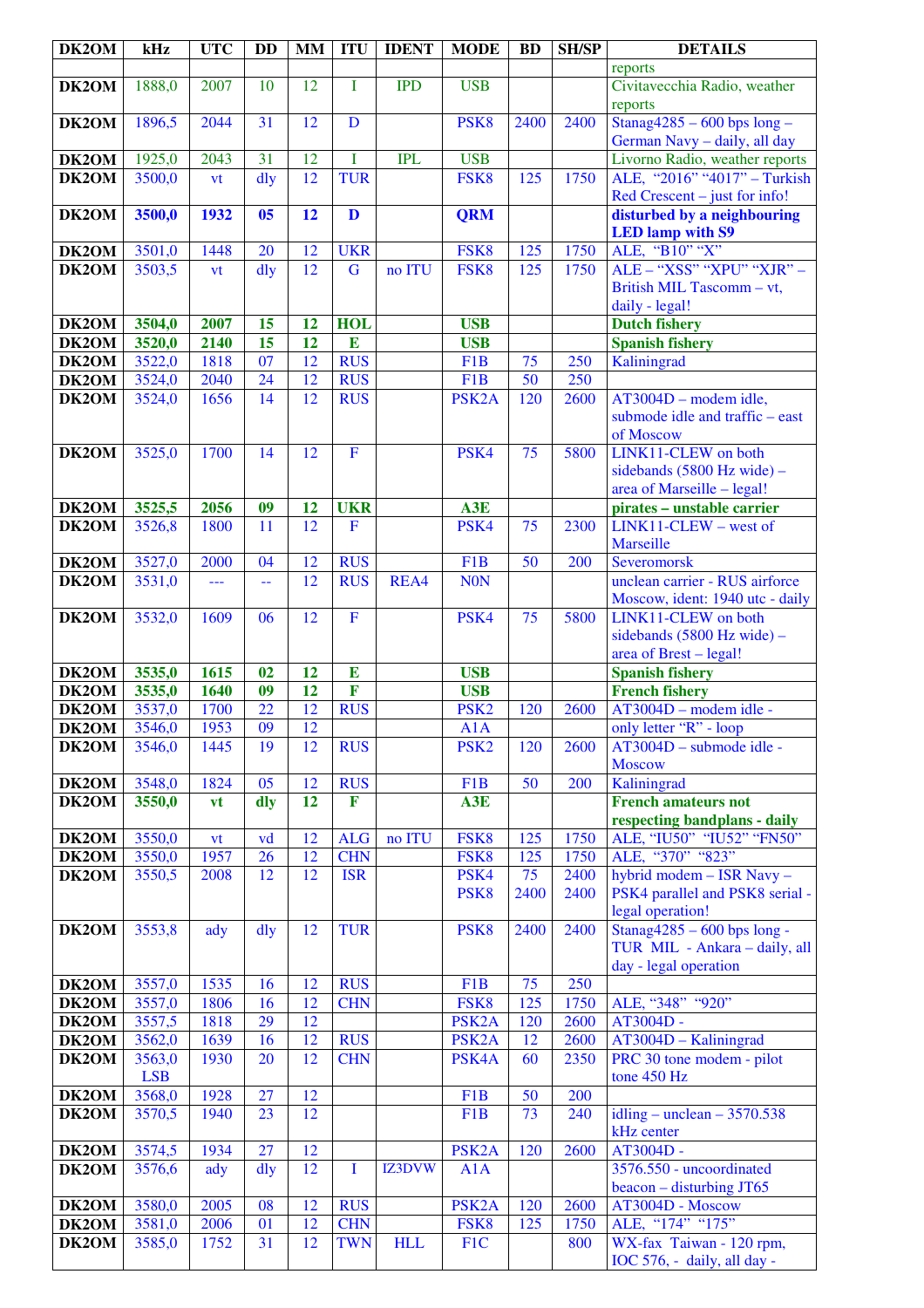| DK2OM          | kHz                  | <b>UTC</b>   | <b>DD</b>       | <b>MM</b>             | <b>ITU</b>                            | <b>IDENT</b> | <b>MODE</b>             | <b>BD</b> | <b>SH/SP</b> | <b>DETAILS</b>                                                 |
|----------------|----------------------|--------------|-----------------|-----------------------|---------------------------------------|--------------|-------------------------|-----------|--------------|----------------------------------------------------------------|
|                |                      |              |                 |                       |                                       |              |                         |           |              | reports                                                        |
| DK2OM          | 1888,0               | 2007         | 10              | 12                    | I                                     | <b>IPD</b>   | <b>USB</b>              |           |              | Civitavecchia Radio, weather                                   |
|                |                      |              |                 |                       |                                       |              |                         |           |              | reports                                                        |
| DK2OM          | 1896,5               | 2044         | 31              | 12                    | D                                     |              | PSK <sub>8</sub>        | 2400      | 2400         | Stanag $4285 - 600$ bps long -<br>German Navy - daily, all day |
| DK2OM          | 1925,0               | 2043         | 31              | 12                    | $\mathbf I$                           | <b>IPL</b>   | <b>USB</b>              |           |              | Livorno Radio, weather reports                                 |
| DK2OM          | 3500,0               | vt           | dly             | 12                    | <b>TUR</b>                            |              | FSK8                    | 125       | 1750         | ALE, "2016" "4017" - Turkish                                   |
|                |                      |              |                 |                       |                                       |              |                         |           |              | Red Crescent – just for info!                                  |
| DK2OM          | 3500,0               | 1932         | 05              | 12                    | D                                     |              | <b>QRM</b>              |           |              | disturbed by a neighbouring                                    |
|                |                      |              |                 |                       |                                       |              |                         |           |              | <b>LED</b> lamp with S9                                        |
| DK2OM          | 3501,0               | 1448         | 20              | 12                    | <b>UKR</b>                            |              | FSK8                    | 125       | 1750         | ALE, "B10" "X"                                                 |
| DK2OM          | 3503,5               | vt           | dly             | 12                    | G                                     | no ITU       | FSK8                    | 125       | 1750         | ALE - "XSS" "XPU" "XJR" -                                      |
|                |                      |              |                 |                       |                                       |              |                         |           |              | British MIL Tascomm - vt,                                      |
| DK2OM          | 3504,0               | 2007         | 15              | 12                    | <b>HOL</b>                            |              | <b>USB</b>              |           |              | daily - legal!<br><b>Dutch fishery</b>                         |
| DK2OM          | 3520,0               | 2140         | 15              | 12                    | E                                     |              | <b>USB</b>              |           |              | <b>Spanish fishery</b>                                         |
| DK2OM          | 3522,0               | 1818         | 07              | 12                    | <b>RUS</b>                            |              | F <sub>1</sub> B        | 75        | 250          | Kaliningrad                                                    |
| DK2OM          | 3524,0               | 2040         | 24              | 12                    | <b>RUS</b>                            |              | F <sub>1</sub> B        | 50        | 250          |                                                                |
| DK2OM          | 3524,0               | 1656         | 14              | 12                    | <b>RUS</b>                            |              | PSK <sub>2</sub> A      | 120       | 2600         | AT3004D - modem idle,                                          |
|                |                      |              |                 |                       |                                       |              |                         |           |              | submode idle and traffic – east                                |
|                |                      |              |                 |                       |                                       |              |                         |           |              | of Moscow                                                      |
| DK2OM          | 3525,0               | 1700         | 14              | 12                    | $\mathbf F$                           |              | PSK4                    | 75        | 5800         | LINK11-CLEW on both                                            |
|                |                      |              |                 |                       |                                       |              |                         |           |              | sidebands (5800 Hz wide) -                                     |
|                |                      |              |                 |                       |                                       |              |                         |           |              | area of Marseille - legal!                                     |
| DK2OM          | 3525,5               | 2056         | 09              | 12<br>$\overline{12}$ | <b>UKR</b><br>$\mathbf F$             |              | A3E                     | 75        | 2300         | pirates - unstable carrier<br>$LINK11-CLEW - west of$          |
| DK2OM          | 3526,8               | 1800         | 11              |                       |                                       |              | PSK4                    |           |              | <b>Marseille</b>                                               |
| DK2OM          | 3527,0               | 2000         | 04              | 12                    | <b>RUS</b>                            |              | F <sub>1</sub> B        | 50        | 200          | Severomorsk                                                    |
| DK2OM          | 3531,0               | ---          | --              | 12                    | <b>RUS</b>                            | REA4         | <b>NON</b>              |           |              | unclean carrier - RUS airforce                                 |
|                |                      |              |                 |                       |                                       |              |                         |           |              | Moscow, ident: 1940 utc - daily                                |
| DK2OM          | 3532,0               | 1609         | 06              | 12                    | $\mathbf{F}$                          |              | PSK4                    | 75        | 5800         | LINK11-CLEW on both                                            |
|                |                      |              |                 |                       |                                       |              |                         |           |              | sidebands (5800 Hz wide) -                                     |
|                |                      |              |                 |                       |                                       |              |                         |           |              | area of Brest - legal!                                         |
| DK2OM          | 3535,0               | 1615         | 02              | 12                    | E                                     |              | <b>USB</b>              |           |              | <b>Spanish fishery</b>                                         |
| DK2OM          | 3535,0               | 1640         | 09<br>22        | 12<br>$\overline{12}$ | $\overline{\mathbf{F}}$<br><b>RUS</b> |              | <b>USB</b>              |           |              | <b>French fishery</b>                                          |
| DK2OM<br>DK2OM | 3537,0<br>3546,0     | 1700<br>1953 | $\overline{09}$ | $\overline{12}$       |                                       |              | PSK <sub>2</sub><br>A1A | 120       | 2600         | AT3004D - modem idle -<br>only letter "R" - loop               |
| DK2OM          | 3546,0               | 1445         | 19              | 12                    | <b>RUS</b>                            |              | PSK <sub>2</sub>        | 120       | 2600         | AT3004D - submode idle -                                       |
|                |                      |              |                 |                       |                                       |              |                         |           |              | <b>Moscow</b>                                                  |
| DK2OM          | 3548,0               | 1824         | 05              | 12                    | <b>RUS</b>                            |              | F <sub>1</sub> B        | 50        | 200          | Kaliningrad                                                    |
| DK2OM          | 3550,0               | vt           | dly             | 12                    | F                                     |              | A3E                     |           |              | <b>French amateurs not</b>                                     |
|                |                      |              |                 |                       |                                       |              |                         |           |              | respecting bandplans - daily                                   |
| DK2OM          | 3550,0               | vt           | vd              | 12                    | <b>ALG</b>                            | no ITU       | FSK8                    | 125       | 1750         | ALE, "IU50" "IU52" "FN50"                                      |
| DK2OM          | 3550,0               | 1957         | 26              | 12                    | <b>CHN</b>                            |              | FSK8                    | 125       | 1750         | ALE, "370" "823"                                               |
| DK2OM          | 3550,5               | 2008         | 12              | 12                    | <b>ISR</b>                            |              | PSK4                    | 75        | 2400         | hybrid modem - ISR Navy -                                      |
|                |                      |              |                 |                       |                                       |              | PSK <sub>8</sub>        | 2400      | 2400         | PSK4 parallel and PSK8 serial -<br>legal operation!            |
| DK2OM          | 3553,8               | ady          | $\frac{d}{dy}$  | 12                    | <b>TUR</b>                            |              | PSK <sub>8</sub>        | 2400      | 2400         | Stanag $4285 - 600$ bps long -                                 |
|                |                      |              |                 |                       |                                       |              |                         |           |              | TUR MIL - Ankara - daily, all                                  |
|                |                      |              |                 |                       |                                       |              |                         |           |              | day - legal operation                                          |
| DK2OM          | 3557,0               | 1535         | 16              | 12                    | <b>RUS</b>                            |              | F1B                     | 75        | 250          |                                                                |
| DK2OM          | 3557,0               | 1806         | 16              | 12                    | <b>CHN</b>                            |              | FSK8                    | 125       | 1750         | ALE, "348" "920"                                               |
| DK2OM          | 3557,5               | 1818         | 29              | 12                    |                                       |              | PSK <sub>2</sub> A      | 120       | 2600         | AT3004D -                                                      |
| DK2OM          | 3562,0               | 1639         | 16              | 12                    | <b>RUS</b>                            |              | PSK <sub>2</sub> A      | 12        | 2600         | AT3004D - Kaliningrad                                          |
| DK2OM          | 3563,0               | 1930         | 20              | 12                    | <b>CHN</b>                            |              | PSK4A                   | 60        | 2350         | PRC 30 tone modem - pilot                                      |
| DK2OM          | <b>LSB</b><br>3568,0 | 1928         | 27              | 12                    |                                       |              | F <sub>1</sub> B        | 50        | 200          | tone 450 Hz                                                    |
| DK2OM          | 3570,5               | 1940         | 23              | 12                    |                                       |              | F <sub>1</sub> B        | 73        | 240          | idling – unclean – $3570.538$                                  |
|                |                      |              |                 |                       |                                       |              |                         |           |              | kHz center                                                     |
| DK2OM          | 3574,5               | 1934         | 27              | 12                    |                                       |              | PSK <sub>2</sub> A      | 120       | 2600         | AT3004D -                                                      |
| DK2OM          | 3576,6               | ady          | dly             | $\overline{12}$       | $\bf{I}$                              | IZ3DVW       | A1A                     |           |              | 3576.550 - uncoordinated                                       |
|                |                      |              |                 |                       |                                       |              |                         |           |              | beacon - disturbing JT65                                       |
| DK2OM          | 3580,0               | 2005         | 08              | 12                    | <b>RUS</b>                            |              | PSK <sub>2</sub> A      | 120       | 2600         | AT3004D - Moscow                                               |
| DK2OM          | 3581,0               | 2006         | 01              | 12                    | <b>CHN</b>                            |              | FSK8                    | 125       | 1750         | ALE, "174" "175"                                               |
| DK2OM          | 3585,0               | 1752         | 31              | 12                    | <b>TWN</b>                            | <b>HLL</b>   | F1C                     |           | 800          | WX-fax Taiwan - 120 rpm,                                       |
|                |                      |              |                 |                       |                                       |              |                         |           |              | IOC 576, - daily, all day -                                    |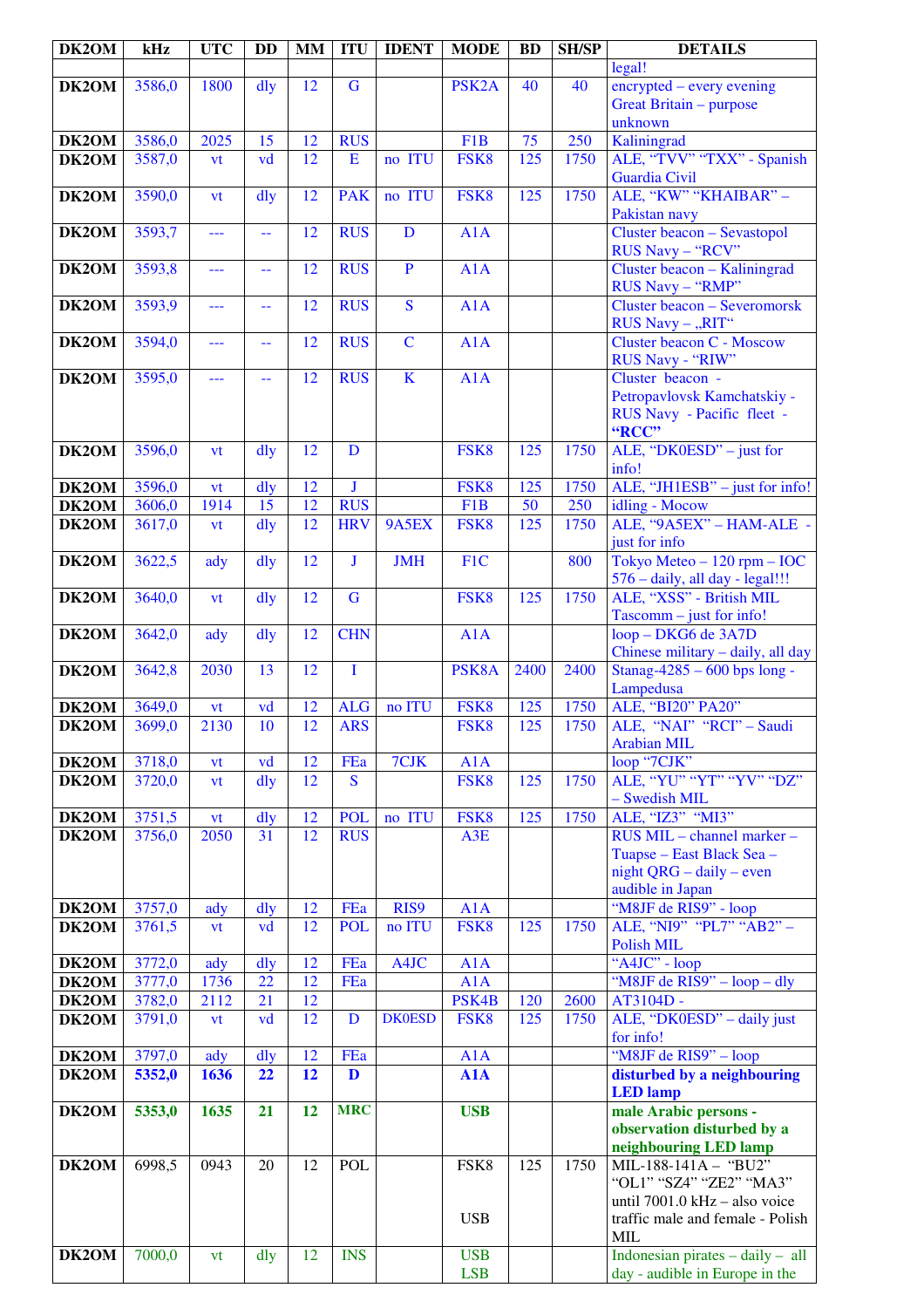| DK2OM | kHz    | <b>UTC</b> | <b>DD</b>      | <b>MM</b>       | <b>ITU</b>     | <b>IDENT</b>            | <b>MODE</b>        | <b>BD</b>        | <b>SH/SP</b> | <b>DETAILS</b>                                 |
|-------|--------|------------|----------------|-----------------|----------------|-------------------------|--------------------|------------------|--------------|------------------------------------------------|
|       |        |            |                |                 |                |                         |                    |                  |              | legal!                                         |
| DK2OM | 3586,0 | 1800       | dly            | 12              | $\mathbf G$    |                         | PSK <sub>2</sub> A | 40               | 40           | encrypted – every evening                      |
|       |        |            |                |                 |                |                         |                    |                  |              | Great Britain - purpose                        |
|       |        |            |                |                 |                |                         |                    |                  |              | unknown                                        |
| DK2OM | 3586,0 | 2025       | 15             | 12              | <b>RUS</b>     |                         | F1B                | 75               | 250          | Kaliningrad                                    |
| DK2OM | 3587,0 | vt         | vd             | $\overline{12}$ | $\mathbf E$    | no ITU                  | FSK8               | 125              | 1750         | ALE, "TVV" "TXX" - Spanish                     |
|       |        |            |                |                 |                |                         |                    |                  |              | Guardia Civil                                  |
| DK2OM | 3590,0 | vt         | $\frac{d}{dy}$ | 12              | <b>PAK</b>     | no ITU                  | FSK8               | 125              | 1750         | ALE, "KW" "KHAIBAR" -                          |
|       |        |            |                |                 |                |                         |                    |                  |              | Pakistan navy                                  |
| DK2OM | 3593,7 | ---        | 44             | 12              | <b>RUS</b>     | D                       | A1A                |                  |              | Cluster beacon - Sevastopol                    |
|       |        |            |                |                 |                |                         |                    |                  |              | RUS Navy - "RCV"                               |
| DK2OM | 3593,8 | ---        | $-$            | 12              | <b>RUS</b>     | $\overline{P}$          | A1A                |                  |              | Cluster beacon - Kaliningrad                   |
|       |        |            |                |                 |                |                         |                    |                  |              | RUS Navy - "RMP"                               |
| DK2OM | 3593,9 | $---$      | 44             | 12              | <b>RUS</b>     | $\overline{\mathbf{S}}$ | A1A                |                  |              | <b>Cluster beacon - Severomorsk</b>            |
|       |        |            |                |                 |                |                         |                    |                  |              | RUS Navy - "RIT"                               |
| DK2OM | 3594,0 | ---        | 44             | 12              | <b>RUS</b>     | $\mathbf C$             | A1A                |                  |              | Cluster beacon C - Moscow                      |
|       |        |            |                |                 |                |                         |                    |                  |              | RUS Navy - "RIW"                               |
| DK2OM | 3595,0 | ---        | 44             | 12              | <b>RUS</b>     | $\mathbf K$             | A1A                |                  |              | Cluster beacon -                               |
|       |        |            |                |                 |                |                         |                    |                  |              | Petropavlovsk Kamchatskiy -                    |
|       |        |            |                |                 |                |                         |                    |                  |              | RUS Navy - Pacific fleet -<br>"RCC"            |
| DK2OM | 3596,0 |            |                | 12              | $\mathbf{D}$   |                         | FSK8               | 125              | 1750         |                                                |
|       |        | vt         | dly            |                 |                |                         |                    |                  |              | ALE, "DK0ESD" – just for<br>info!              |
| DK2OM | 3596,0 | vt         | dly            | 12              | $\bf J$        |                         | FSK8               | 125              | 1750         | ALE, "JH1ESB" - just for info!                 |
| DK2OM | 3606,0 | 1914       | 15             | $\overline{12}$ | <b>RUS</b>     |                         | F <sub>1</sub> B   | 50               | 250          | idling - Mocow                                 |
| DK2OM | 3617,0 | vt         | dly            | 12              | <b>HRV</b>     | 9A5EX                   | FSK8               | 125              | 1750         | ALE, "9A5EX" - HAM-ALE -                       |
|       |        |            |                |                 |                |                         |                    |                  |              | just for info                                  |
| DK2OM | 3622,5 | ady        | dly            | 12              | J              | <b>JMH</b>              | F1C                |                  | 800          | Tokyo Meteo $-120$ rpm $-$ IOC                 |
|       |        |            |                |                 |                |                         |                    |                  |              | 576 - daily, all day - legal!!!                |
| DK2OM | 3640,0 | vt         | dly            | 12              | $\overline{G}$ |                         | FSK8               | 125              | 1750         | ALE, "XSS" - British MIL                       |
|       |        |            |                |                 |                |                         |                    |                  |              | Tascomm - just for info!                       |
| DK2OM | 3642,0 | ady        | dly            | 12              | <b>CHN</b>     |                         | A1A                |                  |              | loop - DKG6 de 3A7D                            |
|       |        |            |                |                 |                |                         |                    |                  |              | Chinese military - daily, all day              |
| DK2OM | 3642,8 | 2030       | 13             | $\overline{12}$ | $\mathbf I$    |                         | PSK8A              | 2400             | 2400         | Stanag-4285 $-600$ bps long -                  |
|       |        |            |                |                 |                |                         |                    |                  |              | Lampedusa                                      |
| DK2OM | 3649,0 | vt         | vd             | 12              | <b>ALG</b>     | no ITU                  | FSK8               | 125              | 1750         | ALE, "BI20" PA20"                              |
| DK2OM | 3699,0 | 2130       | 10             | $\overline{12}$ | <b>ARS</b>     |                         | FSK8               | 125              | 1750         | ALE, "NAI" "RCI" - Saudi                       |
|       |        |            |                |                 |                |                         |                    |                  |              | <b>Arabian MIL</b>                             |
| DK2OM | 3718,0 | <b>vt</b>  | vd             | 12              | FEa            | 7CJK                    | A1A                |                  |              | loop "7CJK"                                    |
| DK2OM | 3720,0 | vt         | dly            | 12              | S              |                         | FSK8               | 125              | 1750         | ALE, "YU" "YT" "YV" "DZ"                       |
|       |        |            |                |                 |                |                         |                    |                  |              | - Swedish MIL                                  |
| DK2OM | 3751,5 | <b>vt</b>  | dly            | 12              | <b>POL</b>     | no ITU                  | FSK8               | $\overline{125}$ | 1750         | ALE, "IZ3" "MI3"                               |
| DK2OM | 3756,0 | 2050       | 31             | 12              | <b>RUS</b>     |                         | A3E                |                  |              | RUS MIL - channel marker -                     |
|       |        |            |                |                 |                |                         |                    |                  |              | Tuapse – East Black Sea –                      |
|       |        |            |                |                 |                |                         |                    |                  |              | night $QRG - daily - even$                     |
|       |        |            |                |                 |                |                         |                    |                  |              | audible in Japan                               |
| DK2OM | 3757,0 | ady        | dly            | 12              | FEa            | RIS9                    | A1A                |                  |              | "M8JF de RIS9" - loop                          |
| DK2OM | 3761,5 | vt         | vd             | 12              | <b>POL</b>     | no ITU                  | FSK8               | 125              | 1750         | ALE, "NI9" "PL7" "AB2" -                       |
|       |        |            |                |                 |                |                         |                    |                  |              | <b>Polish MIL</b>                              |
| DK2OM | 3772,0 | ady        | dly            | 12              | FEa            | A4JC                    | A1A                |                  |              | "A4JC" - loop                                  |
| DK2OM | 3777,0 | 1736       | 22             | 12              | FEa            |                         | A1A                |                  |              | "M8JF de RIS9" – loop – dly                    |
| DK2OM | 3782,0 | 2112       | 21             | 12              |                |                         | PSK4B              | 120              | 2600         | AT3104D -                                      |
| DK2OM | 3791,0 | vt         | vd             | 12              | D              | <b>DK0ESD</b>           | FSK8               | 125              | 1750         | ALE, "DK0ESD" - daily just                     |
|       |        |            |                |                 |                |                         |                    |                  |              | for info!                                      |
| DK2OM | 3797,0 | ady        | dly            | 12<br>12        | FEa            |                         | A1A                |                  |              | "M8JF de RIS9" - loop                          |
| DK2OM | 5352,0 | 1636       | 22             |                 | D              |                         | A1A                |                  |              | disturbed by a neighbouring<br><b>LED</b> lamp |
| DK2OM | 5353,0 | 1635       | 21             | 12              | <b>MRC</b>     |                         | <b>USB</b>         |                  |              | male Arabic persons -                          |
|       |        |            |                |                 |                |                         |                    |                  |              | observation disturbed by a                     |
|       |        |            |                |                 |                |                         |                    |                  |              | neighbouring LED lamp                          |
| DK2OM | 6998,5 | 0943       | 20             | 12              | <b>POL</b>     |                         | FSK8               | 125              | 1750         | $\overline{\text{MIL-188-141}}$ A - "BU2"      |
|       |        |            |                |                 |                |                         |                    |                  |              | "OL1" "SZ4" "ZE2" "MA3"                        |
|       |        |            |                |                 |                |                         |                    |                  |              | until 7001.0 kHz - also voice                  |
|       |        |            |                |                 |                |                         | <b>USB</b>         |                  |              | traffic male and female - Polish               |
|       |        |            |                |                 |                |                         |                    |                  |              | <b>MIL</b>                                     |
| DK2OM | 7000,0 | vt         | dly            | 12              | <b>INS</b>     |                         | <b>USB</b>         |                  |              | Indonesian pirates $-$ daily $-$ all           |
|       |        |            |                |                 |                |                         | <b>LSB</b>         |                  |              | day - audible in Europe in the                 |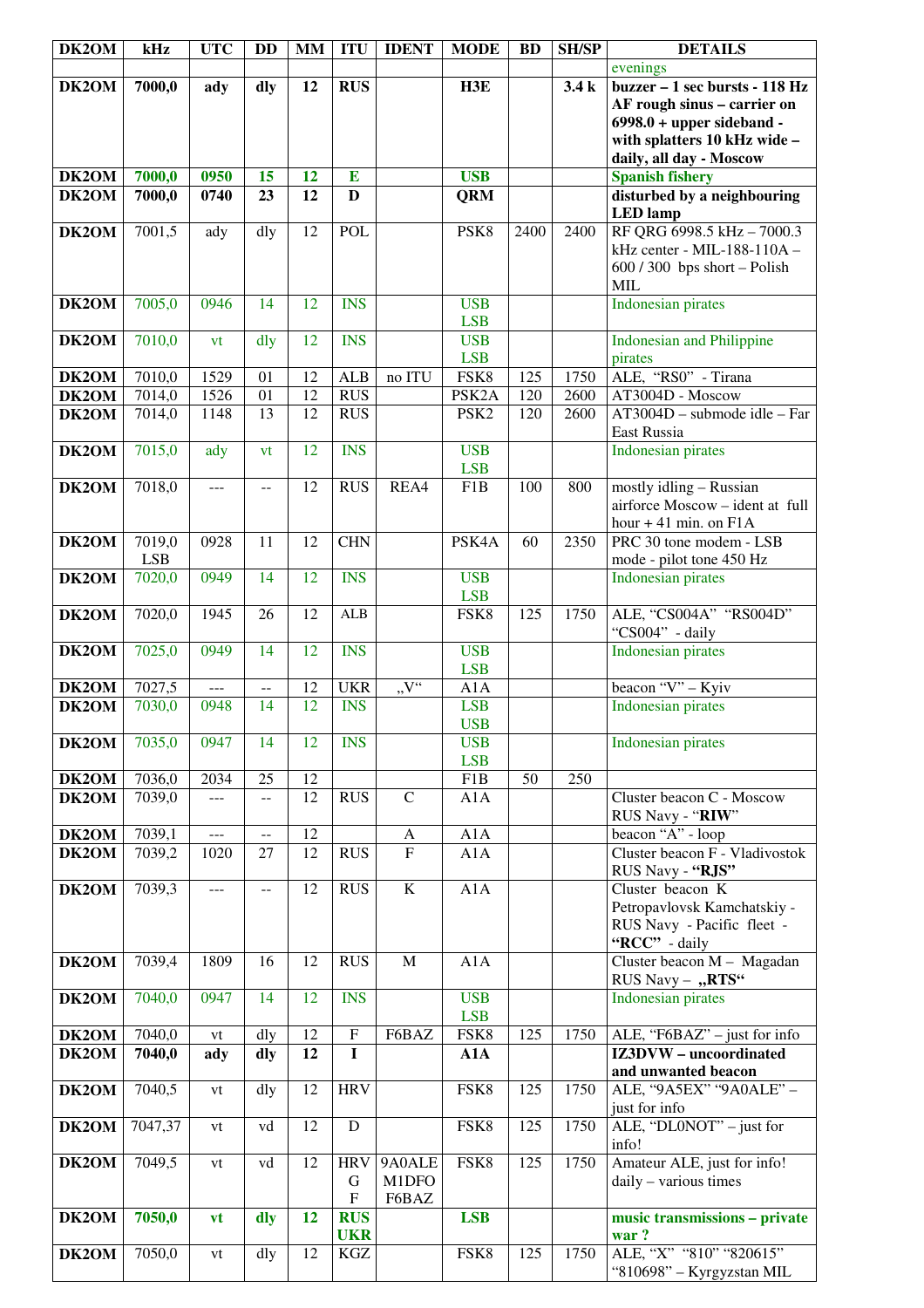| DK2OM               | kHz        | <b>UTC</b> | <b>DD</b>       | <b>MM</b>       | <b>ITU</b>              | <b>IDENT</b>   | <b>MODE</b>              | <b>BD</b> | <b>SH/SP</b> | <b>DETAILS</b>                                             |
|---------------------|------------|------------|-----------------|-----------------|-------------------------|----------------|--------------------------|-----------|--------------|------------------------------------------------------------|
|                     |            |            |                 |                 |                         |                |                          |           |              | evenings                                                   |
| DK2OM               | 7000,0     | ady        | dly             | 12              | <b>RUS</b>              |                | H3E                      |           | 3.4k         | buzzer - 1 sec bursts - 118 Hz                             |
|                     |            |            |                 |                 |                         |                |                          |           |              | AF rough sinus - carrier on<br>$6998.0 + upper sideband -$ |
|                     |            |            |                 |                 |                         |                |                          |           |              | with splatters 10 kHz wide -                               |
|                     |            |            |                 |                 |                         |                |                          |           |              | daily, all day - Moscow                                    |
| DK2OM               | 7000,0     | 0950       | 15              | 12              | $\bf{E}$                |                | <b>USB</b>               |           |              | <b>Spanish fishery</b>                                     |
| DK2OM               | 7000,0     | 0740       | 23              | 12              | $\mathbf{D}$            |                | <b>QRM</b>               |           |              | disturbed by a neighbouring                                |
|                     |            |            |                 |                 |                         |                |                          |           |              | <b>LED</b> lamp                                            |
| DK2OM               | 7001,5     | ady        | dly             | 12              | POL                     |                | PSK8                     | 2400      | 2400         | RF QRG 6998.5 kHz - 7000.3<br>kHz center - MIL-188-110A -  |
|                     |            |            |                 |                 |                         |                |                          |           |              | $600 / 300$ bps short - Polish                             |
|                     |            |            |                 |                 |                         |                |                          |           |              | <b>MIL</b>                                                 |
| DK2OM               | 7005,0     | 0946       | 14              | 12              | <b>INS</b>              |                | <b>USB</b>               |           |              | <b>Indonesian pirates</b>                                  |
|                     |            |            |                 |                 |                         |                | <b>LSB</b>               |           |              |                                                            |
| DK2OM               | 7010,0     | vt         | dly             | 12              | <b>INS</b>              |                | <b>USB</b>               |           |              | <b>Indonesian and Philippine</b>                           |
|                     | 7010,0     | 1529       | 01              | 12              | <b>ALB</b>              | no ITU         | <b>LSB</b><br>FSK8       | 125       | 1750         | pirates<br>ALE, "RS0" - Tirana                             |
| DK2OM<br>DK2OM      | 7014,0     | 1526       | 01              | $\overline{12}$ | <b>RUS</b>              |                | PSK <sub>2</sub> A       | 120       | 2600         | AT3004D - Moscow                                           |
| DK2OM               | 7014,0     | 1148       | 13              | 12              | <b>RUS</b>              |                | PSK <sub>2</sub>         | 120       | 2600         | AT3004D - submode idle - Far                               |
|                     |            |            |                 |                 |                         |                |                          |           |              | East Russia                                                |
| DK2OM               | 7015,0     | ady        | vt              | 12              | <b>INS</b>              |                | <b>USB</b>               |           |              | <b>Indonesian pirates</b>                                  |
|                     |            |            |                 |                 |                         |                | <b>LSB</b>               |           |              |                                                            |
| DK2OM               | 7018,0     | $ -$       | $-$             | 12              | <b>RUS</b>              | REA4           | F1B                      | 100       | 800          | mostly idling - Russian<br>airforce Moscow - ident at full |
|                     |            |            |                 |                 |                         |                |                          |           |              | hour $+41$ min. on $F1A$                                   |
| DK2OM               | 7019,0     | 0928       | 11              | 12              | <b>CHN</b>              |                | PSK4A                    | 60        | 2350         | PRC 30 tone modem - LSB                                    |
|                     | <b>LSB</b> |            |                 |                 |                         |                |                          |           |              | mode - pilot tone 450 Hz                                   |
| DK2OM               | 7020,0     | 0949       | 14              | 12              | <b>INS</b>              |                | <b>USB</b>               |           |              | <b>Indonesian pirates</b>                                  |
|                     |            |            |                 |                 |                         |                | <b>LSB</b>               |           |              |                                                            |
| DK2OM               | 7020,0     | 1945       | 26              | 12              | <b>ALB</b>              |                | FSK8                     | 125       | 1750         | ALE, "CS004A" "RS004D"<br>"CS004" - daily                  |
| DK2OM               | 7025,0     | 0949       | 14              | 12              | <b>INS</b>              |                | <b>USB</b>               |           |              | <b>Indonesian pirates</b>                                  |
|                     |            |            |                 |                 |                         |                | <b>LSB</b>               |           |              |                                                            |
| DK2OM               | 7027,5     | $---$      | $-$             | 12              | <b>UKR</b>              | "V"            | A1A                      |           |              | beacon " $\overline{V}$ " - Kyiv                           |
| DK2OM               | 7030,0     | 0948       | 14              | 12              | <b>INS</b>              |                | <b>LSB</b>               |           |              | <b>Indonesian pirates</b>                                  |
| <b>DK2OM</b> 7035,0 |            | 0947       | $\overline{14}$ | $\overline{12}$ | <b>INS</b>              |                | <b>USB</b><br><b>USB</b> |           |              | <b>Indonesian pirates</b>                                  |
|                     |            |            |                 |                 |                         |                | <b>LSB</b>               |           |              |                                                            |
| DK2OM               | 7036,0     | 2034       | 25              | 12              |                         |                | F1B                      | 50        | 250          |                                                            |
| DK2OM               | 7039,0     | $---$      | $- -$           | 12              | <b>RUS</b>              | $\mathbf C$    | A1A                      |           |              | Cluster beacon C - Moscow                                  |
|                     |            |            |                 |                 |                         |                |                          |           |              | RUS Navy - "RIW"                                           |
| DK2OM               | 7039,1     | ---        | $- -$           | 12              |                         | A              | A1A                      |           |              | beacon "A" - loop                                          |
| DK2OM               | 7039,2     | 1020       | 27              | 12              | <b>RUS</b>              | $\overline{F}$ | A1A                      |           |              | Cluster beacon F - Vladivostok                             |
| DK2OM               | 7039,3     | ---        |                 | 12              | <b>RUS</b>              | $\bf K$        | A1A                      |           |              | RUS Navy - "RJS"<br>Cluster beacon K                       |
|                     |            |            |                 |                 |                         |                |                          |           |              | Petropavlovsk Kamchatskiy -                                |
|                     |            |            |                 |                 |                         |                |                          |           |              | RUS Navy - Pacific fleet -                                 |
|                     |            |            |                 |                 |                         |                |                          |           |              | "RCC" - daily                                              |
| DK2OM               | 7039,4     | 1809       | 16              | 12              | <b>RUS</b>              | $\mathbf{M}$   | A1A                      |           |              | Cluster beacon M - Magadan                                 |
| DK2OM               | 7040,0     | 0947       | 14              | 12              | <b>INS</b>              |                | <b>USB</b>               |           |              | RUS Navy - "RTS"<br><b>Indonesian pirates</b>              |
|                     |            |            |                 |                 |                         |                | <b>LSB</b>               |           |              |                                                            |
| DK2OM               | 7040,0     | vt         | dly             | 12              | ${\bf F}$               | F6BAZ          | FSK8                     | 125       | 1750         | ALE, "F6BAZ" - just for info                               |
| DK2OM               | 7040,0     | ady        | dly             | 12              | $\mathbf I$             |                | A1A                      |           |              | IZ3DVW - uncoordinated                                     |
|                     |            |            |                 |                 |                         |                |                          |           |              | and unwanted beacon                                        |
| DK2OM               | 7040,5     | vt         | dly             | 12              | <b>HRV</b>              |                | FSK8                     | 125       | 1750         | ALE, "9A5EX" "9A0ALE" -<br>just for info                   |
| DK2OM               | 7047,37    | vt         | vd              | 12              | D                       |                | FSK8                     | 125       | 1750         | ALE, "DL0NOT" - just for                                   |
|                     |            |            |                 |                 |                         |                |                          |           |              | info!                                                      |
| DK2OM               | 7049,5     | vt         | vd              | 12              | <b>HRV</b>              | 9A0ALE         | FSK8                     | 125       | 1750         | Amateur ALE, just for info!                                |
|                     |            |            |                 |                 | G                       | M1DFO          |                          |           |              | daily - various times                                      |
| DK2OM               | 7050,0     |            |                 | 12              | ${\bf F}$<br><b>RUS</b> | F6BAZ          | <b>LSB</b>               |           |              | music transmissions - private                              |
|                     |            | vt         | dly             |                 | <b>UKR</b>              |                |                          |           |              | war?                                                       |
| DK2OM               | 7050,0     | vt         | dly             | 12              | $\rm KGZ$               |                | FSK8                     | 125       | 1750         | ALE, "X" "810" "820615"                                    |
|                     |            |            |                 |                 |                         |                |                          |           |              | "810698" - Kyrgyzstan MIL                                  |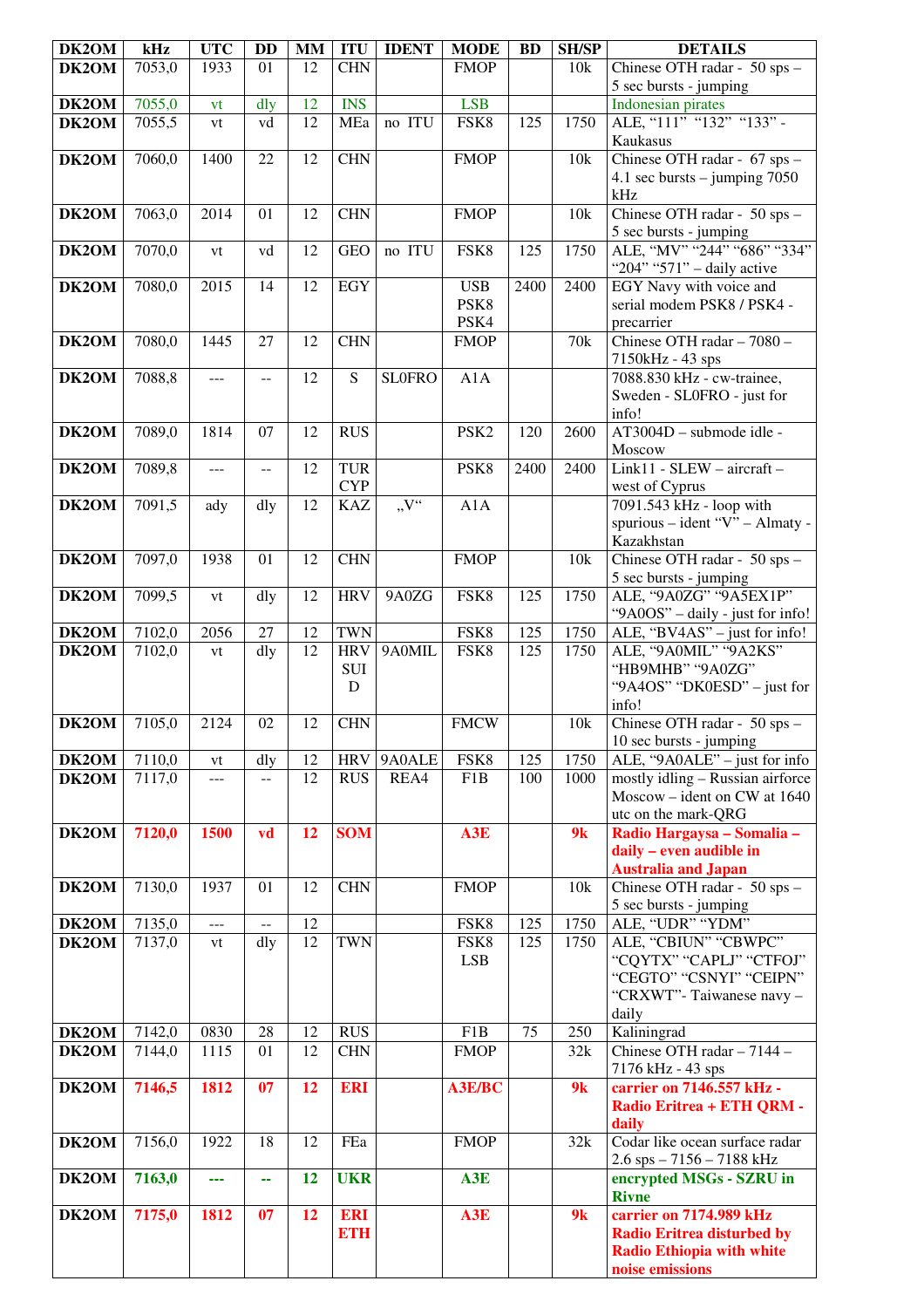| DK2OM | kHz    | <b>UTC</b> | <b>DD</b> | <b>MM</b> | <b>ITU</b>               | <b>IDENT</b>  | <b>MODE</b>      | <b>BD</b> | <b>SH/SP</b>    | <b>DETAILS</b>                                             |
|-------|--------|------------|-----------|-----------|--------------------------|---------------|------------------|-----------|-----------------|------------------------------------------------------------|
| DK2OM | 7053,0 | 1933       | 01        | 12        | <b>CHN</b>               |               | <b>FMOP</b>      |           | 10k             | Chinese OTH radar - 50 sps -                               |
|       |        |            |           |           |                          |               |                  |           |                 | 5 sec bursts - jumping                                     |
| DK2OM | 7055,0 | vt         | dly       | 12        | <b>INS</b>               |               | <b>LSB</b>       |           |                 | <b>Indonesian pirates</b>                                  |
| DK2OM | 7055,5 | vt         | vd        | 12        | MEa                      | no ITU        | FSK8             | 125       | 1750            | ALE, "111" "132" "133" -                                   |
|       |        |            |           |           |                          |               |                  |           |                 | Kaukasus                                                   |
| DK2OM | 7060,0 | 1400       | 22        | 12        | <b>CHN</b>               |               | <b>FMOP</b>      |           | 10k             | Chinese OTH radar - 67 sps -                               |
|       |        |            |           |           |                          |               |                  |           |                 | 4.1 sec bursts $-$ jumping 7050                            |
|       |        |            |           |           |                          |               |                  |           |                 | kHz                                                        |
| DK2OM | 7063,0 | 2014       | 01        | 12        | <b>CHN</b>               |               | <b>FMOP</b>      |           | 10k             | Chinese OTH radar - 50 sps -                               |
| DK2OM | 7070,0 |            | vd        | 12        | <b>GEO</b>               | no ITU        | FSK8             | 125       | 1750            | 5 sec bursts - jumping<br>ALE, "MV" "244" "686" "334"      |
|       |        | vt         |           |           |                          |               |                  |           |                 | "204" "571" - daily active                                 |
| DK2OM | 7080,0 | 2015       | 14        | 12        | <b>EGY</b>               |               | <b>USB</b>       | 2400      | 2400            | EGY Navy with voice and                                    |
|       |        |            |           |           |                          |               | PSK8             |           |                 | serial modem PSK8 / PSK4 -                                 |
|       |        |            |           |           |                          |               | PSK4             |           |                 | precarrier                                                 |
| DK2OM | 7080,0 | 1445       | 27        | 12        | <b>CHN</b>               |               | <b>FMOP</b>      |           | 70 <sub>k</sub> | Chinese OTH radar - 7080 -                                 |
|       |        |            |           |           |                          |               |                  |           |                 | 7150kHz - 43 sps                                           |
| DK2OM | 7088,8 | ---        |           | 12        | S                        | <b>SLOFRO</b> | A1A              |           |                 | 7088.830 kHz - cw-trainee,                                 |
|       |        |            |           |           |                          |               |                  |           |                 | Sweden - SL0FRO - just for                                 |
|       |        |            |           |           |                          |               |                  |           |                 | info!                                                      |
| DK2OM | 7089,0 | 1814       | 07        | 12        | <b>RUS</b>               |               | PSK <sub>2</sub> | 120       | 2600            | AT3004D - submode idle -                                   |
|       |        |            |           |           |                          |               |                  |           | 2400            | Moscow<br>$Link11 - SLEW - aircraft -$                     |
| DK2OM | 7089,8 | ---        | $-$       | 12        | <b>TUR</b><br><b>CYP</b> |               | PSK8             | 2400      |                 | west of Cyprus                                             |
| DK2OM | 7091,5 | ady        | dly       | 12        | <b>KAZ</b>               | "V"           | A1A              |           |                 | 7091.543 kHz - loop with                                   |
|       |        |            |           |           |                          |               |                  |           |                 | spurious - ident "V" - Almaty -                            |
|       |        |            |           |           |                          |               |                  |           |                 | Kazakhstan                                                 |
| DK2OM | 7097,0 | 1938       | 01        | 12        | <b>CHN</b>               |               | <b>FMOP</b>      |           | 10k             | Chinese OTH radar - 50 sps -                               |
|       |        |            |           |           |                          |               |                  |           |                 | 5 sec bursts - jumping                                     |
| DK2OM | 7099,5 | vt         | dly       | 12        | <b>HRV</b>               | 9A0ZG         | FSK8             | 125       | 1750            | ALE, "9A0ZG" "9A5EX1P"                                     |
|       |        |            |           |           |                          |               |                  |           |                 | "9A0OS" – daily - just for info!                           |
| DK2OM | 7102,0 | 2056       | 27        | 12        | <b>TWN</b>               |               | FSK8             | 125       | 1750            | ALE, "BV4AS" - just for info!                              |
| DK2OM | 7102,0 | vt         | dly       | 12        | <b>HRV</b>               | 9A0MIL        | FSK8             | 125       | 1750            | ALE, "9A0MIL" "9A2KS"                                      |
|       |        |            |           |           | <b>SUI</b><br>D          |               |                  |           |                 | "HB9MHB" "9A0ZG"<br>"9A4OS" "DK0ESD" – just for            |
|       |        |            |           |           |                          |               |                  |           |                 | info!                                                      |
| DK2OM | 7105,0 | 2124       | 02        | 12        | <b>CHN</b>               |               | <b>FMCW</b>      |           | 10k             | Chinese OTH radar - 50 sps -                               |
|       |        |            |           |           |                          |               |                  |           |                 | 10 sec bursts - jumping                                    |
| DK2OM | 7110,0 | vt         | dly       | 12        | <b>HRV</b>               | 9A0ALE        | FSK8             | 125       | 1750            | ALE, "9A0ALE" – just for info                              |
| DK2OM | 7117,0 | ---        | $-$       | 12        | <b>RUS</b>               | REA4          | F1B              | 100       | 1000            | mostly idling - Russian airforce                           |
|       |        |            |           |           |                          |               |                  |           |                 | Moscow – ident on CW at $1640$                             |
|       |        |            |           |           |                          |               |                  |           |                 | utc on the mark-QRG                                        |
| DK2OM | 7120,0 | 1500       | vd        | 12        | <b>SOM</b>               |               | A3E              |           | 9k              | Radio Hargaysa - Somalia -                                 |
|       |        |            |           |           |                          |               |                  |           |                 | daily - even audible in                                    |
| DK2OM | 7130,0 | 1937       | 01        | 12        | <b>CHN</b>               |               | <b>FMOP</b>      |           | 10k             | <b>Australia and Japan</b><br>Chinese OTH radar - 50 sps - |
|       |        |            |           |           |                          |               |                  |           |                 | 5 sec bursts - jumping                                     |
| DK2OM | 7135,0 | ---        | $- -$     | 12        |                          |               | FSK8             | 125       | 1750            | ALE, "UDR" "YDM"                                           |
| DK2OM | 7137,0 | vt         | dly       | 12        | <b>TWN</b>               |               | FSK8             | 125       | 1750            | ALE, "CBIUN" "CBWPC"                                       |
|       |        |            |           |           |                          |               | <b>LSB</b>       |           |                 | "CQYTX" "CAPLJ" "CTFOJ"                                    |
|       |        |            |           |           |                          |               |                  |           |                 | "CEGTO" "CSNYI" "CEIPN"                                    |
|       |        |            |           |           |                          |               |                  |           |                 | "CRXWT"-Taiwanese navy -                                   |
|       |        |            |           |           |                          |               |                  |           |                 | daily                                                      |
| DK2OM | 7142,0 | 0830       | 28        | 12        | <b>RUS</b>               |               | F1B              | 75        | 250             | Kaliningrad                                                |
| DK2OM | 7144,0 | 1115       | 01        | 12        | <b>CHN</b>               |               | <b>FMOP</b>      |           | 32k             | Chinese OTH radar - 7144 -                                 |
| DK2OM | 7146,5 | 1812       | 07        | 12        | <b>ERI</b>               |               | <b>A3E/BC</b>    |           | 9k              | 7176 kHz - 43 sps<br>carrier on 7146.557 kHz -             |
|       |        |            |           |           |                          |               |                  |           |                 | Radio Eritrea + ETH QRM -                                  |
|       |        |            |           |           |                          |               |                  |           |                 | daily                                                      |
| DK2OM | 7156,0 | 1922       | 18        | 12        | FEa                      |               | <b>FMOP</b>      |           | 32k             | Codar like ocean surface radar                             |
|       |        |            |           |           |                          |               |                  |           |                 | 2.6 sps - 7156 - 7188 kHz                                  |
| DK2OM | 7163,0 |            | 44        | 12        | <b>UKR</b>               |               | A3E              |           |                 | encrypted MSGs - SZRU in                                   |
|       |        |            |           |           |                          |               |                  |           |                 | <b>Rivne</b>                                               |
| DK2OM | 7175,0 | 1812       | 07        | 12        | <b>ERI</b>               |               | A3E              |           | 9k              | carrier on 7174.989 kHz                                    |
|       |        |            |           |           | <b>ETH</b>               |               |                  |           |                 | <b>Radio Eritrea disturbed by</b>                          |
|       |        |            |           |           |                          |               |                  |           |                 | <b>Radio Ethiopia with white</b><br>noise emissions        |
|       |        |            |           |           |                          |               |                  |           |                 |                                                            |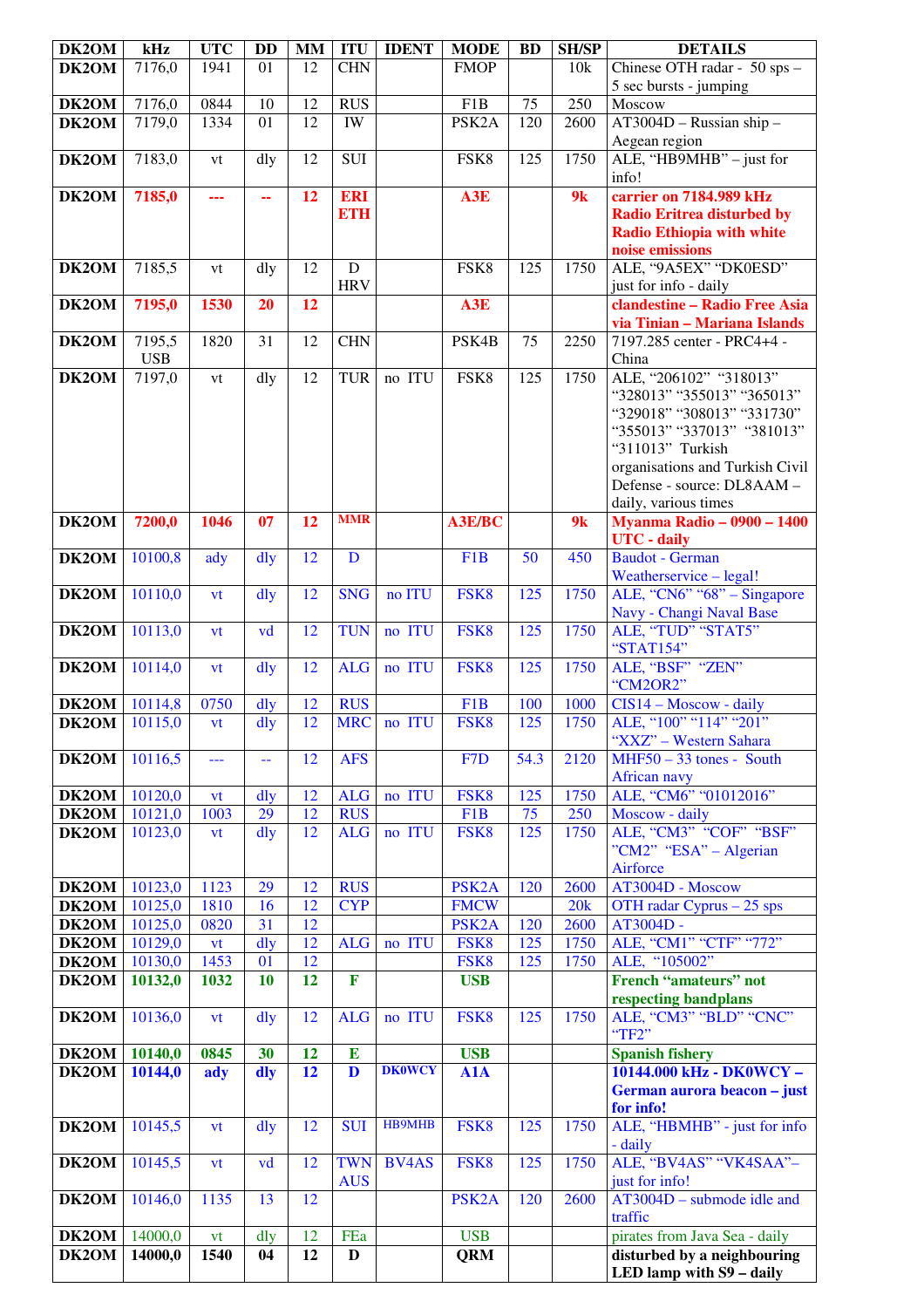| DK2OM          | kHz                | <b>UTC</b> | <b>DD</b>      | <b>MM</b>                          | <b>ITU</b>               | <b>IDENT</b>  | <b>MODE</b>                | <b>BD</b>        | <b>SH/SP</b> | <b>DETAILS</b>                                                        |
|----------------|--------------------|------------|----------------|------------------------------------|--------------------------|---------------|----------------------------|------------------|--------------|-----------------------------------------------------------------------|
| DK2OM          | 7176,0             | 1941       | 01             | 12                                 | <b>CHN</b>               |               | <b>FMOP</b>                |                  | 10k          | Chinese OTH radar - 50 sps -                                          |
|                |                    |            |                |                                    |                          |               |                            |                  |              | 5 sec bursts - jumping                                                |
| DK2OM          | 7176,0             | 0844       | 10             | 12                                 | <b>RUS</b>               |               | F1B                        | 75               | 250          | Moscow                                                                |
| DK2OM          | 7179,0             | 1334       | 01             | $\overline{12}$                    | <b>IW</b>                |               | PSK <sub>2</sub> A         | $\overline{120}$ | 2600         | $AT3004D - Russian ship -$                                            |
|                |                    |            |                |                                    |                          |               |                            |                  |              | Aegean region                                                         |
| DK2OM          | 7183,0             | vt         | dly            | 12                                 | <b>SUI</b>               |               | FSK8                       | 125              | 1750         | ALE, "HB9MHB" - just for                                              |
|                |                    |            |                | 12                                 |                          |               |                            |                  | 9k           | info!<br>carrier on 7184.989 kHz                                      |
| DK2OM          | 7185,0             | 222        | 44             |                                    | <b>ERI</b><br><b>ETH</b> |               | A3E                        |                  |              |                                                                       |
|                |                    |            |                |                                    |                          |               |                            |                  |              | <b>Radio Eritrea disturbed by</b><br><b>Radio Ethiopia with white</b> |
|                |                    |            |                |                                    |                          |               |                            |                  |              | noise emissions                                                       |
| DK2OM          | 7185,5             | vt         | dly            | 12                                 | $\mathbf D$              |               | FSK8                       | 125              | 1750         | ALE, "9A5EX" "DK0ESD"                                                 |
|                |                    |            |                |                                    | <b>HRV</b>               |               |                            |                  |              | just for info - daily                                                 |
| DK2OM          | 7195,0             | 1530       | 20             | 12                                 |                          |               | A3E                        |                  |              | clandestine - Radio Free Asia                                         |
|                |                    |            |                |                                    |                          |               |                            |                  |              | via Tinian - Mariana Islands                                          |
| DK2OM          | 7195,5             | 1820       | 31             | 12                                 | <b>CHN</b>               |               | PSK4B                      | 75               | 2250         | 7197.285 center - PRC4+4 -                                            |
|                | <b>USB</b>         |            |                |                                    |                          |               |                            |                  |              | China                                                                 |
| DK2OM          | 7197,0             | vt         | dly            | 12                                 | <b>TUR</b>               | no ITU        | FSK8                       | 125              | 1750         | ALE, "206102" "318013"                                                |
|                |                    |            |                |                                    |                          |               |                            |                  |              | "328013" "355013" "365013"                                            |
|                |                    |            |                |                                    |                          |               |                            |                  |              | "329018" "308013" "331730"                                            |
|                |                    |            |                |                                    |                          |               |                            |                  |              | "355013" "337013" "381013"                                            |
|                |                    |            |                |                                    |                          |               |                            |                  |              | "311013" Turkish<br>organisations and Turkish Civil                   |
|                |                    |            |                |                                    |                          |               |                            |                  |              | Defense - source: DL8AAM -                                            |
|                |                    |            |                |                                    |                          |               |                            |                  |              | daily, various times                                                  |
| DK2OM          | 7200,0             | 1046       | 07             | 12                                 | <b>MMR</b>               |               | <b>A3E/BC</b>              |                  | 9k           | <b>Myanma Radio - 0900 - 1400</b>                                     |
|                |                    |            |                |                                    |                          |               |                            |                  |              | <b>UTC</b> - daily                                                    |
| DK2OM          | 10100,8            | ady        | $\frac{d}{dy}$ | 12                                 | D                        |               | F1B                        | 50               | 450          | <b>Baudot</b> - German                                                |
|                |                    |            |                |                                    |                          |               |                            |                  |              | Weatherservice - legal!                                               |
| DK2OM          | 10110,0            | vt         | dly            | 12                                 | <b>SNG</b>               | no ITU        | FSK8                       | $\overline{125}$ | 1750         | ALE, "CN6" " $68"$ – Singapore                                        |
|                |                    |            |                |                                    |                          |               |                            |                  |              | Navy - Changi Naval Base                                              |
| DK2OM          | 10113,0            | vt         | vd             | 12                                 | <b>TUN</b>               | no ITU        | FSK8                       | 125              | 1750         | ALE, "TUD" "STAT5"                                                    |
|                |                    |            |                |                                    |                          |               |                            |                  |              | "STAT154"                                                             |
| DK2OM          | 10114,0            | vt         | $\frac{d}{dy}$ | 12                                 | <b>ALG</b>               | no ITU        | FSK8                       | 125              | 1750         | ALE, "BSF" "ZEN"                                                      |
| DK2OM          | 10114,8            | 0750       | dly            | 12                                 | <b>RUS</b>               |               | F <sub>1</sub> B           | 100              | 1000         | "CM2OR2"<br>CIS14 - Moscow - daily                                    |
| DK2OM          | 10115,0            | vt         | dly            | 12                                 | <b>MRC</b>               | no ITU        | FSK8                       | 125              | 1750         | ALE, "100" "114" "201"                                                |
|                |                    |            |                |                                    |                          |               |                            |                  |              | "XXZ" – Western Sahara                                                |
| DK2OM          | 10116,5            | ---        | 44             | 12                                 | <b>AFS</b>               |               | F7D                        | 54.3             | 2120         | $MHF50 - 33$ tones - South                                            |
|                |                    |            |                |                                    |                          |               |                            |                  |              | <b>African navy</b>                                                   |
| DK2OM          | 10120,0            | <b>vt</b>  | $\frac{d}{dy}$ | 12                                 | <b>ALG</b>               | no ITU        | FSK8                       | 125              | 1750         | ALE, "CM6" "01012016"                                                 |
| DK2OM          | 10121,0            | 1003       | 29             | 12                                 | <b>RUS</b>               |               | F <sub>1</sub> B           | 75               | 250          | Moscow - daily                                                        |
| DK2OM          | 10123,0            | vt         | $\frac{d}{dy}$ | 12                                 | <b>ALG</b>               | no ITU        | FSK8                       | 125              | 1750         | ALE, "CM3" "COF" "BSF"                                                |
|                |                    |            |                |                                    |                          |               |                            |                  |              | "CM2" "ESA" – Algerian                                                |
|                |                    |            |                |                                    |                          |               |                            |                  |              | Airforce                                                              |
| DK2OM          | 10123,0            | 1123       | 29             | 12                                 | <b>RUS</b>               |               | PSK <sub>2</sub> A         | 120              | 2600         | AT3004D - Moscow                                                      |
| DK2OM          | 10125,0            | 1810       | 16<br>31       | $\overline{12}$<br>$\overline{12}$ | <b>CYP</b>               |               | <b>FMCW</b>                | 120              | 20k          | OTH radar Cyprus $-25$ sps<br>AT3004D -                               |
| DK2OM<br>DK2OM | 10125,0<br>10129,0 | 0820       | dly            | 12                                 | <b>ALG</b>               | no ITU        | PSK <sub>2</sub> A<br>FSK8 | 125              | 2600<br>1750 | ALE, "CM1" "CTF" "772"                                                |
| DK2OM          | 10130,0            | vt<br>1453 | 01             | $\overline{12}$                    |                          |               | FSK8                       | 125              | 1750         | ALE, "105002"                                                         |
| DK2OM          | 10132,0            | 1032       | 10             | 12                                 | F                        |               | <b>USB</b>                 |                  |              | <b>French "amateurs" not</b>                                          |
|                |                    |            |                |                                    |                          |               |                            |                  |              | respecting bandplans                                                  |
| DK2OM          | 10136,0            | vt         | $\frac{d}{dy}$ | 12                                 | <b>ALG</b>               | no ITU        | FSK8                       | 125              | 1750         | ALE, "CM3" "BLD" "CNC"                                                |
|                |                    |            |                |                                    |                          |               |                            |                  |              | "TF2"                                                                 |
| DK2OM          | 10140,0            | 0845       | 30             | 12                                 | ${\bf E}$                |               | <b>USB</b>                 |                  |              | <b>Spanish fishery</b>                                                |
| DK2OM          | 10144,0            | ady        | dly            | $\overline{12}$                    | $\overline{\mathbf{D}}$  | <b>DK0WCY</b> | A1A                        |                  |              | 10144.000 kHz - DK0WCY -                                              |
|                |                    |            |                |                                    |                          |               |                            |                  |              | German aurora beacon - just                                           |
|                |                    |            |                |                                    |                          |               |                            |                  |              | for info!                                                             |
| DK2OM          | 10145,5            | vt         | $\frac{d}{dy}$ | 12                                 | <b>SUI</b>               | <b>HB9MHB</b> | FSK8                       | 125              | 1750         | ALE, "HBMHB" - just for info                                          |
|                |                    |            |                |                                    |                          |               |                            |                  |              | - daily                                                               |
| DK2OM          | 10145,5            | vt         | vd             | 12                                 | <b>TWN</b>               | <b>BV4AS</b>  | FSK8                       | 125              | 1750         | ALE, "BV4AS" "VK4SAA"-                                                |
|                |                    |            |                | 12                                 | <b>AUS</b>               |               |                            |                  |              | just for info!<br>$AT3004D$ – submode idle and                        |
| DK2OM          | 10146,0            | 1135       | 13             |                                    |                          |               | PSK <sub>2</sub> A         | 120              | 2600         | traffic                                                               |
| DK2OM          | 14000,0            | vt         | dly            | 12                                 | FEa                      |               | <b>USB</b>                 |                  |              | pirates from Java Sea - daily                                         |
| DK2OM          | 14000,0            | 1540       | 04             | 12                                 | $\mathbf{D}$             |               | <b>QRM</b>                 |                  |              | disturbed by a neighbouring                                           |
|                |                    |            |                |                                    |                          |               |                            |                  |              | LED lamp with S9 - daily                                              |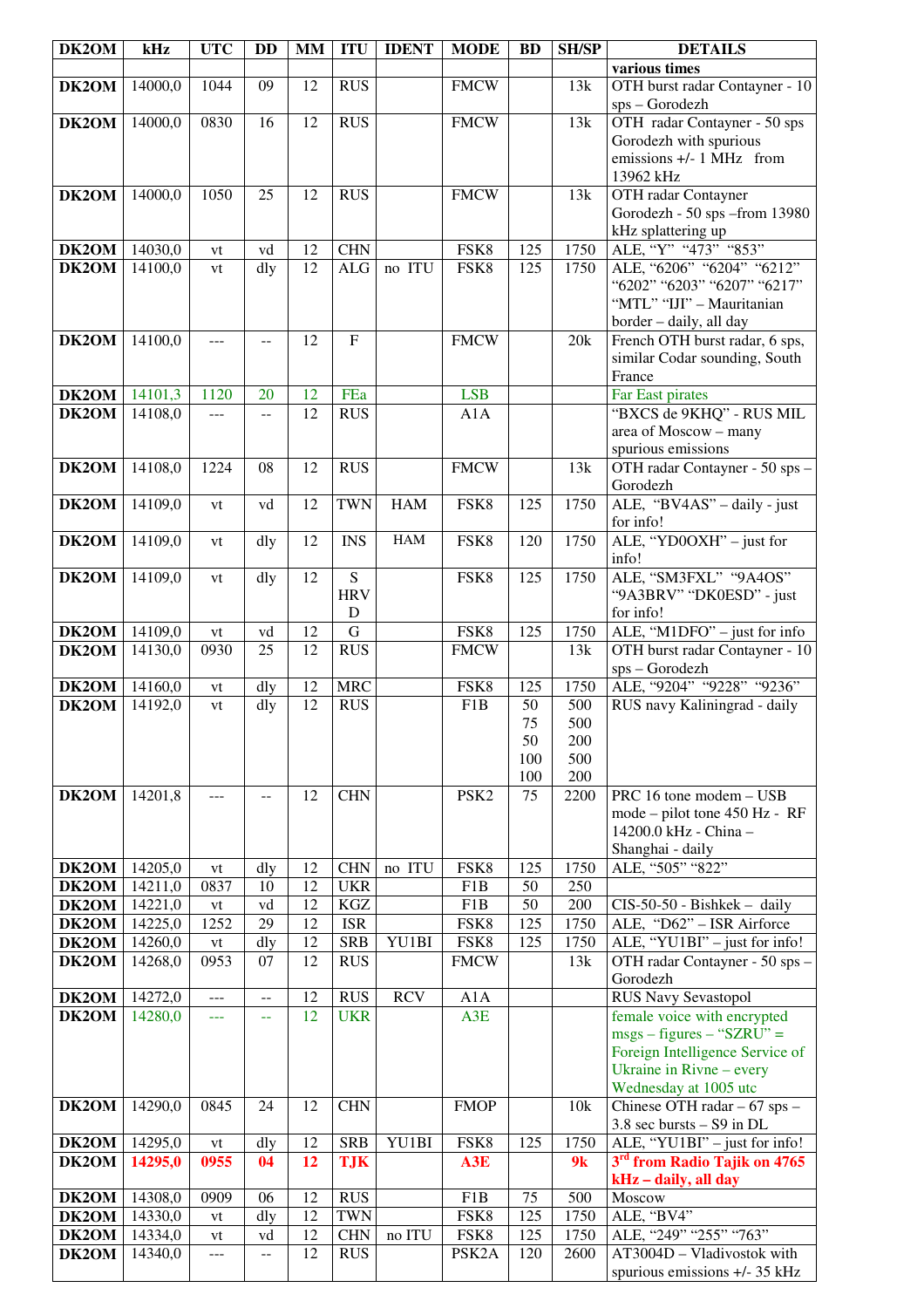| DK <sub>2</sub> OM | kHz     | <b>UTC</b>           | <b>DD</b> | <b>MM</b>       | <b>ITU</b>                   | <b>IDENT</b> | <b>MODE</b>        | <b>BD</b> | <b>SH/SP</b> | <b>DETAILS</b>                                                    |
|--------------------|---------|----------------------|-----------|-----------------|------------------------------|--------------|--------------------|-----------|--------------|-------------------------------------------------------------------|
|                    |         |                      |           |                 |                              |              |                    |           |              | various times                                                     |
| DK2OM              | 14000,0 | 1044                 | 09        | 12              | <b>RUS</b>                   |              | <b>FMCW</b>        |           | 13k          | OTH burst radar Contayner - 10<br>sps - Gorodezh                  |
| DK2OM              | 14000,0 | 0830                 | 16        | 12              | <b>RUS</b>                   |              | <b>FMCW</b>        |           | 13k          | OTH radar Contayner - 50 sps                                      |
|                    |         |                      |           |                 |                              |              |                    |           |              | Gorodezh with spurious                                            |
|                    |         |                      |           |                 |                              |              |                    |           |              | emissions +/- 1 MHz from                                          |
|                    |         |                      |           |                 |                              |              |                    |           |              | 13962 kHz                                                         |
| DK2OM              | 14000,0 | 1050                 | 25        | 12              | <b>RUS</b>                   |              | <b>FMCW</b>        |           | 13k          | OTH radar Contayner                                               |
|                    |         |                      |           |                 |                              |              |                    |           |              | Gorodezh - 50 sps - from 13980                                    |
|                    |         |                      |           |                 |                              |              |                    |           |              | kHz splattering up                                                |
| $\overline{D}K2OM$ | 14030,0 | vt                   | vd        | 12              | <b>CHN</b>                   |              | FSK8               | 125       | 1750         | ALE, "Y" "473" "853"                                              |
| DK2OM              | 14100,0 | vt                   | dly       | 12              | <b>ALG</b>                   | no ITU       | FSK8               | 125       | 1750         | ALE, "6206" "6204" "6212"                                         |
|                    |         |                      |           |                 |                              |              |                    |           |              | "6202" "6203" "6207" "6217"                                       |
|                    |         |                      |           |                 |                              |              |                    |           |              | "MTL" "IJI" - Mauritanian                                         |
| DK2OM              | 14100,0 | ---                  |           | 12              | ${\bf F}$                    |              | <b>FMCW</b>        |           | 20k          | border - daily, all day<br>French OTH burst radar, 6 sps,         |
|                    |         |                      |           |                 |                              |              |                    |           |              | similar Codar sounding, South                                     |
|                    |         |                      |           |                 |                              |              |                    |           |              | France                                                            |
| DK2OM              | 14101,3 | 1120                 | 20        | 12              | FEa                          |              | <b>LSB</b>         |           |              | Far East pirates                                                  |
| DK2OM              | 14108,0 | ---                  | --        | 12              | $R\overline{US}$             |              | A1A                |           |              | "BXCS de 9KHQ" - RUS MIL                                          |
|                    |         |                      |           |                 |                              |              |                    |           |              | area of Moscow - many                                             |
|                    |         |                      |           |                 |                              |              |                    |           |              | spurious emissions                                                |
| DK2OM              | 14108,0 | 1224                 | 08        | 12              | <b>RUS</b>                   |              | <b>FMCW</b>        |           | 13k          | OTH radar Contayner - 50 sps -                                    |
|                    |         |                      |           |                 |                              |              |                    |           |              | Gorodezh                                                          |
| DK2OM              | 14109,0 | vt                   | vd        | 12              | <b>TWN</b>                   | <b>HAM</b>   | FSK8               | 125       | 1750         | ALE, "BV4AS" - daily - just                                       |
|                    |         |                      |           |                 |                              |              |                    |           |              | for info!                                                         |
| DK2OM              | 14109,0 | vt                   | dly       | 12              | <b>INS</b>                   | <b>HAM</b>   | FSK8               | 120       | 1750         | ALE, "YD0OXH" - just for                                          |
|                    |         |                      |           |                 |                              |              |                    |           |              | info!                                                             |
| DK2OM              | 14109,0 | vt                   | dly       | 12              | $\overline{S}$<br><b>HRV</b> |              | FSK8               | 125       | 1750         | ALE, "SM3FXL" "9A4OS"                                             |
|                    |         |                      |           |                 | D                            |              |                    |           |              | "9A3BRV" "DK0ESD" - just<br>for info!                             |
| DK2OM              | 14109,0 | vt                   | vd        | 12              | $\mathbf G$                  |              | FSK8               | 125       | 1750         | ALE, "M1DFO" - just for info                                      |
| DK2OM              | 14130,0 | 0930                 | 25        | 12              | <b>RUS</b>                   |              | <b>FMCW</b>        |           | 13k          | OTH burst radar Contayner - 10                                    |
|                    |         |                      |           |                 |                              |              |                    |           |              | sps - Gorodezh                                                    |
| DK2OM              | 14160,0 | vt                   | dly       | 12              | <b>MRC</b>                   |              | FSK8               | 125       | 1750         | ALE, "9204" "9228" "9236"                                         |
| DK2OM              | 14192,0 | vt                   | dly       | $\overline{12}$ | <b>RUS</b>                   |              | F1B                | 50        | 500          | RUS navy Kaliningrad - daily                                      |
|                    |         |                      |           |                 |                              |              |                    | 75        | 500          |                                                                   |
|                    |         |                      |           |                 |                              |              |                    | 50        | 200          |                                                                   |
|                    |         |                      |           |                 |                              |              |                    | 100       | 500          |                                                                   |
|                    |         |                      |           |                 |                              |              |                    | 100       | 200          |                                                                   |
| DK2OM              | 14201,8 | ---                  | --        | 12              | <b>CHN</b>                   |              | PSK <sub>2</sub>   | 75        | 2200         | PRC 16 tone modem - USB                                           |
|                    |         |                      |           |                 |                              |              |                    |           |              | mode – pilot tone 450 Hz - RF<br>14200.0 kHz - China -            |
|                    |         |                      |           |                 |                              |              |                    |           |              | Shanghai - daily                                                  |
| DK2OM              | 14205,0 | vt                   | dly       | 12              | <b>CHN</b>                   | no ITU       | FSK8               | 125       | 1750         | ALE, "505" "822"                                                  |
| DK2OM              | 14211,0 | 0837                 | 10        | 12              | <b>UKR</b>                   |              | F1B                | 50        | 250          |                                                                   |
| DK2OM              | 14221,0 | vt                   | vd        | 12              | $\rm KGZ$                    |              | F1B                | 50        | 200          | CIS-50-50 - Bishkek - daily                                       |
| DK2OM              | 14225,0 | 1252                 | 29        | 12              | <b>ISR</b>                   |              | FSK8               | 125       | 1750         | ALE, "D62" - ISR Airforce                                         |
| DK2OM              | 14260,0 | vt                   | dly       | 12              | <b>SRB</b>                   | YU1BI        | FSK8               | 125       | 1750         | $\overline{\text{ALE}}, \text{``YU1BI''} - \text{just for info!}$ |
| DK2OM              | 14268,0 | 0953                 | 07        | 12              | <b>RUS</b>                   |              | <b>FMCW</b>        |           | 13k          | OTH radar Contayner - 50 sps -                                    |
|                    |         |                      |           |                 |                              |              |                    |           |              | Gorodezh                                                          |
| DK2OM              | 14272,0 | $---$                | $-$       | 12              | <b>RUS</b>                   | <b>RCV</b>   | A1A                |           |              | <b>RUS Navy Sevastopol</b>                                        |
| DK2OM              | 14280,0 | $\sim$ $\sim$ $\sim$ | 44        | 12              | <b>UKR</b>                   |              | A3E                |           |              | female voice with encrypted                                       |
|                    |         |                      |           |                 |                              |              |                    |           |              | $msgs - figures - "SZRU" =$                                       |
|                    |         |                      |           |                 |                              |              |                    |           |              | Foreign Intelligence Service of<br>Ukraine in Rivne - every       |
|                    |         |                      |           |                 |                              |              |                    |           |              | Wednesday at 1005 utc                                             |
| DK2OM              | 14290,0 | 0845                 | 24        | 12              | <b>CHN</b>                   |              | <b>FMOP</b>        |           | 10k          | Chinese OTH radar - 67 sps -                                      |
|                    |         |                      |           |                 |                              |              |                    |           |              | 3.8 sec bursts - S9 in DL                                         |
| DK2OM              | 14295,0 | vt                   | dly       | 12              | <b>SRB</b>                   | YU1BI        | FSK8               | 125       | 1750         | ALE, "YU1BI" - just for info!                                     |
| DK2OM              | 14295,0 | 0955                 | 04        | 12              | <b>TJK</b>                   |              | A3E                |           | 9k           | 3 <sup>rd</sup> from Radio Tajik on 4765                          |
|                    |         |                      |           |                 |                              |              |                    |           |              | kHz - daily, all day                                              |
| DK2OM              | 14308,0 | 0909                 | 06        | 12              | <b>RUS</b>                   |              | F1B                | 75        | 500          | Moscow                                                            |
| DK2OM              | 14330,0 | vt                   | dly       | 12              | <b>TWN</b>                   |              | FSK8               | 125       | 1750         | ALE, "BV4"                                                        |
| DK2OM              | 14334,0 | vt                   | vd        | 12              | <b>CHN</b>                   | no ITU       | FSK8               | 125       | 1750         | ALE, "249" "255" "763"                                            |
| DK2OM              | 14340,0 | ---                  | $- -$     | 12              | <b>RUS</b>                   |              | PSK <sub>2</sub> A | 120       | 2600         | AT3004D - Vladivostok with                                        |
|                    |         |                      |           |                 |                              |              |                    |           |              | spurious emissions +/- 35 kHz                                     |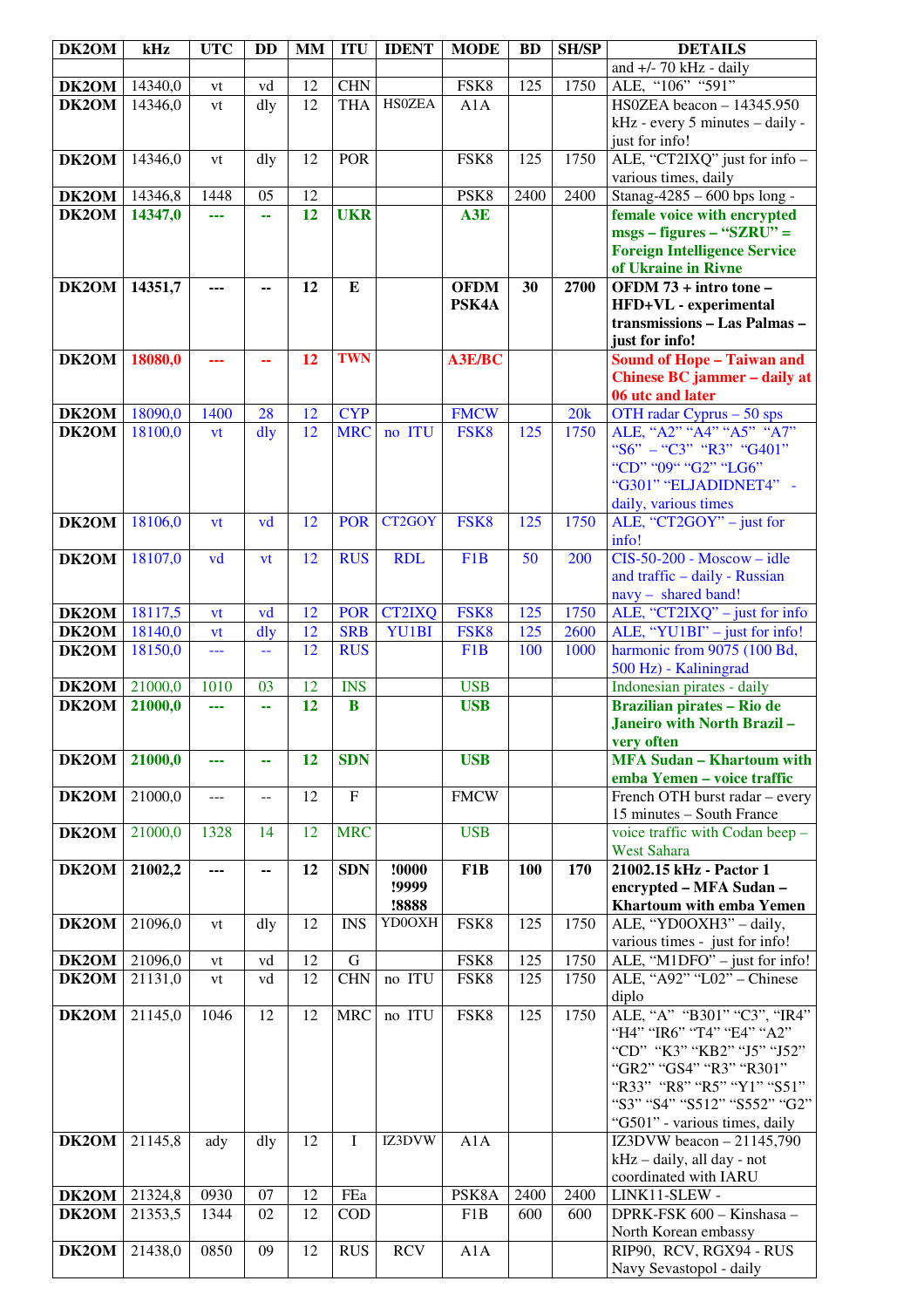| DK2OM          | kHz                | <b>UTC</b>   | <b>DD</b> | <b>MM</b>       | <b>ITU</b>                | <b>IDENT</b>  | <b>MODE</b>      | <b>BD</b>   | <b>SH/SP</b> | <b>DETAILS</b>                                              |
|----------------|--------------------|--------------|-----------|-----------------|---------------------------|---------------|------------------|-------------|--------------|-------------------------------------------------------------|
|                |                    |              |           |                 |                           |               |                  |             |              | and $+/- 70$ kHz - daily                                    |
| <b>DK2OM</b>   | 14340,0            | vt           | vd        | 12              | <b>CHN</b>                |               | FSK8             | 125         | 1750         | ALE, "106" "591"                                            |
| DK2OM          | 14346,0            | vt           | dly       | $\overline{12}$ | <b>THA</b>                | <b>HS0ZEA</b> | A1A              |             |              | HS0ZEA beacon - 14345.950                                   |
|                |                    |              |           |                 |                           |               |                  |             |              | kHz - every 5 minutes - daily -                             |
|                |                    |              |           |                 |                           |               |                  |             |              | just for info!                                              |
| DK2OM          | 14346,0            | vt           | dly       | 12              | <b>POR</b>                |               | FSK8             | 125         | 1750         | ALE, "CT2IXQ" just for info -                               |
|                |                    |              |           | $\overline{12}$ |                           |               |                  | 2400        |              | various times, daily                                        |
| DK2OM          | 14346,8            | 1448         | 05        | 12              | <b>UKR</b>                |               | PSK8             |             | 2400         | Stanag-4285 - 600 bps long -                                |
| DK2OM          | 14347,0            | ---          | 44        |                 |                           |               | A3E              |             |              | female voice with encrypted<br>$msgs - figures - "SZRU" =$  |
|                |                    |              |           |                 |                           |               |                  |             |              | <b>Foreign Intelligence Service</b>                         |
|                |                    |              |           |                 |                           |               |                  |             |              | of Ukraine in Rivne                                         |
| DK2OM          | 14351,7            | ---          | --        | 12              | E                         |               | <b>OFDM</b>      | 30          | 2700         | OFDM 73 + intro tone -                                      |
|                |                    |              |           |                 |                           |               | PSK4A            |             |              | HFD+VL - experimental                                       |
|                |                    |              |           |                 |                           |               |                  |             |              | transmissions - Las Palmas -                                |
|                |                    |              |           |                 |                           |               |                  |             |              | just for info!                                              |
| DK2OM          | 18080,0            | ---          | 44        | 12              | <b>TWN</b>                |               | A3E/BC           |             |              | <b>Sound of Hope - Taiwan and</b>                           |
|                |                    |              |           |                 |                           |               |                  |             |              | Chinese BC jammer - daily at                                |
|                |                    |              |           |                 |                           |               |                  |             |              | 06 utc and later                                            |
| <b>DK2OM</b>   | 18090,0            | 1400         | 28        | 12              | <b>CYP</b>                |               | <b>FMCW</b>      |             | 20k          | OTH radar Cyprus - 50 sps                                   |
| DK2OM          | 18100,0            | vt           | dly       | 12              | <b>MRC</b>                | no ITU        | FSK8             | 125         | 1750         | ALE, "A2" "A4" "A5" "A7"                                    |
|                |                    |              |           |                 |                           |               |                  |             |              | "S6" - "C3" "R3" "G401"<br>"CD" "09" "G2" "LG6"             |
|                |                    |              |           |                 |                           |               |                  |             |              | "G301" "ELJADIDNET4" -                                      |
|                |                    |              |           |                 |                           |               |                  |             |              | daily, various times                                        |
| DK2OM          | 18106,0            | vt           | vd        | 12              | <b>POR</b>                | CT2GOY        | FSK8             | 125         | 1750         | ALE, "CT2GOY" – just for                                    |
|                |                    |              |           |                 |                           |               |                  |             |              | info!                                                       |
| DK2OM          | 18107,0            | vd           | vt        | 12              | <b>RUS</b>                | <b>RDL</b>    | F <sub>1</sub> B | 50          | 200          | $CIS-50-200$ - Moscow - idle                                |
|                |                    |              |           |                 |                           |               |                  |             |              | and traffic - daily - Russian                               |
|                |                    |              |           |                 |                           |               |                  |             |              | navy - shared band!                                         |
| DK2OM          | 18117,5            | <b>vt</b>    | vd        | 12              | <b>POR</b>                | <b>CT2IXQ</b> | FSK8             | 125         | 1750         | ALE, "CT2IXQ" $-$ just for info                             |
| DK2OM          | 18140,0            | vt           | $d$ ly    | 12              | <b>SRB</b>                | YU1BI         | FSK8             | 125         | 2600         | ALE, "YU1BI" - just for info!                               |
| DK2OM          | 18150,0            | ---          | 44        | 12              | <b>RUS</b>                |               | F <sub>1</sub> B | 100         | 1000         | harmonic from 9075 (100 Bd,                                 |
|                |                    |              |           |                 |                           |               |                  |             |              | 500 Hz) - Kaliningrad                                       |
| DK2OM          | 21000,0            | 1010         | 03        | 12              | <b>INS</b>                |               | <b>USB</b>       |             |              | Indonesian pirates - daily                                  |
| DK2OM          | 21000,0            | ---          | 44        | 12              | $\bf{B}$                  |               | <b>USB</b>       |             |              | <b>Brazilian pirates - Rio de</b>                           |
|                |                    |              |           |                 |                           |               |                  |             |              | Janeiro with North Brazil-                                  |
| DK2OM          | 21000,0            | ---          | 44        | 12              | <b>SDN</b>                |               | <b>USB</b>       |             |              | very often<br><b>MFA Sudan - Khartoum with</b>              |
|                |                    |              |           |                 |                           |               |                  |             |              | emba Yemen - voice traffic                                  |
| DK2OM          | 21000,0            | $---$        | $-$       | 12              | $\boldsymbol{\mathrm{F}}$ |               | <b>FMCW</b>      |             |              | French OTH burst radar - every                              |
|                |                    |              |           |                 |                           |               |                  |             |              | 15 minutes - South France                                   |
| DK2OM          | 21000,0            | 1328         | 14        | 12              | <b>MRC</b>                |               | <b>USB</b>       |             |              | voice traffic with Codan beep -                             |
|                |                    |              |           |                 |                           |               |                  |             |              | <b>West Sahara</b>                                          |
| DK2OM          | 21002,2            | ---          | --        | 12              | <b>SDN</b>                | !0000         | F1B              | 100         | 170          | 21002.15 kHz - Pactor 1                                     |
|                |                    |              |           |                 |                           | !9999         |                  |             |              | encrypted - MFA Sudan -                                     |
|                |                    |              |           |                 |                           | !8888         |                  |             |              | Khartoum with emba Yemen                                    |
| DK2OM          | 21096,0            | vt           | dly       | 12              | <b>INS</b>                | YD0OXH        | FSK8             | 125         | 1750         | ALE, "YD0OXH3" - daily,                                     |
|                |                    |              |           | 12              | ${\bf G}$                 |               |                  | 125         |              | various times - just for info!                              |
| DK2OM<br>DK2OM | 21096,0<br>21131,0 | vt<br>vt     | vd<br>vd  | 12              | <b>CHN</b>                | no ITU        | FSK8<br>FSK8     | 125         | 1750<br>1750 | ALE, "M1DFO" - just for info!<br>ALE, "A92" "L02" - Chinese |
|                |                    |              |           |                 |                           |               |                  |             |              | diplo                                                       |
| DK2OM          | 21145,0            | 1046         | 12        | 12              | <b>MRC</b>                | no ITU        | FSK8             | 125         | 1750         | ALE, "A" "B301" "C3", "IR4"                                 |
|                |                    |              |           |                 |                           |               |                  |             |              | "H4" "IR6" "T4" "E4" "A2"                                   |
|                |                    |              |           |                 |                           |               |                  |             |              | "CD" "K3" "KB2" "J5" "J52"                                  |
|                |                    |              |           |                 |                           |               |                  |             |              | "GR2" "GS4" "R3" "R301"                                     |
|                |                    |              |           |                 |                           |               |                  |             |              | "R33" "R8" "R5" "Y1" "S51"                                  |
|                |                    |              |           |                 |                           |               |                  |             |              | "S3" "S4" "S512" "S552" "G2"                                |
|                |                    |              |           |                 |                           |               |                  |             |              | "G501" - various times, daily                               |
| DK2OM          | 21145,8            | ady          | dly       | 12              | I                         | IZ3DVW        | A1A              |             |              | IZ3DVW beacon $-21145,790$                                  |
|                |                    |              |           |                 |                           |               |                  |             |              | kHz - daily, all day - not                                  |
|                |                    |              |           |                 |                           |               |                  |             |              | coordinated with IARU                                       |
| DK2OM<br>DK2OM | 21324,8<br>21353,5 | 0930<br>1344 | 07<br>02  | 12<br>12        | FEa<br><b>COD</b>         |               | PSK8A<br>F1B     | 2400<br>600 | 2400<br>600  | LINK11-SLEW -<br>DPRK-FSK 600 - Kinshasa -                  |
|                |                    |              |           |                 |                           |               |                  |             |              | North Korean embassy                                        |
| DK2OM          | 21438,0            | 0850         | 09        | 12              | <b>RUS</b>                | <b>RCV</b>    | A1A              |             |              | RIP90, RCV, RGX94 - RUS                                     |
|                |                    |              |           |                 |                           |               |                  |             |              | Navy Sevastopol - daily                                     |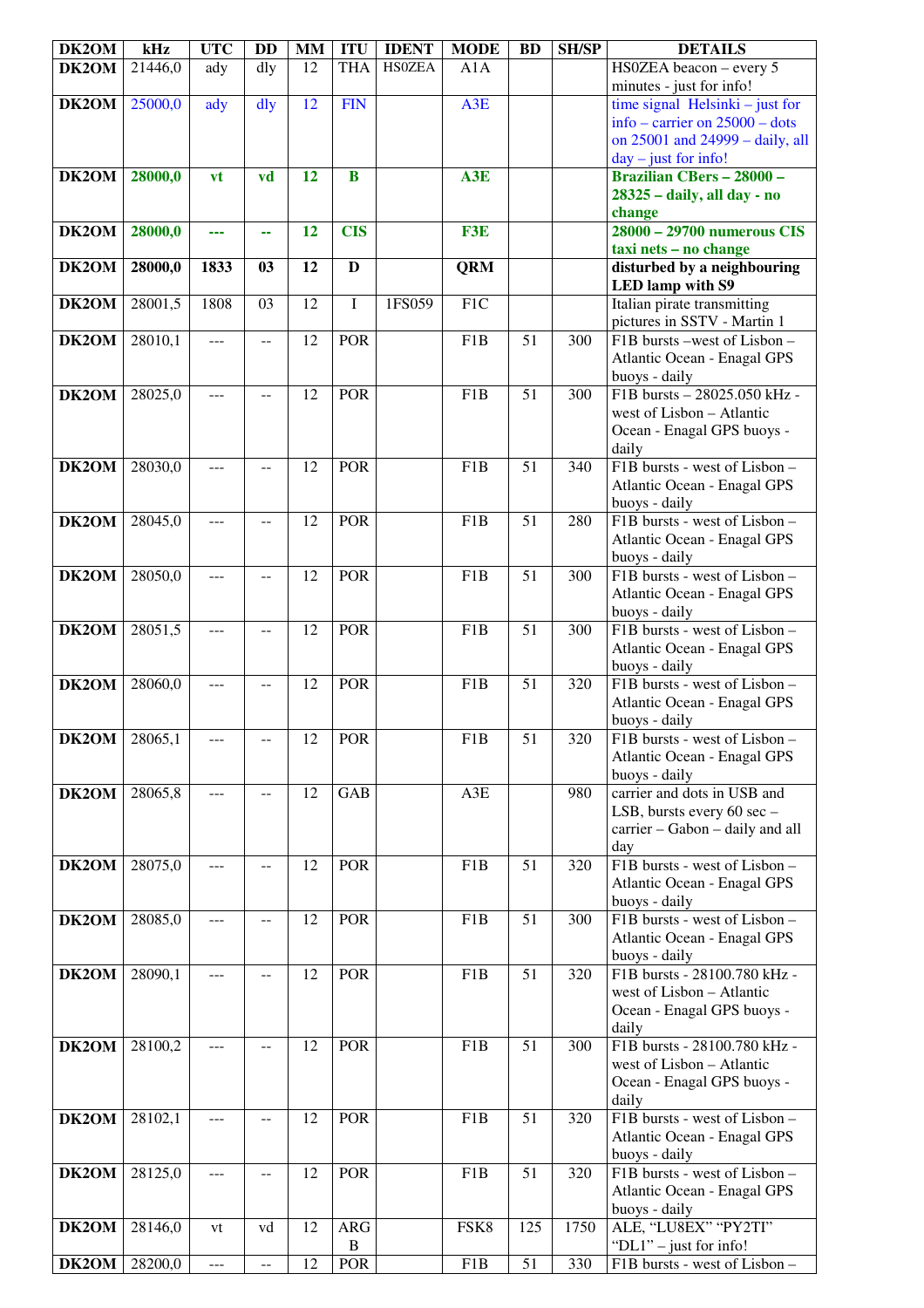| DK2OM | kHz     | <b>UTC</b> | <b>DD</b> | <b>MM</b> | <b>ITU</b>          | <b>IDENT</b>  | <b>MODE</b>      | <b>BD</b>       | <b>SH/SP</b>     | <b>DETAILS</b>                                                      |
|-------|---------|------------|-----------|-----------|---------------------|---------------|------------------|-----------------|------------------|---------------------------------------------------------------------|
| DK2OM | 21446,0 | ady        | dly       | 12        | <b>THA</b>          | <b>HSOZEA</b> | A1A              |                 |                  | HS0ZEA beacon - every 5<br>minutes - just for info!                 |
| DK2OM | 25000,0 | ady        | dly       | 12        | <b>FIN</b>          |               | A3E              |                 |                  | time signal Helsinki $-$ just for                                   |
|       |         |            |           |           |                     |               |                  |                 |                  | info – carrier on $25000$ – dots                                    |
|       |         |            |           |           |                     |               |                  |                 |                  | on 25001 and 24999 - daily, all<br>$day - just for info!$           |
| DK2OM | 28000,0 | vt         | vd        | 12        | $\bf{B}$            |               | A3E              |                 |                  | <b>Brazilian CBers - 28000 -</b>                                    |
|       |         |            |           |           |                     |               |                  |                 |                  | 28325 - daily, all day - no                                         |
| DK2OM | 28000,0 |            |           | 12        | <b>CIS</b>          |               | F3E              |                 |                  | change<br>28000 - 29700 numerous CIS                                |
|       |         | ---        | 44        |           |                     |               |                  |                 |                  | taxi nets - no change                                               |
| DK2OM | 28000,0 | 1833       | 03        | 12        | $\mathbf{D}$        |               | <b>QRM</b>       |                 |                  | disturbed by a neighbouring                                         |
| DK2OM | 28001,5 | 1808       | 03        | 12        | I                   | 1FS059        | F1C              |                 |                  | <b>LED</b> lamp with S9<br>Italian pirate transmitting              |
|       |         |            |           |           |                     |               |                  |                 |                  | pictures in SSTV - Martin 1                                         |
| DK2OM | 28010,1 | $- - -$    | $-$       | 12        | POR                 |               | F1B              | $\overline{51}$ | $\overline{300}$ | F1B bursts -west of Lisbon -                                        |
|       |         |            |           |           |                     |               |                  |                 |                  | Atlantic Ocean - Enagal GPS                                         |
| DK2OM | 28025,0 | ---        |           | 12        | <b>POR</b>          |               | F1B              | 51              | 300              | buoys - daily<br>F1B bursts - 28025.050 kHz -                       |
|       |         |            |           |           |                     |               |                  |                 |                  | west of Lisbon - Atlantic                                           |
|       |         |            |           |           |                     |               |                  |                 |                  | Ocean - Enagal GPS buoys -                                          |
| DK2OM | 28030,0 | ---        | $-$       | 12        | <b>POR</b>          |               | F1B              | 51              | 340              | daily<br>F1B bursts - west of Lisbon -                              |
|       |         |            |           |           |                     |               |                  |                 |                  | Atlantic Ocean - Enagal GPS                                         |
|       |         |            |           |           |                     |               |                  |                 |                  | buoys - daily                                                       |
| DK2OM | 28045,0 | ---        |           | 12        | POR                 |               | F1B              | 51              | 280              | F1B bursts - west of Lisbon -<br>Atlantic Ocean - Enagal GPS        |
|       |         |            |           |           |                     |               |                  |                 |                  | buoys - daily                                                       |
| DK2OM | 28050,0 | ---        | $-$       | 12        | <b>POR</b>          |               | F1B              | $\overline{51}$ | 300              | F1B bursts - west of Lisbon -                                       |
|       |         |            |           |           |                     |               |                  |                 |                  | Atlantic Ocean - Enagal GPS<br>buoys - daily                        |
| DK2OM | 28051,5 | ---        | --        | 12        | POR                 |               | F1B              | 51              | 300              | F1B bursts - west of Lisbon -                                       |
|       |         |            |           |           |                     |               |                  |                 |                  | Atlantic Ocean - Enagal GPS                                         |
| DK2OM | 28060,0 | ---        |           | 12        | POR                 |               | F1B              | 51              | 320              | buoys - daily<br>F1B bursts - west of Lisbon -                      |
|       |         |            |           |           |                     |               |                  |                 |                  | Atlantic Ocean - Enagal GPS                                         |
|       |         |            |           |           |                     |               |                  |                 |                  | buoys - daily                                                       |
| DK2OM | 28065,1 |            |           | 12        | POR                 |               | F1B              | $\overline{51}$ | 320              | F1B bursts - west of Lisbon -<br>Atlantic Ocean - Enagal GPS        |
|       |         |            |           |           |                     |               |                  |                 |                  | buoys - daily                                                       |
| DK2OM | 28065,8 | ---        | $-$       | 12        | <b>GAB</b>          |               | A3E              |                 | 980              | carrier and dots in USB and                                         |
|       |         |            |           |           |                     |               |                  |                 |                  | LSB, bursts every 60 sec -<br>carrier - Gabon - daily and all       |
|       |         |            |           |           |                     |               |                  |                 |                  | day                                                                 |
| DK2OM | 28075,0 | ---        | --        | 12        | POR                 |               | F <sub>1</sub> B | 51              | 320              | F1B bursts - west of Lisbon -<br><b>Atlantic Ocean - Enagal GPS</b> |
|       |         |            |           |           |                     |               |                  |                 |                  | buoys - daily                                                       |
| DK2OM | 28085,0 | ---        | $-$       | 12        | POR                 |               | F1B              | 51              | 300              | F1B bursts - west of Lisbon -                                       |
|       |         |            |           |           |                     |               |                  |                 |                  | Atlantic Ocean - Enagal GPS<br>buoys - daily                        |
| DK2OM | 28090,1 | ---        | --        | 12        | <b>POR</b>          |               | F1B              | 51              | 320              | F1B bursts - 28100.780 kHz -                                        |
|       |         |            |           |           |                     |               |                  |                 |                  | west of Lisbon - Atlantic                                           |
|       |         |            |           |           |                     |               |                  |                 |                  | Ocean - Enagal GPS buoys -<br>daily                                 |
| DK2OM | 28100,2 | ---        | $-$       | 12        | <b>POR</b>          |               | F1B              | 51              | 300              | F1B bursts - 28100.780 kHz -                                        |
|       |         |            |           |           |                     |               |                  |                 |                  | west of Lisbon - Atlantic                                           |
|       |         |            |           |           |                     |               |                  |                 |                  | Ocean - Enagal GPS buoys -<br>daily                                 |
| DK2OM | 28102,1 | ---        | $- -$     | 12        | <b>POR</b>          |               | F1B              | 51              | 320              | F1B bursts - west of Lisbon -                                       |
|       |         |            |           |           |                     |               |                  |                 |                  | Atlantic Ocean - Enagal GPS                                         |
| DK2OM | 28125,0 | ---        | $-$       | 12        | POR                 |               | F1B              | 51              | 320              | buoys - daily<br>F1B bursts - west of Lisbon -                      |
|       |         |            |           |           |                     |               |                  |                 |                  | Atlantic Ocean - Enagal GPS                                         |
|       |         |            |           |           |                     |               |                  |                 |                  | buoys - daily                                                       |
| DK2OM | 28146,0 | vt         | vd        | 12        | ARG<br>$\, {\bf B}$ |               | FSK8             | 125             | 1750             | ALE, "LU8EX" "PY2TI"<br>"DL1" - just for info!                      |
| DK2OM | 28200,0 | ---        | $-$       | 12        | <b>POR</b>          |               | F1B              | 51              | 330              | F1B bursts - west of Lisbon -                                       |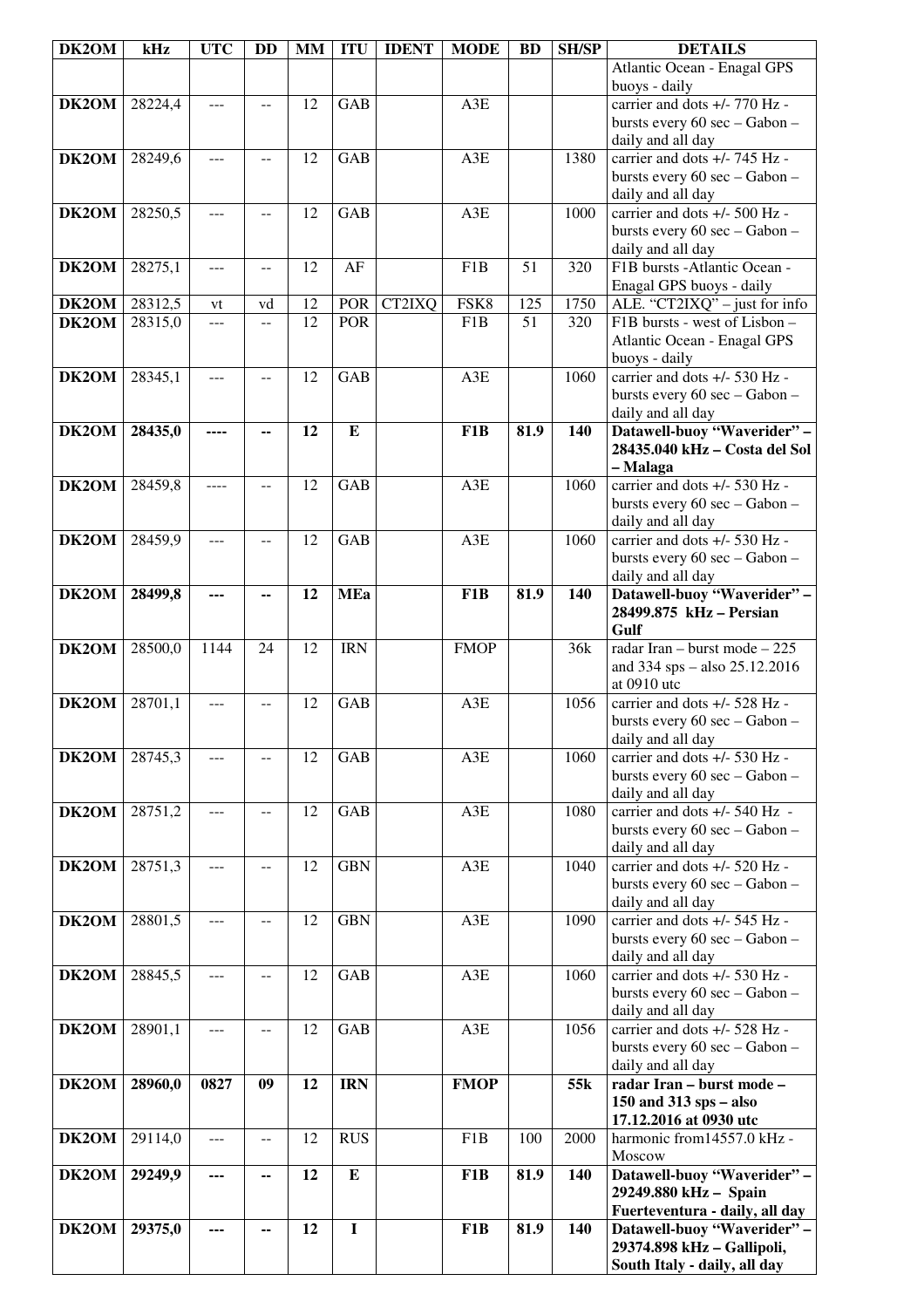| DK2OM        | kHz     | <b>UTC</b> | <b>DD</b>      | MM | <b>ITU</b> | <b>IDENT</b> | <b>MODE</b>      | <b>BD</b> | <b>SH/SP</b> | <b>DETAILS</b>                                                 |
|--------------|---------|------------|----------------|----|------------|--------------|------------------|-----------|--------------|----------------------------------------------------------------|
|              |         |            |                |    |            |              |                  |           |              | Atlantic Ocean - Enagal GPS<br>buoys - daily                   |
| DK2OM        | 28224,4 | ---        | $-$            | 12 | <b>GAB</b> |              | A3E              |           |              | carrier and dots +/- 770 Hz -                                  |
|              |         |            |                |    |            |              |                  |           |              | bursts every 60 sec - Gabon -                                  |
|              |         |            |                |    |            |              |                  |           |              | daily and all day                                              |
| DK2OM        | 28249,6 | ---        | $-$            | 12 | <b>GAB</b> |              | A3E              |           | 1380         | carrier and dots +/- 745 Hz -                                  |
|              |         |            |                |    |            |              |                  |           |              | bursts every 60 sec - Gabon -                                  |
| DK2OM        |         |            |                |    | <b>GAB</b> |              |                  |           |              | daily and all day<br>carrier and dots +/- 500 Hz -             |
|              | 28250,5 | $---$      | $-$            | 12 |            |              | A3E              |           | 1000         | bursts every 60 sec - Gabon -                                  |
|              |         |            |                |    |            |              |                  |           |              | daily and all day                                              |
| DK2OM        | 28275,1 | $---$      | $- -$          | 12 | AF         |              | F1B              | 51        | 320          | F1B bursts -Atlantic Ocean -                                   |
|              |         |            |                |    |            |              |                  |           |              | Enagal GPS buoys - daily                                       |
| <b>DK2OM</b> | 28312,5 | vt         | vd             | 12 | POR        | CT2IXQ       | FSK8             | 125       | 1750         | ALE. "CT2IXQ" - just for info                                  |
| DK2OM        | 28315,0 | ---        | $-$            | 12 | <b>POR</b> |              | F1B              | 51        | 320          | F1B bursts - west of Lisbon -                                  |
|              |         |            |                |    |            |              |                  |           |              | Atlantic Ocean - Enagal GPS                                    |
| DK2OM        | 28345,1 | ---        |                | 12 | GAB        |              | A3E              |           | 1060         | buoys - daily<br>carrier and dots +/- 530 Hz -                 |
|              |         |            |                |    |            |              |                  |           |              | bursts every 60 sec - Gabon -                                  |
|              |         |            |                |    |            |              |                  |           |              | daily and all day                                              |
| DK2OM        | 28435,0 |            |                | 12 | ${\bf E}$  |              | F <sub>1</sub> B | 81.9      | 140          | Datawell-buoy "Waverider" -                                    |
|              |         |            |                |    |            |              |                  |           |              | 28435.040 kHz - Costa del Sol                                  |
|              |         |            |                |    |            |              |                  |           |              | - Malaga                                                       |
| DK2OM        | 28459,8 |            | $-$            | 12 | <b>GAB</b> |              | A3E              |           | 1060         | carrier and dots +/- 530 Hz -                                  |
|              |         |            |                |    |            |              |                  |           |              | bursts every 60 sec - Gabon -                                  |
| DK2OM        | 28459,9 | $---$      | $-$            | 12 | <b>GAB</b> |              | A3E              |           | 1060         | daily and all day<br>carrier and dots +/- 530 Hz -             |
|              |         |            |                |    |            |              |                  |           |              | bursts every 60 sec - Gabon -                                  |
|              |         |            |                |    |            |              |                  |           |              | daily and all day                                              |
| <b>DK2OM</b> | 28499,8 | ---        | --             | 12 | <b>MEa</b> |              | F <sub>1</sub> B | 81.9      | 140          | Datawell-buoy "Waverider" -                                    |
|              |         |            |                |    |            |              |                  |           |              | 28499.875 kHz - Persian                                        |
|              |         |            |                |    |            |              |                  |           |              | Gulf                                                           |
| DK2OM        | 28500,0 | 1144       | 24             | 12 | <b>IRN</b> |              | <b>FMOP</b>      |           | 36k          | radar Iran – burst mode – 225                                  |
|              |         |            |                |    |            |              |                  |           |              | and 334 sps - also 25.12.2016<br>at 0910 utc                   |
| DK2OM        | 28701,1 | $---$      | --             | 12 | GAB        |              | A3E              |           | 1056         | carrier and dots +/- 528 Hz -                                  |
|              |         |            |                |    |            |              |                  |           |              | bursts every 60 sec - Gabon -                                  |
|              |         |            |                |    |            |              |                  |           |              | daily and all day                                              |
| DK2OM        | 28745,3 |            |                | 12 | GAB        |              | A3E              |           | 1060         | carrier and dots +/- 530 Hz -                                  |
|              |         |            |                |    |            |              |                  |           |              | bursts every 60 sec - Gabon -                                  |
| DK2OM        | 28751,2 | ---        | $-$            | 12 | GAB        |              | A3E              |           | 1080         | daily and all day<br>carrier and dots +/- 540 Hz -             |
|              |         |            |                |    |            |              |                  |           |              | bursts every 60 sec - Gabon -                                  |
|              |         |            |                |    |            |              |                  |           |              | daily and all day                                              |
| DK2OM        | 28751,3 | ---        | $\overline{a}$ | 12 | <b>GBN</b> |              | A3E              |           | 1040         | carrier and dots $+/- 520$ Hz -                                |
|              |         |            |                |    |            |              |                  |           |              | bursts every 60 sec - Gabon -                                  |
|              |         |            |                |    |            |              |                  |           |              | daily and all day                                              |
| <b>DK2OM</b> | 28801,5 | ---        | $-$            | 12 | <b>GBN</b> |              | $A3E$            |           | 1090         | carrier and dots +/- 545 Hz -<br>bursts every 60 sec - Gabon - |
|              |         |            |                |    |            |              |                  |           |              | daily and all day                                              |
| DK2OM        | 28845,5 | ---        | $-$            | 12 | GAB        |              | A3E              |           | 1060         | carrier and dots +/- 530 Hz -                                  |
|              |         |            |                |    |            |              |                  |           |              | bursts every 60 sec - Gabon -                                  |
|              |         |            |                |    |            |              |                  |           |              | daily and all day                                              |
| DK2OM        | 28901,1 | $- - -$    | $-$            | 12 | GAB        |              | A3E              |           | 1056         | carrier and dots +/- 528 Hz -<br>bursts every 60 sec - Gabon - |
|              |         |            |                |    |            |              |                  |           |              | daily and all day                                              |
| DK2OM        | 28960,0 | 0827       | 09             | 12 | <b>IRN</b> |              | <b>FMOP</b>      |           | 55k          | radar Iran - burst mode -                                      |
|              |         |            |                |    |            |              |                  |           |              | $150$ and $313$ sps – also                                     |
|              |         |            |                |    |            |              |                  |           |              | 17.12.2016 at 0930 utc                                         |
| DK2OM        | 29114,0 | ---        | $- -$          | 12 | <b>RUS</b> |              | F <sub>1</sub> B | 100       | 2000         | harmonic from 14557.0 kHz -<br>Moscow                          |
| DK2OM        | 29249,9 | ---        | --             | 12 | ${\bf E}$  |              | F <sub>1</sub> B | 81.9      | 140          | Datawell-buoy "Waverider" -                                    |
|              |         |            |                |    |            |              |                  |           |              | 29249.880 kHz - Spain                                          |
|              |         |            |                |    |            |              |                  |           |              | Fuerteventura - daily, all day                                 |
| DK2OM        | 29375,0 | ---        | ۰.             | 12 | $\bf{I}$   |              | F1B              | 81.9      | 140          | Datawell-buoy "Waverider" -                                    |
|              |         |            |                |    |            |              |                  |           |              | 29374.898 kHz - Gallipoli,                                     |
|              |         |            |                |    |            |              |                  |           |              | South Italy - daily, all day                                   |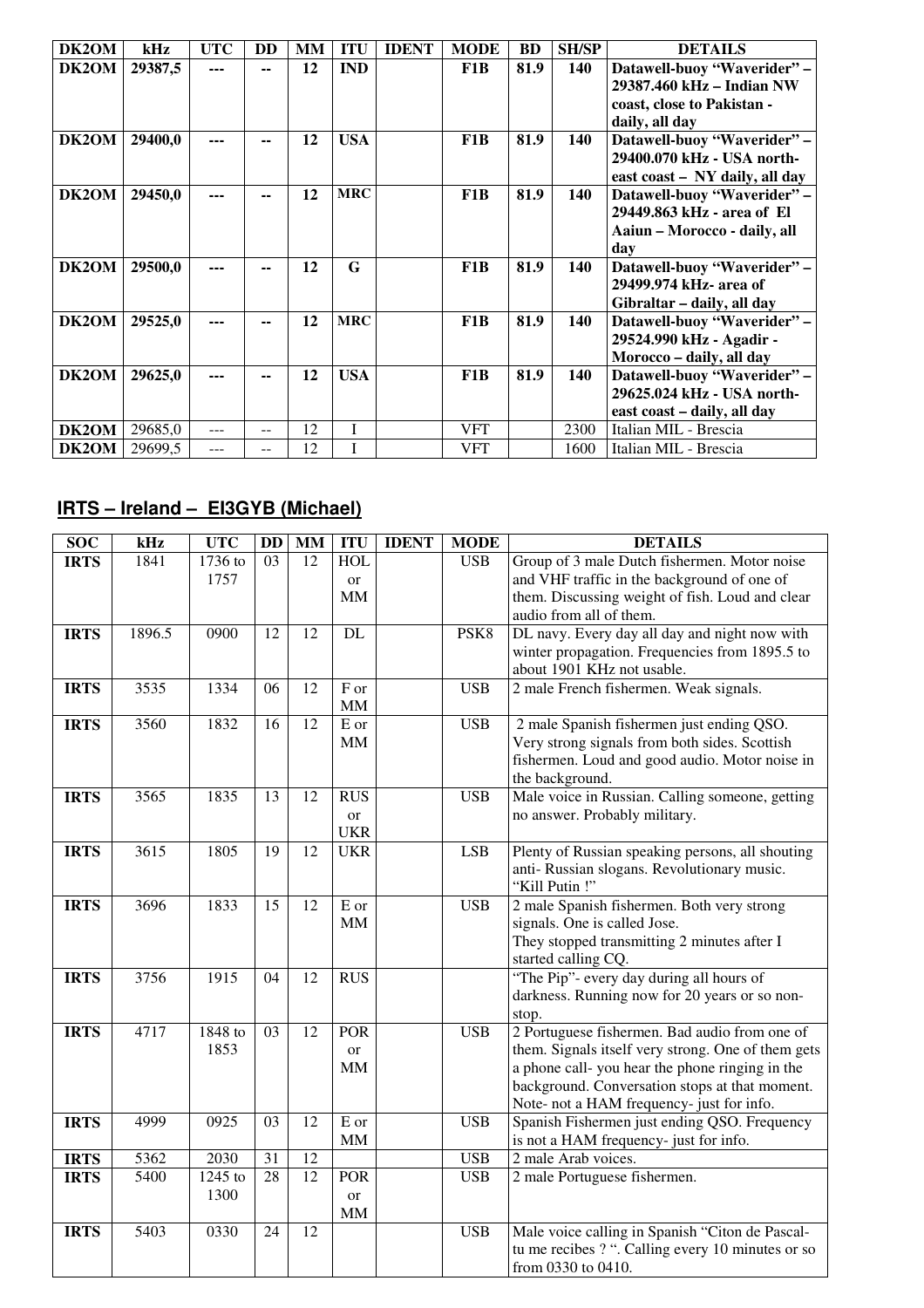| DK2OM | kHz     | <b>UTC</b> | <b>DD</b> | <b>MM</b> | <b>ITU</b> | <b>IDENT</b> | <b>MODE</b>      | <b>BD</b> | <b>SH/SP</b> | <b>DETAILS</b>                 |
|-------|---------|------------|-----------|-----------|------------|--------------|------------------|-----------|--------------|--------------------------------|
| DK2OM | 29387,5 | ---        | --        | 12        | <b>IND</b> |              | F <sub>1</sub> B | 81.9      | 140          | Datawell-buoy "Waverider" -    |
|       |         |            |           |           |            |              |                  |           |              | 29387.460 kHz – Indian NW      |
|       |         |            |           |           |            |              |                  |           |              | coast, close to Pakistan -     |
|       |         |            |           |           |            |              |                  |           |              | daily, all day                 |
| DK2OM | 29400,0 |            |           | 12        | <b>USA</b> |              | F <sub>1</sub> B | 81.9      | 140          | Datawell-buoy "Waverider" -    |
|       |         |            |           |           |            |              |                  |           |              | 29400.070 kHz - USA north-     |
|       |         |            |           |           |            |              |                  |           |              | east coast – NY daily, all day |
| DK2OM | 29450,0 | ---        |           | 12        | <b>MRC</b> |              | F <sub>1</sub> B | 81.9      | 140          | Datawell-buoy "Waverider" -    |
|       |         |            |           |           |            |              |                  |           |              | 29449.863 kHz - area of El     |
|       |         |            |           |           |            |              |                  |           |              | Aaiun – Morocco - daily, all   |
|       |         |            |           |           |            |              |                  |           |              | day                            |
| DK2OM | 29500,0 | ---        |           | 12        | G          |              | F <sub>1</sub> B | 81.9      | 140          | Datawell-buoy "Waverider" -    |
|       |         |            |           |           |            |              |                  |           |              | 29499.974 kHz- area of         |
|       |         |            |           |           |            |              |                  |           |              | Gibraltar - daily, all day     |
| DK2OM | 29525,0 |            |           | 12        | <b>MRC</b> |              | F <sub>1</sub> B | 81.9      | 140          | Datawell-buoy "Waverider" -    |
|       |         |            |           |           |            |              |                  |           |              | 29524.990 kHz - Agadir -       |
|       |         |            |           |           |            |              |                  |           |              | Morocco - daily, all day       |
| DK2OM | 29625,0 |            |           | 12        | <b>USA</b> |              | F <sub>1</sub> B | 81.9      | 140          | Datawell-buoy "Waverider" -    |
|       |         |            |           |           |            |              |                  |           |              | 29625.024 kHz - USA north-     |
|       |         |            |           |           |            |              |                  |           |              | east coast – daily, all day    |
| DK2OM | 29685,0 | ---        | $-$       | 12        | I          |              | <b>VFT</b>       |           | 2300         | Italian MIL - Brescia          |
| DK2OM | 29699,5 |            |           | 12        | I          |              | <b>VFT</b>       |           | 1600         | Italian MIL - Brescia          |

## **IRTS – Ireland – EI3GYB (Michael)**

| <b>SOC</b>  | ${\bf kHz}$ | <b>UTC</b> | DD              | $\mathbf{M}\mathbf{M}$ | <b>ITU</b>    | <b>IDENT</b> | <b>MODE</b> | <b>DETAILS</b>                                                              |
|-------------|-------------|------------|-----------------|------------------------|---------------|--------------|-------------|-----------------------------------------------------------------------------|
| <b>IRTS</b> | 1841        | 1736 to    | 03              | 12                     | <b>HOL</b>    |              | <b>USB</b>  | Group of 3 male Dutch fishermen. Motor noise                                |
|             |             | 1757       |                 |                        | <b>or</b>     |              |             | and VHF traffic in the background of one of                                 |
|             |             |            |                 |                        | <b>MM</b>     |              |             | them. Discussing weight of fish. Loud and clear                             |
|             |             |            |                 |                        |               |              |             | audio from all of them.                                                     |
| <b>IRTS</b> | 1896.5      | 0900       | 12              | 12                     | DL            |              | PSK8        | DL navy. Every day all day and night now with                               |
|             |             |            |                 |                        |               |              |             | winter propagation. Frequencies from 1895.5 to                              |
|             |             |            |                 |                        |               |              |             | about 1901 KHz not usable.                                                  |
| <b>IRTS</b> | 3535        | 1334       | 06              | 12                     | F or          |              | <b>USB</b>  | 2 male French fishermen. Weak signals.                                      |
|             |             |            |                 |                        | <b>MM</b>     |              |             |                                                                             |
| <b>IRTS</b> | 3560        | 1832       | 16              | 12                     | E or          |              | <b>USB</b>  | 2 male Spanish fishermen just ending QSO.                                   |
|             |             |            |                 |                        | <b>MM</b>     |              |             | Very strong signals from both sides. Scottish                               |
|             |             |            |                 |                        |               |              |             | fishermen. Loud and good audio. Motor noise in                              |
|             |             |            |                 |                        |               |              |             | the background.                                                             |
| <b>IRTS</b> | 3565        | 1835       | 13              | 12                     | <b>RUS</b>    |              | <b>USB</b>  | Male voice in Russian. Calling someone, getting                             |
|             |             |            |                 |                        | or            |              |             | no answer. Probably military.                                               |
|             |             |            |                 |                        | <b>UKR</b>    |              |             |                                                                             |
| <b>IRTS</b> | 3615        | 1805       | 19              | 12                     | <b>UKR</b>    |              | LSB         | Plenty of Russian speaking persons, all shouting                            |
|             |             |            |                 |                        |               |              |             | anti- Russian slogans. Revolutionary music.                                 |
|             |             |            |                 |                        |               |              |             | "Kill Putin!"                                                               |
| <b>IRTS</b> | 3696        | 1833       | 15              | 12                     | E or<br>MM    |              | <b>USB</b>  | 2 male Spanish fishermen. Both very strong                                  |
|             |             |            |                 |                        |               |              |             | signals. One is called Jose.<br>They stopped transmitting 2 minutes after I |
|             |             |            |                 |                        |               |              |             | started calling CQ.                                                         |
| <b>IRTS</b> | 3756        | 1915       | 04              | 12                     | <b>RUS</b>    |              |             | "The Pip"- every day during all hours of                                    |
|             |             |            |                 |                        |               |              |             | darkness. Running now for 20 years or so non-                               |
|             |             |            |                 |                        |               |              |             | stop.                                                                       |
| <b>IRTS</b> | 4717        | 1848 to    | 03              | 12                     | <b>POR</b>    |              | <b>USB</b>  | 2 Portuguese fishermen. Bad audio from one of                               |
|             |             | 1853       |                 |                        | or            |              |             | them. Signals itself very strong. One of them gets                          |
|             |             |            |                 |                        | $\text{MM}{}$ |              |             | a phone call-you hear the phone ringing in the                              |
|             |             |            |                 |                        |               |              |             | background. Conversation stops at that moment.                              |
|             |             |            |                 |                        |               |              |             | Note- not a HAM frequency- just for info.                                   |
| <b>IRTS</b> | 4999        | 0925       | 03              | 12                     | E or          |              | <b>USB</b>  | Spanish Fishermen just ending QSO. Frequency                                |
|             |             |            |                 |                        | $\text{MM}{}$ |              |             | is not a HAM frequency- just for info.                                      |
| <b>IRTS</b> | 5362        | 2030       | 31              | 12                     |               |              | <b>USB</b>  | 2 male Arab voices.                                                         |
| <b>IRTS</b> | 5400        | $1245$ to  | $\overline{28}$ | $\overline{12}$        | <b>POR</b>    |              | <b>USB</b>  | 2 male Portuguese fishermen.                                                |
|             |             | 1300       |                 |                        | <sub>or</sub> |              |             |                                                                             |
|             |             |            |                 |                        | MM            |              |             |                                                                             |
| <b>IRTS</b> | 5403        | 0330       | 24              | 12                     |               |              | <b>USB</b>  | Male voice calling in Spanish "Citon de Pascal-                             |
|             |             |            |                 |                        |               |              |             | tu me recibes ? ". Calling every 10 minutes or so                           |
|             |             |            |                 |                        |               |              |             | from 0330 to 0410.                                                          |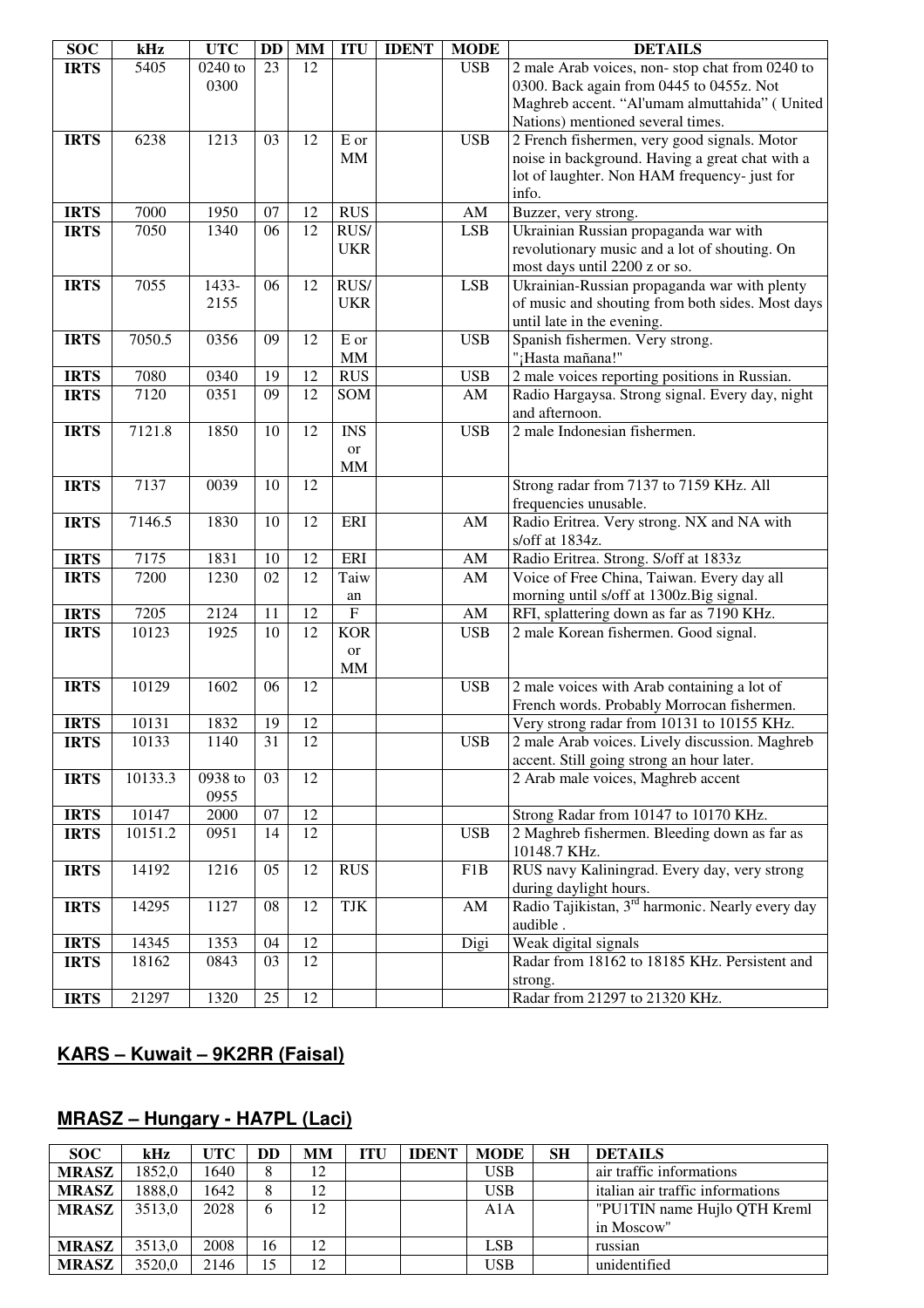| <b>SOC</b>  | kHz     | <b>UTC</b> | DD | <b>MM</b> | <b>ITU</b>                | <b>IDENT</b> | <b>MODE</b>            | <b>DETAILS</b>                                                                |
|-------------|---------|------------|----|-----------|---------------------------|--------------|------------------------|-------------------------------------------------------------------------------|
| <b>IRTS</b> | 5405    | 0240 to    | 23 | 12        |                           |              | <b>USB</b>             | 2 male Arab voices, non-stop chat from 0240 to                                |
|             |         | 0300       |    |           |                           |              |                        | 0300. Back again from 0445 to 0455z. Not                                      |
|             |         |            |    |           |                           |              |                        | Maghreb accent. "Al'umam almuttahida" (United                                 |
|             |         |            |    |           |                           |              |                        | Nations) mentioned several times.                                             |
| <b>IRTS</b> | 6238    | 1213       | 03 | 12        | E or                      |              | <b>USB</b>             | 2 French fishermen, very good signals. Motor                                  |
|             |         |            |    |           | <b>MM</b>                 |              |                        | noise in background. Having a great chat with a                               |
|             |         |            |    |           |                           |              |                        | lot of laughter. Non HAM frequency- just for                                  |
|             |         |            |    |           |                           |              |                        | info.                                                                         |
| <b>IRTS</b> | 7000    | 1950       | 07 | 12        | <b>RUS</b>                |              | AM                     | Buzzer, very strong.                                                          |
| <b>IRTS</b> | 7050    | 1340       | 06 | 12        | RUS/                      |              | <b>LSB</b>             | Ukrainian Russian propaganda war with                                         |
|             |         |            |    |           | <b>UKR</b>                |              |                        | revolutionary music and a lot of shouting. On                                 |
| <b>IRTS</b> | 7055    | 1433-      | 06 | 12        | RUS/                      |              | <b>LSB</b>             | most days until 2200 z or so.<br>Ukrainian-Russian propaganda war with plenty |
|             |         | 2155       |    |           | <b>UKR</b>                |              |                        | of music and shouting from both sides. Most days                              |
|             |         |            |    |           |                           |              |                        | until late in the evening.                                                    |
| <b>IRTS</b> | 7050.5  | 0356       | 09 | 12        | E or                      |              | <b>USB</b>             | Spanish fishermen. Very strong.                                               |
|             |         |            |    |           | $\mbox{MM}$               |              |                        | "¡Hasta mañana!"                                                              |
| <b>IRTS</b> | 7080    | 0340       | 19 | 12        | <b>RUS</b>                |              | <b>USB</b>             | 2 male voices reporting positions in Russian.                                 |
| <b>IRTS</b> | 7120    | 0351       | 09 | 12        | SOM                       |              | AM                     | Radio Hargaysa. Strong signal. Every day, night                               |
|             |         |            |    |           |                           |              |                        | and afternoon.                                                                |
| <b>IRTS</b> | 7121.8  | 1850       | 10 | 12        | <b>INS</b>                |              | <b>USB</b>             | 2 male Indonesian fishermen.                                                  |
|             |         |            |    |           | <b>or</b>                 |              |                        |                                                                               |
|             |         |            |    |           | <b>MM</b>                 |              |                        |                                                                               |
| <b>IRTS</b> | 7137    | 0039       | 10 | 12        |                           |              |                        | Strong radar from 7137 to 7159 KHz. All                                       |
|             |         |            |    |           |                           |              |                        | frequencies unusable.                                                         |
| <b>IRTS</b> | 7146.5  | 1830       | 10 | 12        | ERI                       |              | AM                     | Radio Eritrea. Very strong. NX and NA with                                    |
|             |         |            |    |           |                           |              |                        | s/off at 1834z.                                                               |
| <b>IRTS</b> | 7175    | 1831       | 10 | 12        | ERI                       |              | $\mathbf{A}\mathbf{M}$ | Radio Eritrea. Strong. S/off at 1833z                                         |
| <b>IRTS</b> | 7200    | 1230       | 02 | 12        | Taiw                      |              | $\mathbf{A}\mathbf{M}$ | Voice of Free China, Taiwan. Every day all                                    |
|             |         |            |    |           | an                        |              |                        | morning until s/off at 1300z.Big signal.                                      |
| <b>IRTS</b> | 7205    | 2124       | 11 | 12        | $\boldsymbol{\mathrm{F}}$ |              | $\mathbf{A}\mathbf{M}$ | RFI, splattering down as far as 7190 KHz.                                     |
| <b>IRTS</b> | 10123   | 1925       | 10 | 12        | <b>KOR</b>                |              | <b>USB</b>             | 2 male Korean fishermen. Good signal.                                         |
|             |         |            |    |           | or<br><b>MM</b>           |              |                        |                                                                               |
| <b>IRTS</b> | 10129   | 1602       | 06 | 12        |                           |              | <b>USB</b>             | 2 male voices with Arab containing a lot of                                   |
|             |         |            |    |           |                           |              |                        | French words. Probably Morrocan fishermen.                                    |
| <b>IRTS</b> | 10131   | 1832       | 19 | 12        |                           |              |                        | Very strong radar from 10131 to 10155 KHz.                                    |
| <b>IRTS</b> | 10133   | 1140       | 31 | 12        |                           |              | USB                    | 2 male Arab voices. Lively discussion. Maghreb                                |
|             |         |            |    |           |                           |              |                        | accent. Still going strong an hour later.                                     |
| <b>IRTS</b> | 10133.3 | 0938 to    | 03 | 12        |                           |              |                        | 2 Arab male voices, Maghreb accent                                            |
|             |         | 0955       |    |           |                           |              |                        |                                                                               |
| <b>IRTS</b> | 10147   | 2000       | 07 | 12        |                           |              |                        | Strong Radar from 10147 to 10170 KHz.                                         |
| <b>IRTS</b> | 10151.2 | 0951       | 14 | 12        |                           |              | <b>USB</b>             | 2 Maghreb fishermen. Bleeding down as far as                                  |
|             |         |            |    |           |                           |              |                        | 10148.7 KHz.                                                                  |
| <b>IRTS</b> | 14192   | 1216       | 05 | 12        | <b>RUS</b>                |              | F1B                    | RUS navy Kaliningrad. Every day, very strong                                  |
|             |         |            |    |           |                           |              |                        | during daylight hours.                                                        |
| <b>IRTS</b> | 14295   | 1127       | 08 | 12        | TJK                       |              | AM                     | Radio Tajikistan, 3 <sup>rd</sup> harmonic. Nearly every day                  |
|             |         |            |    |           |                           |              |                        | audible.                                                                      |
| <b>IRTS</b> | 14345   | 1353       | 04 | 12        |                           |              | Digi                   | Weak digital signals                                                          |
| <b>IRTS</b> | 18162   | 0843       | 03 | 12        |                           |              |                        | Radar from 18162 to 18185 KHz. Persistent and                                 |
|             |         |            |    |           |                           |              |                        | strong.                                                                       |
| <b>IRTS</b> | 21297   | 1320       | 25 | 12        |                           |              |                        | Radar from 21297 to 21320 KHz.                                                |

## **KARS – Kuwait – 9K2RR (Faisal)**

## **MRASZ – Hungary - HA7PL (Laci)**

| <b>SOC</b>   | kHz    | <b>UTC</b> | DD | MМ | <b>ITU</b> | <b>IDENT</b> | <b>MODE</b> | <b>SH</b> | <b>DETAILS</b>                   |
|--------------|--------|------------|----|----|------------|--------------|-------------|-----------|----------------------------------|
| <b>MRASZ</b> | 1852.0 | 1640       | 8  | 12 |            |              | <b>USB</b>  |           | air traffic informations         |
| <b>MRASZ</b> | 1888,0 | 1642       |    | 12 |            |              | <b>USB</b>  |           | italian air traffic informations |
| <b>MRASZ</b> | 3513.0 | 2028       | 6  | 12 |            |              | A1A         |           | "PU1TIN name Hujlo QTH Kreml"    |
|              |        |            |    |    |            |              |             |           | in Moscow"                       |
| <b>MRASZ</b> | 3513.0 | 2008       | 16 | 12 |            |              | LSB         |           | russian                          |
| <b>MRASZ</b> | 3520.0 | 2146       | 15 | 12 |            |              | <b>USB</b>  |           | unidentified                     |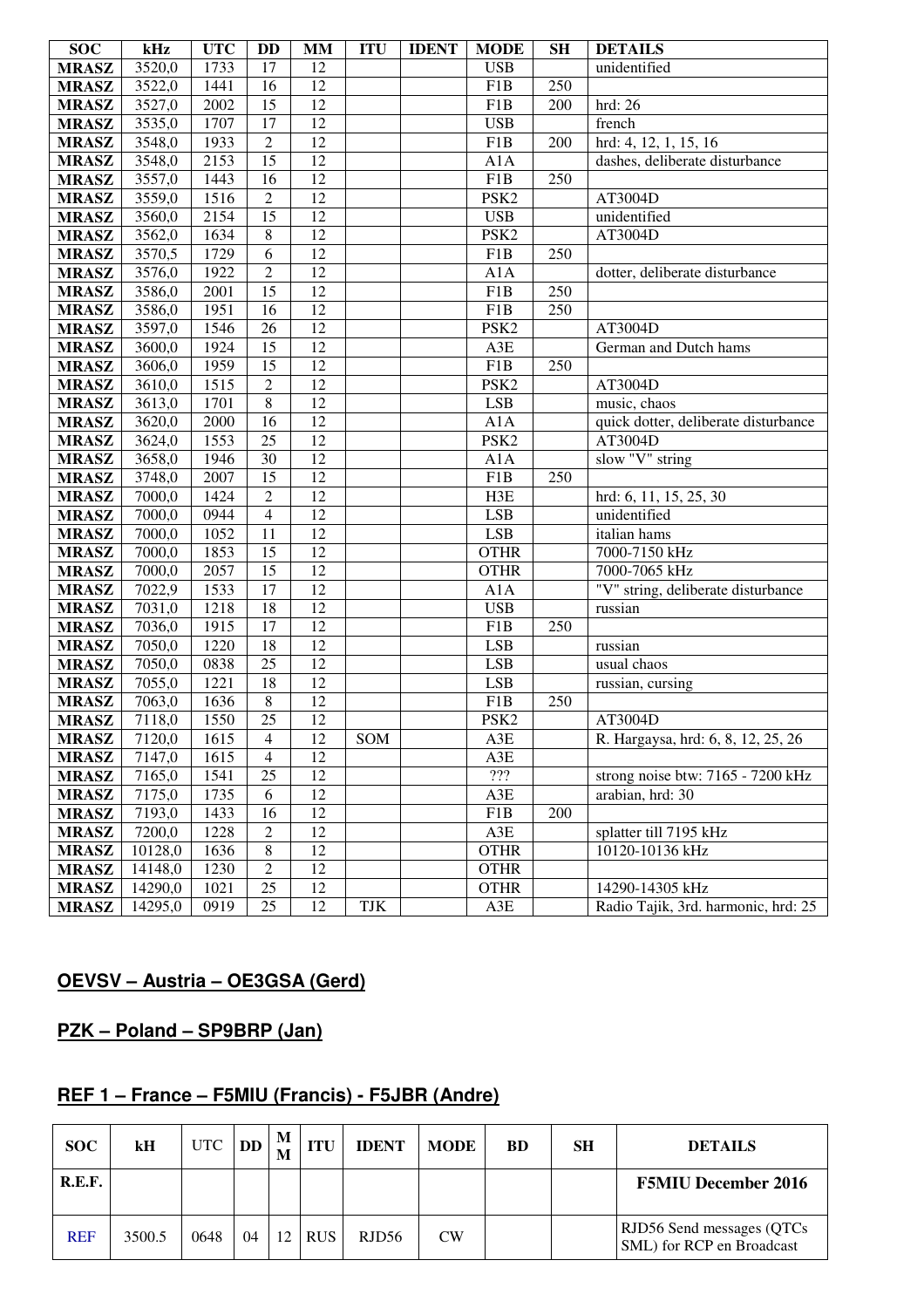| <b>SOC</b>   | kHz     | <b>UTC</b> | DD              | <b>MM</b>       | <b>ITU</b> | <b>IDENT</b> | <b>MODE</b>      | <b>SH</b> | <b>DETAILS</b>                       |
|--------------|---------|------------|-----------------|-----------------|------------|--------------|------------------|-----------|--------------------------------------|
| <b>MRASZ</b> | 3520,0  | 1733       | 17              | 12              |            |              | <b>USB</b>       |           | unidentified                         |
| <b>MRASZ</b> | 3522,0  | 1441       | 16              | 12              |            |              | F1B              | 250       |                                      |
| <b>MRASZ</b> | 3527,0  | 2002       | $\overline{15}$ | $\overline{12}$ |            |              | F1B              | 200       | hrd: 26                              |
| <b>MRASZ</b> | 3535,0  | 1707       | 17              | 12              |            |              | <b>USB</b>       |           | french                               |
| <b>MRASZ</b> | 3548,0  | 1933       | $\overline{2}$  | $\overline{12}$ |            |              | F1B              | 200       | hrd: 4, 12, 1, 15, 16                |
| <b>MRASZ</b> | 3548,0  | 2153       | $\overline{15}$ | 12              |            |              | A1A              |           | dashes, deliberate disturbance       |
| <b>MRASZ</b> | 3557,0  | 1443       | 16              | 12              |            |              | F1B              | 250       |                                      |
| <b>MRASZ</b> | 3559,0  | 1516       | $\overline{2}$  | 12              |            |              | PSK <sub>2</sub> |           | AT3004D                              |
| <b>MRASZ</b> | 3560,0  | 2154       | $\overline{15}$ | $\overline{12}$ |            |              | <b>USB</b>       |           | unidentified                         |
| <b>MRASZ</b> | 3562,0  | 1634       | $\overline{8}$  | $\overline{12}$ |            |              | PSK <sub>2</sub> |           | AT3004D                              |
| <b>MRASZ</b> | 3570,5  | 1729       | 6               | $\overline{12}$ |            |              | F1B              | 250       |                                      |
| <b>MRASZ</b> | 3576,0  | 1922       | $\overline{2}$  | 12              |            |              | A1A              |           | dotter, deliberate disturbance       |
| <b>MRASZ</b> | 3586,0  | 2001       | $\overline{15}$ | $\overline{12}$ |            |              | F1B              | 250       |                                      |
| <b>MRASZ</b> | 3586,0  | 1951       | 16              | $\overline{12}$ |            |              | F1B              | 250       |                                      |
| <b>MRASZ</b> | 3597,0  | 1546       | $\overline{26}$ | $\overline{12}$ |            |              | PSK <sub>2</sub> |           | AT3004D                              |
| <b>MRASZ</b> | 3600,0  | 1924       | 15              | $\overline{12}$ |            |              | A3E              |           | German and Dutch hams                |
| <b>MRASZ</b> | 3606,0  | 1959       | $\overline{15}$ | $\overline{12}$ |            |              | F1B              | 250       |                                      |
| <b>MRASZ</b> | 3610,0  | 1515       | $\overline{2}$  | $\overline{12}$ |            |              | PSK <sub>2</sub> |           | AT3004D                              |
| <b>MRASZ</b> | 3613,0  | 1701       | $\overline{8}$  | $\overline{12}$ |            |              | <b>LSB</b>       |           | music, chaos                         |
| <b>MRASZ</b> | 3620,0  | 2000       | $\overline{16}$ | $\overline{12}$ |            |              | A1A              |           | quick dotter, deliberate disturbance |
| <b>MRASZ</b> | 3624,0  | 1553       | $\overline{25}$ | $\overline{12}$ |            |              | PSK <sub>2</sub> |           | AT3004D                              |
| <b>MRASZ</b> | 3658,0  | 1946       | 30              | $\overline{12}$ |            |              | A1A              |           | slow "V" string                      |
| <b>MRASZ</b> | 3748,0  | 2007       | $\overline{15}$ | $\overline{12}$ |            |              | F1B              | 250       |                                      |
| <b>MRASZ</b> | 7000,0  | 1424       | $\overline{2}$  | $\overline{12}$ |            |              | H3E              |           | hrd: 6, 11, 15, 25, 30               |
| <b>MRASZ</b> | 7000,0  | 0944       | $\overline{4}$  | $\overline{12}$ |            |              | <b>LSB</b>       |           | unidentified                         |
| <b>MRASZ</b> | 7000,0  | 1052       | 11              | $\overline{12}$ |            |              | <b>LSB</b>       |           | italian hams                         |
| <b>MRASZ</b> | 7000,0  | 1853       | $\overline{15}$ | $\overline{12}$ |            |              | <b>OTHR</b>      |           | 7000-7150 kHz                        |
| <b>MRASZ</b> | 7000,0  | 2057       | $\overline{15}$ | $\overline{12}$ |            |              | <b>OTHR</b>      |           | 7000-7065 kHz                        |
| <b>MRASZ</b> | 7022,9  | 1533       | $\overline{17}$ | $\overline{12}$ |            |              | A1A              |           | "V" string, deliberate disturbance   |
| <b>MRASZ</b> | 7031,0  | 1218       | 18              | $\overline{12}$ |            |              | <b>USB</b>       |           | russian                              |
| <b>MRASZ</b> | 7036,0  | 1915       | 17              | $\overline{12}$ |            |              | F1B              | 250       |                                      |
| <b>MRASZ</b> | 7050,0  | 1220       | 18              | $\overline{12}$ |            |              | <b>LSB</b>       |           | russian                              |
| <b>MRASZ</b> | 7050,0  | 0838       | $\overline{25}$ | $\overline{12}$ |            |              | <b>LSB</b>       |           | usual chaos                          |
| <b>MRASZ</b> | 7055,0  | 1221       | 18              | $\overline{12}$ |            |              | <b>LSB</b>       |           | russian, cursing                     |
| <b>MRASZ</b> | 7063,0  | 1636       | $\overline{8}$  | $\overline{12}$ |            |              | F1B              | 250       |                                      |
| <b>MRASZ</b> | 7118,0  | 1550       | $\overline{25}$ | $\overline{12}$ |            |              | PSK <sub>2</sub> |           | AT3004D                              |
| <b>MRASZ</b> | 7120,0  | 1615       | 4               | 12              | <b>SOM</b> |              | A3E              |           | R. Hargaysa, hrd: 6, 8, 12, 25, 26   |
| <b>MRASZ</b> | 7147,0  | 1615       | $\overline{4}$  | 12              |            |              | A3E              |           |                                      |
| <b>MRASZ</b> | 7165,0  | 1541       | 25              | 12              |            |              | $222\,$          |           | strong noise btw: 7165 - 7200 kHz    |
| <b>MRASZ</b> | 7175,0  | 1735       | 6               | 12              |            |              | A3E              |           | arabian, hrd: 30                     |
| <b>MRASZ</b> | 7193,0  | 1433       | 16              | 12              |            |              | F1B              | 200       |                                      |
| <b>MRASZ</b> | 7200,0  | 1228       | $\mathfrak{2}$  | 12              |            |              | A3E              |           | splatter till 7195 kHz               |
| <b>MRASZ</b> | 10128,0 | 1636       | $\,8\,$         | 12              |            |              | <b>OTHR</b>      |           | 10120-10136 kHz                      |
| <b>MRASZ</b> | 14148,0 | 1230       | $\sqrt{2}$      | 12              |            |              | <b>OTHR</b>      |           |                                      |
| <b>MRASZ</b> | 14290,0 | 1021       | 25              | 12              |            |              | <b>OTHR</b>      |           | 14290-14305 kHz                      |
| <b>MRASZ</b> | 14295,0 | 0919       | 25              | 12              | TJK        |              | A3E              |           | Radio Tajik, 3rd. harmonic, hrd: 25  |

## **OEVSV – Austria – OE3GSA (Gerd)**

## **PZK – Poland – SP9BRP (Jan)**

## **REF 1 – France – F5MIU (Francis) - F5JBR (Andre)**

| <b>SOC</b> | kH     | UTC  | DD | M  | <b>ITU</b> | <b>IDENT</b> | <b>MODE</b> | <b>BD</b> | SН | <b>DETAILS</b>                                          |
|------------|--------|------|----|----|------------|--------------|-------------|-----------|----|---------------------------------------------------------|
| R.E.F.     |        |      |    |    |            |              |             |           |    | <b>F5MIU December 2016</b>                              |
| <b>REF</b> | 3500.5 | 0648 | 04 | 12 | <b>RUS</b> | RJD56        | <b>CW</b>   |           |    | RJD56 Send messages (QTCs)<br>SML) for RCP en Broadcast |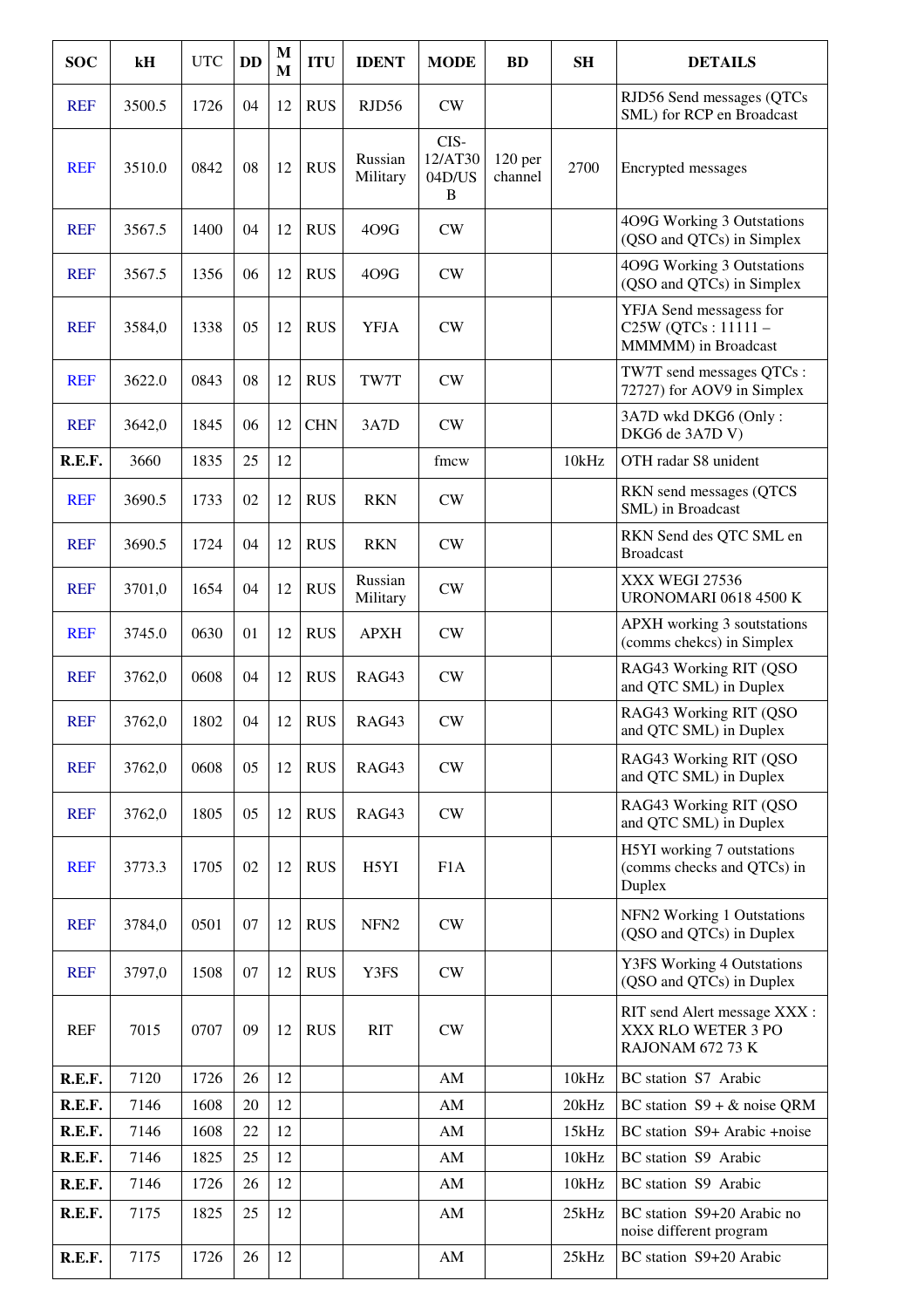| <b>SOC</b> | kH     | <b>UTC</b> | <b>DD</b> | M<br>M | <b>ITU</b> | <b>IDENT</b>        | <b>MODE</b>                    | <b>BD</b>                     | <b>SH</b> | <b>DETAILS</b>                                                        |
|------------|--------|------------|-----------|--------|------------|---------------------|--------------------------------|-------------------------------|-----------|-----------------------------------------------------------------------|
| <b>REF</b> | 3500.5 | 1726       | 04        | 12     | <b>RUS</b> | RJD56               | CW                             |                               |           | RJD56 Send messages (QTCs<br>SML) for RCP en Broadcast                |
| <b>REF</b> | 3510.0 | 0842       | 08        | 12     | <b>RUS</b> | Russian<br>Military | CIS-<br>12/AT30<br>04D/US<br>B | 120 <sub>per</sub><br>channel | 2700      | Encrypted messages                                                    |
| <b>REF</b> | 3567.5 | 1400       | 04        | 12     | <b>RUS</b> | 409G                | CW                             |                               |           | 4O9G Working 3 Outstations<br>(QSO and QTCs) in Simplex               |
| <b>REF</b> | 3567.5 | 1356       | 06        | 12     | <b>RUS</b> | 409G                | CW                             |                               |           | 4O9G Working 3 Outstations<br>(QSO and QTCs) in Simplex               |
| <b>REF</b> | 3584,0 | 1338       | 05        | 12     | <b>RUS</b> | <b>YFJA</b>         | CW                             |                               |           | YFJA Send messagess for<br>C25W (QTCs: 11111-<br>MMMM) in Broadcast   |
| <b>REF</b> | 3622.0 | 0843       | 08        | 12     | <b>RUS</b> | TW7T                | CW                             |                               |           | TW7T send messages QTCs:<br>72727) for AOV9 in Simplex                |
| <b>REF</b> | 3642,0 | 1845       | 06        | 12     | <b>CHN</b> | 3A7D                | CW                             |                               |           | 3A7D wkd DKG6 (Only:<br>DKG6 de 3A7D V)                               |
| R.E.F.     | 3660   | 1835       | 25        | 12     |            |                     | fmcw                           |                               | 10kHz     | OTH radar S8 unident                                                  |
| <b>REF</b> | 3690.5 | 1733       | 02        | 12     | <b>RUS</b> | <b>RKN</b>          | CW                             |                               |           | RKN send messages (QTCS<br>SML) in Broadcast                          |
| <b>REF</b> | 3690.5 | 1724       | 04        | 12     | <b>RUS</b> | <b>RKN</b>          | CW                             |                               |           | RKN Send des QTC SML en<br><b>Broadcast</b>                           |
| <b>REF</b> | 3701,0 | 1654       | 04        | 12     | <b>RUS</b> | Russian<br>Military | CW                             |                               |           | XXX WEGI 27536<br><b>URONOMARI 0618 4500 K</b>                        |
| <b>REF</b> | 3745.0 | 0630       | 01        | 12     | <b>RUS</b> | <b>APXH</b>         | CW                             |                               |           | <b>APXH</b> working 3 soutstations<br>(comms chekcs) in Simplex       |
| <b>REF</b> | 3762,0 | 0608       | 04        | 12     | <b>RUS</b> | RAG43               | CW                             |                               |           | RAG43 Working RIT (QSO<br>and QTC SML) in Duplex                      |
| <b>REF</b> | 3762,0 | 1802       | 04        | 12     | <b>RUS</b> | RAG43               | CW                             |                               |           | RAG43 Working RIT (QSO<br>and QTC SML) in Duplex                      |
| <b>REF</b> | 3762,0 | 0608       | 05        | 12     | <b>RUS</b> | RAG43               | <b>CW</b>                      |                               |           | RAG43 Working RIT (QSO<br>and QTC SML) in Duplex                      |
| <b>REF</b> | 3762,0 | 1805       | 05        | 12     | <b>RUS</b> | RAG43               | CW                             |                               |           | RAG43 Working RIT (QSO<br>and QTC SML) in Duplex                      |
| <b>REF</b> | 3773.3 | 1705       | 02        | 12     | <b>RUS</b> | H5YI                | F1A                            |                               |           | H5YI working 7 outstations<br>(comms checks and QTCs) in<br>Duplex    |
| <b>REF</b> | 3784,0 | 0501       | 07        | 12     | <b>RUS</b> | NFN <sub>2</sub>    | CW                             |                               |           | NFN2 Working 1 Outstations<br>(QSO and QTCs) in Duplex                |
| <b>REF</b> | 3797,0 | 1508       | 07        | 12     | <b>RUS</b> | Y3FS                | CW                             |                               |           | <b>Y3FS Working 4 Outstations</b><br>(QSO and QTCs) in Duplex         |
| <b>REF</b> | 7015   | 0707       | 09        | 12     | <b>RUS</b> | <b>RIT</b>          | CW                             |                               |           | RIT send Alert message XXX:<br>XXX RLO WETER 3 PO<br>RAJONAM 672 73 K |
| R.E.F.     | 7120   | 1726       | 26        | 12     |            |                     | AM                             |                               | 10kHz     | BC station S7 Arabic                                                  |
| R.E.F.     | 7146   | 1608       | 20        | 12     |            |                     | AM                             |                               | 20kHz     | BC station $S9 + \&$ noise QRM                                        |
| R.E.F.     | 7146   | 1608       | 22        | 12     |            |                     | AM                             |                               | 15kHz     | BC station S9+ Arabic +noise                                          |
| R.E.F.     | 7146   | 1825       | 25        | 12     |            |                     | AM                             |                               | 10kHz     | BC station S9 Arabic                                                  |
| R.E.F.     | 7146   | 1726       | 26        | 12     |            |                     | AM                             |                               | 10kHz     | BC station S9 Arabic                                                  |
| R.E.F.     | 7175   | 1825       | 25        | 12     |            |                     | AM                             |                               | 25kHz     | BC station S9+20 Arabic no<br>noise different program                 |
| R.E.F.     | 7175   | 1726       | 26        | 12     |            |                     | $\mathbf{A}\mathbf{M}$         |                               | 25kHz     | BC station S9+20 Arabic                                               |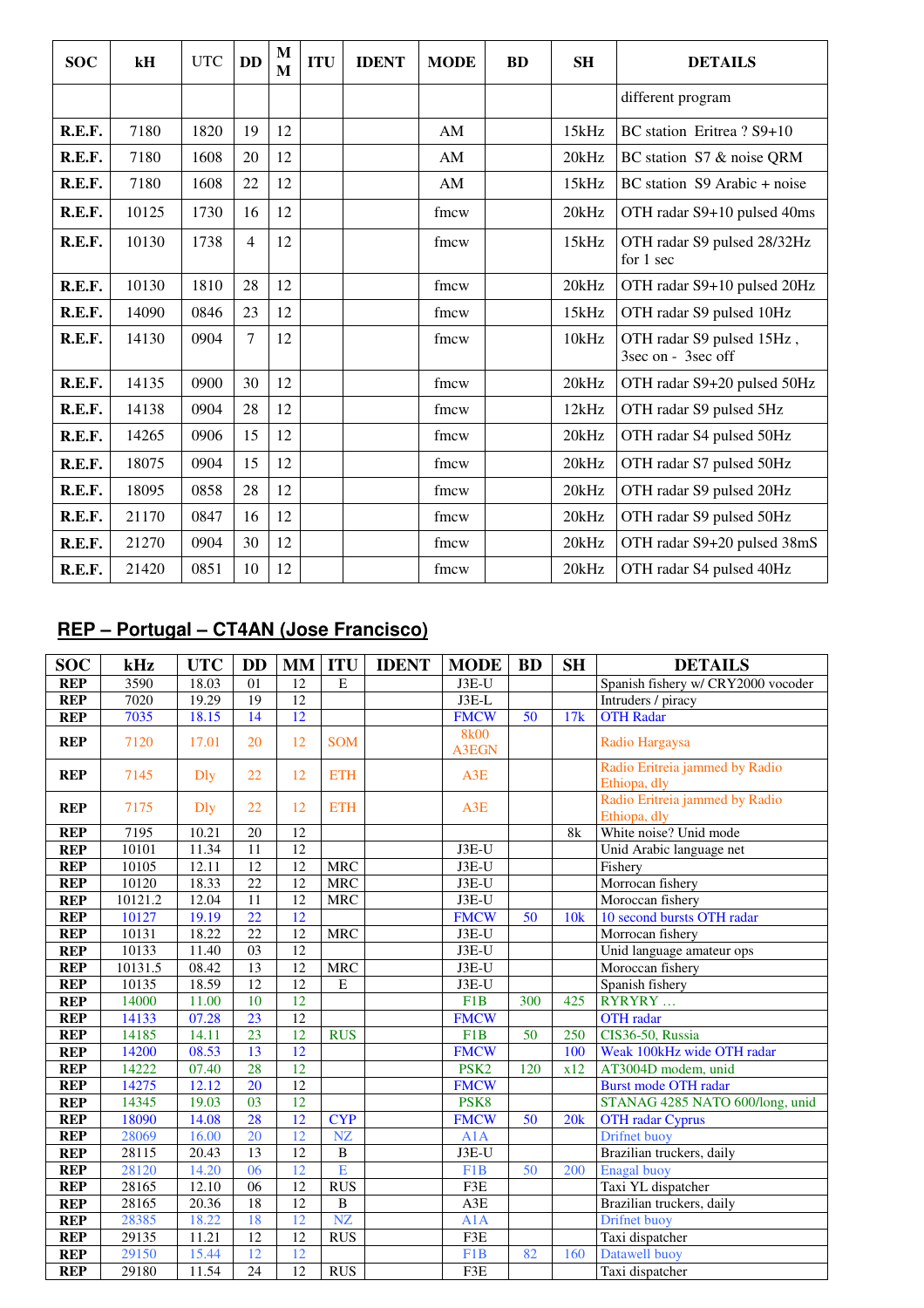| <b>SOC</b> | kH    | <b>UTC</b> | <b>DD</b>      | M<br>M | <b>ITU</b> | <b>IDENT</b> | <b>MODE</b> | <b>BD</b> | <b>SH</b> | <b>DETAILS</b>                                  |
|------------|-------|------------|----------------|--------|------------|--------------|-------------|-----------|-----------|-------------------------------------------------|
|            |       |            |                |        |            |              |             |           |           | different program                               |
| R.E.F.     | 7180  | 1820       | 19             | 12     |            |              | AM          |           | 15kHz     | BC station Eritrea? S9+10                       |
| R.E.F.     | 7180  | 1608       | 20             | 12     |            |              | AM          |           | 20kHz     | BC station S7 & noise QRM                       |
| R.E.F.     | 7180  | 1608       | 22             | 12     |            |              | AM          |           | 15kHz     | BC station S9 Arabic + noise                    |
| R.E.F.     | 10125 | 1730       | 16             | 12     |            |              | fmcw        |           | 20kHz     | OTH radar S9+10 pulsed 40ms                     |
| R.E.F.     | 10130 | 1738       | $\overline{4}$ | 12     |            |              | fmcw        |           | 15kHz     | OTH radar S9 pulsed 28/32Hz<br>for 1 sec        |
| R.E.F.     | 10130 | 1810       | 28             | 12     |            |              | fmcw        |           | 20kHz     | OTH radar S9+10 pulsed 20Hz                     |
| R.E.F.     | 14090 | 0846       | 23             | 12     |            |              | fmcw        |           | 15kHz     | OTH radar S9 pulsed 10Hz                        |
| R.E.F.     | 14130 | 0904       | 7              | 12     |            |              | fmcw        |           | 10kHz     | OTH radar S9 pulsed 15Hz,<br>3sec on - 3sec off |
| R.E.F.     | 14135 | 0900       | 30             | 12     |            |              | fmcw        |           | 20kHz     | OTH radar S9+20 pulsed 50Hz                     |
| R.E.F.     | 14138 | 0904       | 28             | 12     |            |              | fmcw        |           | 12kHz     | OTH radar S9 pulsed 5Hz                         |
| R.E.F.     | 14265 | 0906       | 15             | 12     |            |              | fmcw        |           | 20kHz     | OTH radar S4 pulsed 50Hz                        |
| R.E.F.     | 18075 | 0904       | 15             | 12     |            |              | fmcw        |           | 20kHz     | OTH radar S7 pulsed 50Hz                        |
| R.E.F.     | 18095 | 0858       | 28             | 12     |            |              | fmcw        |           | 20kHz     | OTH radar S9 pulsed 20Hz                        |
| R.E.F.     | 21170 | 0847       | 16             | 12     |            |              | fmcw        |           | 20kHz     | OTH radar S9 pulsed 50Hz                        |
| R.E.F.     | 21270 | 0904       | 30             | 12     |            |              | fmcw        |           | 20kHz     | OTH radar S9+20 pulsed 38mS                     |
| R.E.F.     | 21420 | 0851       | 10             | 12     |            |              | fmcw        |           | 20kHz     | OTH radar S4 pulsed 40Hz                        |

## **REP – Portugal – CT4AN (Jose Francisco)**

| <b>SOC</b> | kHz     | <b>UTC</b>  | <b>DD</b>       | <b>MM</b>       | <b>ITU</b>           | <b>IDENT</b> | <b>MODE</b>                 | <b>BD</b> | <b>SH</b> | <b>DETAILS</b>                                 |
|------------|---------|-------------|-----------------|-----------------|----------------------|--------------|-----------------------------|-----------|-----------|------------------------------------------------|
| <b>REP</b> | 3590    | 18.03       | 01              | 12              | $\mathbf E$          |              | $J3E-U$                     |           |           | Spanish fishery w/ CRY2000 vocoder             |
| <b>REP</b> | 7020    | 19.29       | 19              | 12              |                      |              | $J3E-L$                     |           |           | Intruders / piracy                             |
| <b>REP</b> | 7035    | 18.15       | 14              | 12              |                      |              | <b>FMCW</b>                 | 50        | 17k       | <b>OTH Radar</b>                               |
| <b>REP</b> | 7120    | 17.01       | 20              | 12              | <b>SOM</b>           |              | <b>8k00</b><br><b>A3EGN</b> |           |           | Radio Hargaysa                                 |
| <b>REP</b> | 7145    | <b>D</b> ly | 22              | 12              | <b>ETH</b>           |              | A3E                         |           |           | Radio Eritreia jammed by Radio<br>Ethiopa, dly |
| <b>REP</b> | 7175    | Dly         | 22              | 12              | <b>ETH</b>           |              | A3E                         |           |           | Radio Eritreia jammed by Radio<br>Ethiopa, dly |
| <b>REP</b> | 7195    | 10.21       | 20              | 12              |                      |              |                             |           | 8k        | White noise? Unid mode                         |
| <b>REP</b> | 10101   | 11.34       | 11              | 12              |                      |              | J3E-U                       |           |           | Unid Arabic language net                       |
| <b>REP</b> | 10105   | 12.11       | 12              | $\overline{12}$ | <b>MRC</b>           |              | $J3E-U$                     |           |           | Fishery                                        |
| <b>REP</b> | 10120   | 18.33       | $\overline{22}$ | $\overline{12}$ | <b>MRC</b>           |              | $J3E-U$                     |           |           | Morrocan fishery                               |
| <b>REP</b> | 10121.2 | 12.04       | 11              | 12              | $\operatorname{MRC}$ |              | $J3E-U$                     |           |           | Moroccan fishery                               |
| <b>REP</b> | 10127   | 19.19       | $\overline{22}$ | 12              |                      |              | <b>FMCW</b>                 | 50        | 10k       | 10 second bursts OTH radar                     |
| <b>REP</b> | 10131   | 18.22       | 22              | 12              | <b>MRC</b>           |              | $J3E-U$                     |           |           | Morrocan fishery                               |
| <b>REP</b> | 10133   | 11.40       | 03              | 12              |                      |              | $J3E-U$                     |           |           | Unid language amateur ops                      |
| <b>REP</b> | 10131.5 | 08.42       | $\overline{13}$ | 12              | <b>MRC</b>           |              | $J3E-U$                     |           |           | Moroccan fishery                               |
| <b>REP</b> | 10135   | 18.59       | $\overline{12}$ | $\overline{12}$ | $\overline{E}$       |              | J3E-U                       |           |           | Spanish fishery                                |
| <b>REP</b> | 14000   | 11.00       | $\overline{10}$ | $\overline{12}$ |                      |              | F1B                         | 300       | 425       | RYRYRY                                         |
| <b>REP</b> | 14133   | 07.28       | 23              | 12              |                      |              | <b>FMCW</b>                 |           |           | <b>OTH</b> radar                               |
| <b>REP</b> | 14185   | 14.11       | 23              | 12              | <b>RUS</b>           |              | F1B                         | 50        | 250       | CIS36-50, Russia                               |
| <b>REP</b> | 14200   | 08.53       | 13              | 12              |                      |              | <b>FMCW</b>                 |           | 100       | Weak 100kHz wide OTH radar                     |
| <b>REP</b> | 14222   | 07.40       | 28              | $\overline{12}$ |                      |              | PSK <sub>2</sub>            | 120       | x12       | AT3004D modem, unid                            |
| <b>REP</b> | 14275   | 12.12       | 20              | $\overline{12}$ |                      |              | <b>FMCW</b>                 |           |           | <b>Burst mode OTH radar</b>                    |
| <b>REP</b> | 14345   | 19.03       | 03              | 12              |                      |              | PSK <sub>8</sub>            |           |           | STANAG 4285 NATO 600/long, unid                |
| <b>REP</b> | 18090   | 14.08       | 28              | 12              | <b>CYP</b>           |              | <b>FMCW</b>                 | 50        | 20k       | <b>OTH</b> radar Cyprus                        |
| <b>REP</b> | 28069   | 16.00       | 20              | 12              | NZ                   |              | A1A                         |           |           | Drifnet buoy                                   |
| <b>REP</b> | 28115   | 20.43       | 13              | 12              | $\overline{B}$       |              | $J3E-U$                     |           |           | Brazilian truckers, daily                      |
| <b>REP</b> | 28120   | 14.20       | 06              | 12              | E                    |              | F1B                         | 50        | 200       | <b>Enagal</b> buoy                             |
| <b>REP</b> | 28165   | 12.10       | 06              | 12              | RUS                  |              | F3E                         |           |           | Taxi YL dispatcher                             |
| <b>REP</b> | 28165   | 20.36       | 18              | $\overline{12}$ | $\, {\bf B}$         |              | $\mathbf{A3E}$              |           |           | Brazilian truckers, daily                      |
| <b>REP</b> | 28385   | 18.22       | 18              | 12              | NZ                   |              | A1A                         |           |           | Drifnet buoy                                   |
| <b>REP</b> | 29135   | 11.21       | $\overline{12}$ | $\overline{12}$ | <b>RUS</b>           |              | F3E                         |           |           | Taxi dispatcher                                |
| <b>REP</b> | 29150   | 15.44       | 12              | 12              |                      |              | F1B                         | 82        | 160       | Datawell buoy                                  |
| <b>REP</b> | 29180   | 11.54       | 24              | 12              | <b>RUS</b>           |              | F3E                         |           |           | Taxi dispatcher                                |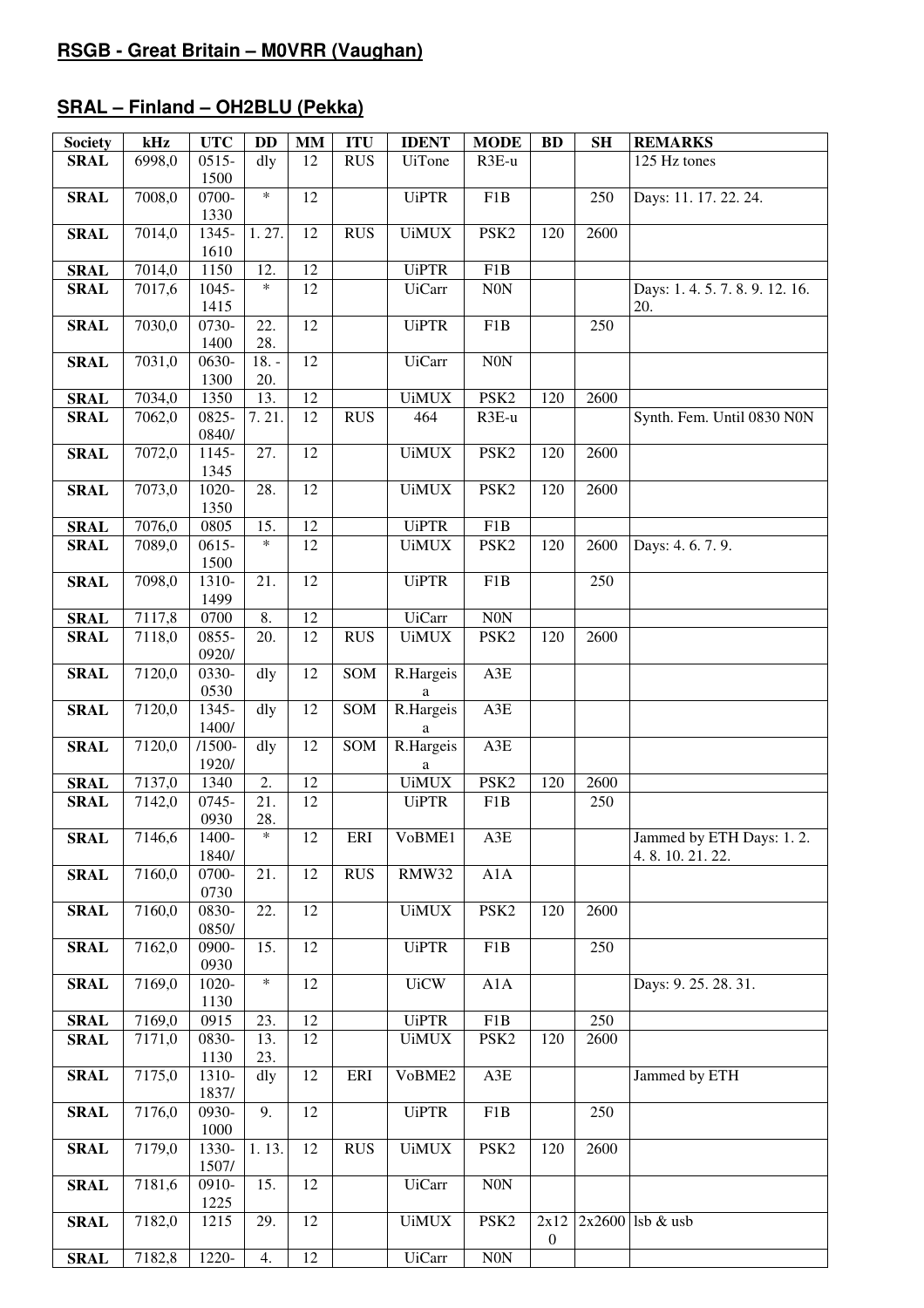## **SRAL – Finland – OH2BLU (Pekka)**

| <b>Society</b> | kHz    | <b>UTC</b>         | <b>DD</b>         | $\mathbf{M}\mathbf{M}$ | <b>ITU</b> | <b>IDENT</b>   | <b>MODE</b>      | <b>BD</b>        | <b>SH</b> | <b>REMARKS</b>                            |
|----------------|--------|--------------------|-------------------|------------------------|------------|----------------|------------------|------------------|-----------|-------------------------------------------|
| <b>SRAL</b>    | 6998,0 | $0515 -$           | dly               | 12                     | <b>RUS</b> | <b>UiTone</b>  | R3E-u            |                  |           | 125 Hz tones                              |
| <b>SRAL</b>    | 7008,0 | 1500<br>0700-      | $\ast$            | 12                     |            | <b>UiPTR</b>   | F1B              |                  | 250       | Days: 11. 17. 22. 24.                     |
| <b>SRAL</b>    | 7014,0 | 1330<br>1345-      | 1.27.             | 12                     | <b>RUS</b> | <b>UiMUX</b>   | PSK <sub>2</sub> | 120              | 2600      |                                           |
| <b>SRAL</b>    | 7014,0 | 1610<br>1150       | 12.               | 12                     |            | <b>UiPTR</b>   | F1B              |                  |           |                                           |
| <b>SRAL</b>    | 7017,6 | 1045-              | $\ast$            | $\overline{12}$        |            | <b>UiCarr</b>  | N <sub>0</sub> N |                  |           | Days: 1.4.5.7.8.9.12.16.                  |
|                |        | 1415               |                   |                        |            |                |                  |                  |           | 20.                                       |
| <b>SRAL</b>    | 7030,0 | 0730-<br>1400      | 22.<br>28.        | $\overline{12}$        |            | <b>UiPTR</b>   | F1B              |                  | 250       |                                           |
| <b>SRAL</b>    | 7031,0 | 0630-              | $18. -$           | 12                     |            | <b>UiCarr</b>  | N0N              |                  |           |                                           |
|                |        | 1300               | 20.               |                        |            |                |                  |                  |           |                                           |
| <b>SRAL</b>    | 7034,0 | 1350               | 13.               | 12                     |            | <b>UiMUX</b>   | PSK <sub>2</sub> | 120              | 2600      |                                           |
| <b>SRAL</b>    | 7062,0 | 0825-              | 7.21.             | 12                     | <b>RUS</b> | 464            | R3E-u            |                  |           | Synth. Fem. Until 0830 N0N                |
| <b>SRAL</b>    | 7072,0 | 0840/<br>1145-     | $\overline{27}$ . | $\overline{12}$        |            | <b>UiMUX</b>   | PSK <sub>2</sub> | 120              | 2600      |                                           |
|                |        | 1345               |                   |                        |            |                |                  |                  |           |                                           |
| <b>SRAL</b>    | 7073,0 | $1020 -$           | 28.               | $\overline{12}$        |            | <b>UiMUX</b>   | PSK <sub>2</sub> | 120              | 2600      |                                           |
|                |        | 1350               |                   |                        |            |                |                  |                  |           |                                           |
| <b>SRAL</b>    | 7076,0 | 0805               | 15.               | 12                     |            | <b>UiPTR</b>   | F1B              |                  |           |                                           |
| <b>SRAL</b>    | 7089,0 | $0615 -$<br>1500   | $\ast$            | 12                     |            | <b>UiMUX</b>   | PSK <sub>2</sub> | 120              | 2600      | Days: 4.6.7.9.                            |
| <b>SRAL</b>    | 7098,0 | 1310-              | 21.               | 12                     |            | <b>UiPTR</b>   | F1B              |                  | 250       |                                           |
|                |        | 1499               |                   |                        |            |                |                  |                  |           |                                           |
| <b>SRAL</b>    | 7117,8 | 0700               | 8.                | 12                     |            | <b>UiCarr</b>  | N0N              |                  |           |                                           |
| <b>SRAL</b>    | 7118,0 | 0855-              | 20.               | 12                     | <b>RUS</b> | <b>UiMUX</b>   | PSK <sub>2</sub> | 120              | 2600      |                                           |
| <b>SRAL</b>    | 7120,0 | 0920/<br>0330-     | dly               | 12                     | SOM        | R.Hargeis      | A3E              |                  |           |                                           |
|                |        | 0530               |                   |                        |            | a              |                  |                  |           |                                           |
| <b>SRAL</b>    | 7120,0 | 1345-              | dly               | 12                     | SOM        | R.Hargeis      | A3E              |                  |           |                                           |
|                |        | 1400/<br>$/1500 -$ |                   | 12                     | SOM        | a<br>R.Hargeis | A3E              |                  |           |                                           |
| <b>SRAL</b>    | 7120,0 | 1920/              | dly               |                        |            | a              |                  |                  |           |                                           |
| <b>SRAL</b>    | 7137,0 | 1340               | 2.                | 12                     |            | <b>UiMUX</b>   | PSK <sub>2</sub> | 120              | 2600      |                                           |
| <b>SRAL</b>    | 7142,0 | 0745-              | $\overline{21}$ . | $\overline{12}$        |            | <b>UiPTR</b>   | F1B              |                  | 250       |                                           |
|                |        | 0930               | 28.               |                        |            |                |                  |                  |           |                                           |
| <b>SRAL</b>    | 7146,6 | 1400-<br>1840/     | $\ast$            | 12                     | ERI        | VoBME1         | A3E              |                  |           | Jammed by ETH Days: 1.2.<br>4.8.10.21.22. |
| <b>SRAL</b>    | 7160,0 | 0700-<br>0730      | 21.               | 12                     | <b>RUS</b> | RMW32          | A1A              |                  |           |                                           |
| <b>SRAL</b>    | 7160,0 | 0830-              | 22.               | 12                     |            | <b>UiMUX</b>   | PSK <sub>2</sub> | 120              | 2600      |                                           |
|                |        | 0850/              |                   |                        |            |                |                  |                  |           |                                           |
| <b>SRAL</b>    | 7162,0 | 0900-<br>0930      | 15.               | $\overline{12}$        |            | <b>UiPTR</b>   | F1B              |                  | 250       |                                           |
| <b>SRAL</b>    | 7169,0 | 1020-              | $\ast$            | $\overline{12}$        |            | <b>UiCW</b>    | A1A              |                  |           | Days: 9. 25. 28. 31.                      |
|                |        | 1130               |                   |                        |            |                |                  |                  |           |                                           |
| <b>SRAL</b>    | 7169,0 | 0915               | 23.               | $\overline{12}$        |            | <b>UiPTR</b>   | F1B              |                  | 250       |                                           |
| <b>SRAL</b>    | 7171,0 | 0830-              | 13.               | 12                     |            | <b>UiMUX</b>   | PSK <sub>2</sub> | 120              | 2600      |                                           |
| <b>SRAL</b>    | 7175,0 | 1130<br>1310-      | 23.<br>dly        | 12                     | ERI        | VoBME2         | A3E              |                  |           | Jammed by ETH                             |
|                |        | 1837/              |                   |                        |            |                |                  |                  |           |                                           |
| <b>SRAL</b>    | 7176,0 | 0930-<br>1000      | 9.                | 12                     |            | <b>UiPTR</b>   | F1B              |                  | 250       |                                           |
| <b>SRAL</b>    | 7179,0 | 1330-<br>1507/     | 1.13.             | 12                     | <b>RUS</b> | <b>UiMUX</b>   | PSK <sub>2</sub> | 120              | 2600      |                                           |
| <b>SRAL</b>    | 7181,6 | 0910-              | 15.               | 12                     |            | <b>UiCarr</b>  | $\rm{NON}$       |                  |           |                                           |
| <b>SRAL</b>    | 7182,0 | 1225<br>1215       | 29.               | 12                     |            | <b>UiMUX</b>   | PSK <sub>2</sub> | 2x12             |           | $2x2600$ lsb & usb                        |
|                |        |                    |                   |                        |            |                |                  | $\boldsymbol{0}$ |           |                                           |
| <b>SRAL</b>    | 7182,8 | 1220-              | 4.                | $\overline{12}$        |            | <b>UiCarr</b>  | N0N              |                  |           |                                           |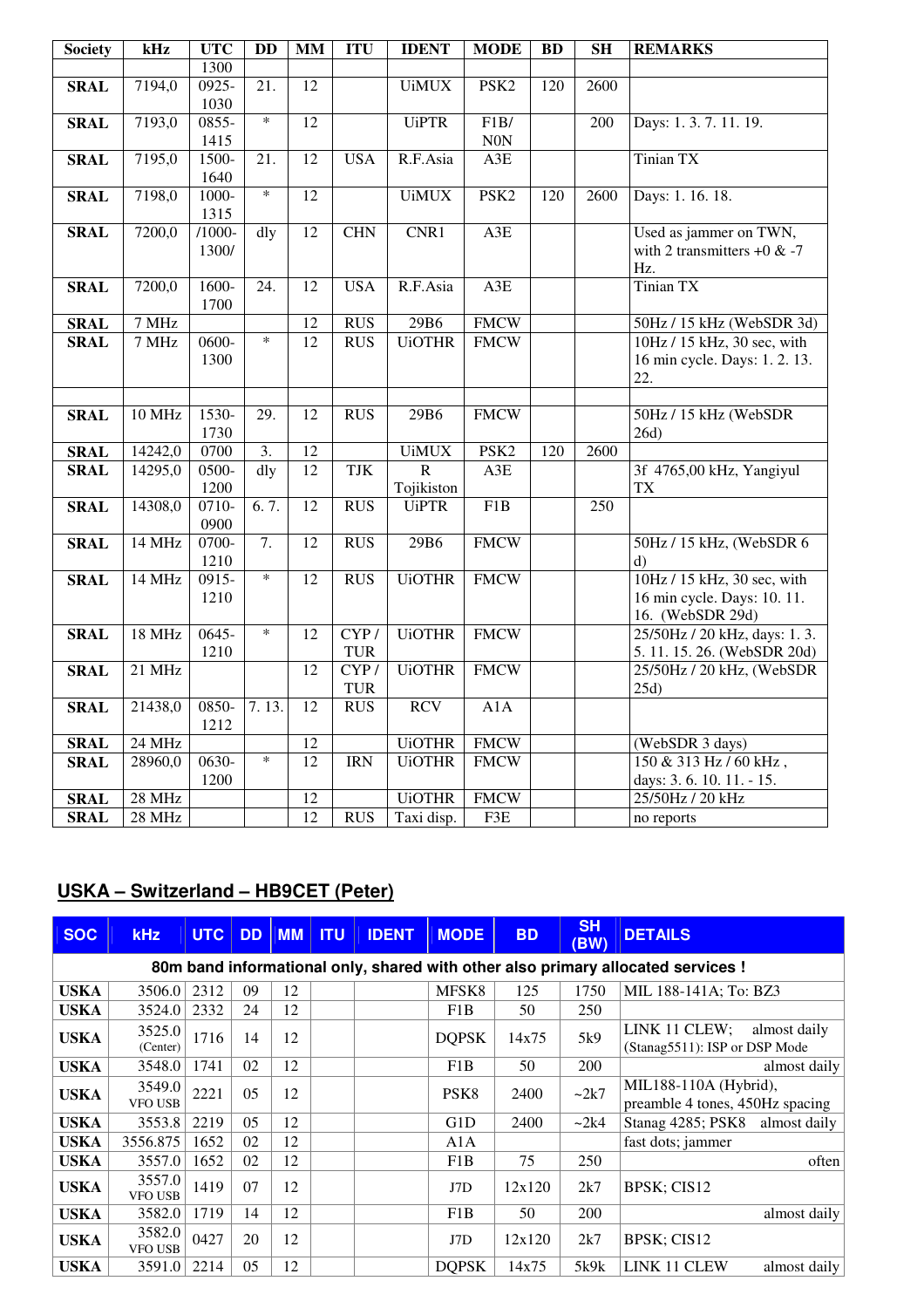| <b>Society</b> | kHz      | <b>UTC</b> | <b>DD</b>         | <b>MM</b>       | <b>ITU</b> | <b>IDENT</b>  | <b>MODE</b>      | BD  | <b>SH</b>         | <b>REMARKS</b>                  |
|----------------|----------|------------|-------------------|-----------------|------------|---------------|------------------|-----|-------------------|---------------------------------|
|                |          | 1300       |                   |                 |            |               |                  |     |                   |                                 |
| <b>SRAL</b>    | 7194,0   | $0925 -$   | 21.               | $\overline{12}$ |            | <b>UiMUX</b>  | PSK <sub>2</sub> | 120 | $\overline{2600}$ |                                 |
|                |          | 1030       |                   |                 |            |               |                  |     |                   |                                 |
| <b>SRAL</b>    | 7193,0   | $0855 -$   | $\ast$            | $\overline{12}$ |            | <b>UiPTR</b>  | F1B/             |     | 200               | Days: 1.3.7.11.19.              |
|                |          | 1415       |                   |                 |            |               | N0N              |     |                   |                                 |
| <b>SRAL</b>    | 7195,0   | 1500-      | 21.               | 12              | <b>USA</b> | R.F.Asia      | A3E              |     |                   | <b>Tinian TX</b>                |
|                |          | 1640       |                   |                 |            |               |                  |     |                   |                                 |
| <b>SRAL</b>    | 7198,0   | 1000-      | $\ast$            | $\overline{12}$ |            | <b>UiMUX</b>  | PSK <sub>2</sub> | 120 | 2600              | Days: 1. 16. 18.                |
|                |          | 1315       |                   |                 |            |               |                  |     |                   |                                 |
| <b>SRAL</b>    | 7200,0   | $/1000 -$  | dly               | 12              | <b>CHN</b> | CNR1          | A3E              |     |                   | Used as jammer on TWN,          |
|                |          | 1300/      |                   |                 |            |               |                  |     |                   | with 2 transmitters $+0$ & $-7$ |
|                |          |            |                   |                 |            |               |                  |     |                   | Hz.                             |
| <b>SRAL</b>    | 7200,0   | $1600 -$   | $\overline{24}$ . | 12              | <b>USA</b> | R.F.Asia      | A3E              |     |                   | <b>Tinian TX</b>                |
|                |          | 1700       |                   |                 |            |               |                  |     |                   |                                 |
| <b>SRAL</b>    | 7 MHz    |            |                   | 12              | <b>RUS</b> | 29B6          | <b>FMCW</b>      |     |                   | 50Hz / 15 kHz (WebSDR 3d)       |
| <b>SRAL</b>    | 7 MHz    | 0600-      | $\ast$            | 12              | <b>RUS</b> | <b>UiOTHR</b> | <b>FMCW</b>      |     |                   | 10Hz / 15 kHz, 30 sec, with     |
|                |          | 1300       |                   |                 |            |               |                  |     |                   | 16 min cycle. Days: 1.2.13.     |
|                |          |            |                   |                 |            |               |                  |     |                   | 22.                             |
|                |          |            |                   |                 |            |               |                  |     |                   |                                 |
| <b>SRAL</b>    | 10 MHz   | 1530-      | 29.               | 12              | <b>RUS</b> | 29B6          | <b>FMCW</b>      |     |                   | 50Hz / 15 kHz (WebSDR           |
|                |          | 1730       |                   |                 |            |               |                  |     |                   | 26d)                            |
| <b>SRAL</b>    | 14242,0  | 0700       | $\overline{3}$ .  | $\overline{12}$ |            | <b>UiMUX</b>  | PSK <sub>2</sub> | 120 | 2600              |                                 |
| <b>SRAL</b>    | 14295,0  | 0500-      | dly               | $\overline{12}$ | <b>TJK</b> | $\mathbb{R}$  | A3E              |     |                   | 3f 4765,00 kHz, Yangiyul        |
|                |          | 1200       |                   |                 |            | Tojikiston    |                  |     |                   | <b>TX</b>                       |
| <b>SRAL</b>    | 14308,0  | 0710-      | 6.7.              | 12              | <b>RUS</b> | <b>UiPTR</b>  | F1B              |     | 250               |                                 |
|                |          | 0900       |                   |                 |            |               |                  |     |                   |                                 |
| <b>SRAL</b>    | 14 MHz   | 0700-      | $\overline{7}$ .  | $\overline{12}$ | <b>RUS</b> | 29B6          | <b>FMCW</b>      |     |                   | 50Hz / 15 kHz, (WebSDR 6        |
|                |          | 1210       |                   |                 |            |               |                  |     |                   | $\mathbf{d}$                    |
| <b>SRAL</b>    | 14 MHz   | $0915 -$   | $\ast$            | 12              | <b>RUS</b> | <b>UiOTHR</b> | <b>FMCW</b>      |     |                   | 10Hz / 15 kHz, 30 sec, with     |
|                |          | 1210       |                   |                 |            |               |                  |     |                   | 16 min cycle. Days: 10. 11.     |
|                |          |            |                   |                 |            |               |                  |     |                   | 16. (WebSDR 29d)                |
| <b>SRAL</b>    | 18 MHz   | $0645 -$   | $\ast$            | 12              | CYP/       | <b>UiOTHR</b> | <b>FMCW</b>      |     |                   | 25/50Hz / 20 kHz, days: 1.3.    |
|                |          | 1210       |                   |                 | <b>TUR</b> |               |                  |     |                   | 5. 11. 15. 26. (WebSDR 20d)     |
| <b>SRAL</b>    | $21$ MHz |            |                   | $\overline{12}$ | CYP/       | <b>UiOTHR</b> | <b>FMCW</b>      |     |                   | 25/50Hz / 20 kHz, (WebSDR       |
|                |          |            |                   |                 | <b>TUR</b> |               |                  |     |                   | 25d)                            |
| <b>SRAL</b>    | 21438,0  | 0850-      | 7.13.             | 12              | <b>RUS</b> | <b>RCV</b>    | A1A              |     |                   |                                 |
|                |          | 1212       |                   |                 |            |               |                  |     |                   |                                 |
| <b>SRAL</b>    | 24 MHz   |            |                   | 12              |            | <b>UiOTHR</b> | <b>FMCW</b>      |     |                   | (WebSDR 3 days)                 |
| <b>SRAL</b>    | 28960,0  | $0630-$    | $\ast$            | $\overline{12}$ | <b>IRN</b> | <b>UiOTHR</b> | <b>FMCW</b>      |     |                   | 150 & 313 Hz / 60 kHz,          |
|                |          | 1200       |                   |                 |            |               |                  |     |                   | days: 3.6.10.11. - 15.          |
| <b>SRAL</b>    | 28 MHz   |            |                   | 12              |            | <b>UiOTHR</b> | <b>FMCW</b>      |     |                   | 25/50Hz / 20 kHz                |
| <b>SRAL</b>    | 28 MHz   |            |                   | 12              | <b>RUS</b> | Taxi disp.    | F3E              |     |                   | no reports                      |

## **USKA – Switzerland – HB9CET (Peter)**

| <b>SOC</b>  | <b>kHz</b>               | <b>UTC</b> | <b>DD</b> | <b>MM</b> | <b>ITU</b> | <b>IDENT</b> | <b>MODE</b>      | <b>BD</b> | <b>SH</b><br>(BW) | <b>DETAILS</b>                                                                   |
|-------------|--------------------------|------------|-----------|-----------|------------|--------------|------------------|-----------|-------------------|----------------------------------------------------------------------------------|
|             |                          |            |           |           |            |              |                  |           |                   | 80m band informational only, shared with other also primary allocated services ! |
| <b>USKA</b> | 3506.0                   | 2312       | 09        | 12        |            |              | MFSK8            | 125       | 1750              | MIL 188-141A; To: BZ3                                                            |
| <b>USKA</b> | 3524.0                   | 2332       | 24        | 12        |            |              | F <sub>1</sub> B | 50        | 250               |                                                                                  |
| <b>USKA</b> | 3525.0<br>(Center)       | 1716       | 14        | 12        |            |              | <b>DOPSK</b>     | 14x75     | 5k9               | LINK 11 CLEW;<br>almost daily<br>(Stanag5511): ISP or DSP Mode                   |
| <b>USKA</b> | 3548.0                   | 1741       | 02        | 12        |            |              | F1B              | 50        | 200               | almost daily                                                                     |
| <b>USKA</b> | 3549.0<br><b>VFO USB</b> | 2221       | 05        | 12        |            |              | PSK <sub>8</sub> | 2400      | $\sim$ 2k7        | MIL188-110A (Hybrid),<br>preamble 4 tones, 450Hz spacing                         |
| <b>USKA</b> | 3553.8                   | 2219       | 05        | 12        |            |              | G1D              | 2400      | $\sim$ 2k4        | Stanag 4285; PSK8 almost daily                                                   |
| <b>USKA</b> | 3556.875                 | 1652       | 02        | 12        |            |              | A1A              |           |                   | fast dots; jammer                                                                |
| <b>USKA</b> | 3557.0                   | 1652       | 02        | 12        |            |              | F1B              | 75        | 250               | often                                                                            |
| <b>USKA</b> | 3557.0<br><b>VFO USB</b> | 1419       | 07        | 12        |            |              | J7D              | 12x120    | 2k7               | BPSK; CIS12                                                                      |
| <b>USKA</b> | 3582.0                   | 1719       | 14        | 12        |            |              | F1B              | 50        | <b>200</b>        | almost daily                                                                     |
| <b>USKA</b> | 3582.0<br><b>VFO USB</b> | 0427       | 20        | 12        |            |              | J7D              | 12x120    | 2k7               | BPSK; CIS12                                                                      |
| <b>USKA</b> | 3591.0                   | 2214       | 05        | 12        |            |              | <b>DOPSK</b>     | 14x75     | 5k9k              | LINK 11 CLEW<br>almost daily                                                     |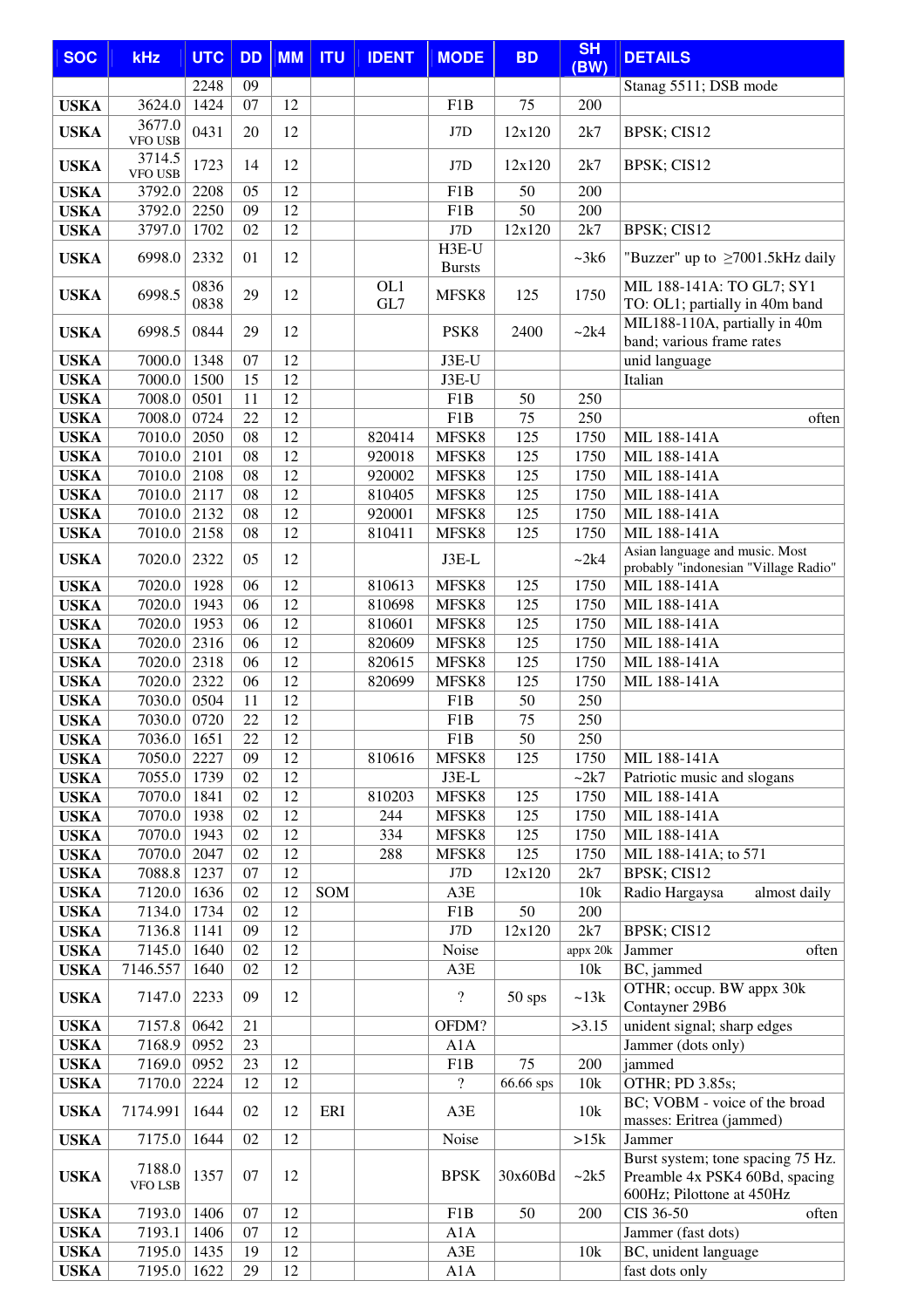| <b>SOC</b>                 | <b>kHz</b>            | <b>UTC</b>   | <b>DD</b> | <b>MM</b>       | <b>ITU</b> | <b>IDENT</b> | <b>MODE</b>              | <b>BD</b> | <b>SH</b>  | <b>DETAILS</b>                                                                                   |
|----------------------------|-----------------------|--------------|-----------|-----------------|------------|--------------|--------------------------|-----------|------------|--------------------------------------------------------------------------------------------------|
|                            |                       | 2248         | 09        |                 |            |              |                          |           | (BW)       | Stanag 5511; DSB mode                                                                            |
| <b>USKA</b>                | 3624.0                | 1424         | 07        | 12              |            |              | F1B                      | 75        | 200        |                                                                                                  |
| <b>USKA</b>                | 3677.0                | 0431         | 20        | 12              |            |              | J7D                      | 12x120    | 2k7        | BPSK; CIS12                                                                                      |
|                            | <b>VFO USB</b>        |              |           |                 |            |              |                          |           |            |                                                                                                  |
| <b>USKA</b>                | 3714.5<br>VFO USB     | 1723         | 14        | 12              |            |              | J7D                      | 12x120    | 2k7        | BPSK; CIS12                                                                                      |
| <b>USKA</b>                | 3792.0                | 2208         | 05        | 12              |            |              | F1B                      | 50        | 200        |                                                                                                  |
| <b>USKA</b>                | 3792.0                | 2250         | 09        | 12              |            |              | F1B                      | 50        | 200        |                                                                                                  |
| <b>USKA</b>                | 3797.0                | 1702         | 02        | 12              |            |              | J7D                      | 12x120    | 2k7        | BPSK; CIS12                                                                                      |
| <b>USKA</b>                | 6998.0                | 2332         | 01        | 12              |            |              | H3E-U<br><b>Bursts</b>   |           | ~28k       | "Buzzer" up to $\geq$ 7001.5kHz daily                                                            |
| <b>USKA</b>                | 6998.5                | 0836<br>0838 | 29        | 12              |            | OL1<br>GL7   | MFSK8                    | 125       | 1750       | MIL 188-141A: TO GL7; SY1<br>TO: OL1; partially in 40m band                                      |
| <b>USKA</b>                | 6998.5                | 0844         | 29        | 12              |            |              | PSK8                     | 2400      | ~2k4       | MIL188-110A, partially in 40m<br>band; various frame rates                                       |
| <b>USKA</b>                | 7000.0                | 1348         | 07        | 12              |            |              | J3E-U                    |           |            | unid language                                                                                    |
| <b>USKA</b>                | 7000.0                | 1500         | 15        | 12              |            |              | J3E-U                    |           |            | Italian                                                                                          |
| <b>USKA</b>                | 7008.0                | 0501         | 11        | 12              |            |              | F <sub>1</sub> B         | 50        | 250        |                                                                                                  |
| <b>USKA</b>                | 7008.0                | 0724         | 22        | 12              |            |              | F <sub>1</sub> B         | 75        | 250        | often                                                                                            |
| <b>USKA</b>                | 7010.0                | 2050         | 08        | 12              |            | 820414       | MFSK8                    | 125       | 1750       | MIL 188-141A                                                                                     |
| <b>USKA</b>                | 7010.0                | 2101         | 08        | 12              |            | 920018       | MFSK8                    | 125       | 1750       | MIL 188-141A                                                                                     |
| <b>USKA</b>                | 7010.0                | 2108         | 08        | 12              |            | 920002       | MFSK8                    | 125       | 1750       | MIL 188-141A                                                                                     |
| <b>USKA</b>                | 7010.0                | 2117         | 08        | 12              |            | 810405       | MFSK8                    | 125       | 1750       | MIL 188-141A                                                                                     |
| <b>USKA</b>                | 7010.0                | 2132         | 08        | 12<br>12        |            | 920001       | MFSK8                    | 125       | 1750       | MIL 188-141A                                                                                     |
| <b>USKA</b>                | 7010.0                | 2158         | 08        |                 |            | 810411       | MFSK8                    | 125       | 1750       | MIL 188-141A                                                                                     |
| <b>USKA</b>                | 7020.0                | 2322         | 05        | 12              |            |              | $J3E-L$                  |           | ~2k4       | Asian language and music. Most<br>probably "indonesian "Village Radio"                           |
| <b>USKA</b>                | 7020.0                | 1928         | 06        | 12              |            | 810613       | MFSK8                    | 125       | 1750       | MIL 188-141A                                                                                     |
| <b>USKA</b>                | 7020.0                | 1943         | 06        | 12              |            | 810698       | MFSK8                    | 125       | 1750       | MIL 188-141A                                                                                     |
| <b>USKA</b>                | 7020.0                | 1953         | 06        | 12              |            | 810601       | MFSK8                    | 125       | 1750       | MIL 188-141A                                                                                     |
| <b>USKA</b>                | 7020.0                | 2316         | 06        | 12              |            | 820609       | MFSK8                    | 125       | 1750       | MIL 188-141A                                                                                     |
| <b>USKA</b>                | 7020.0                | 2318         | 06        | 12              |            | 820615       | MFSK8                    | 125       | 1750       | MIL 188-141A                                                                                     |
| <b>USKA</b>                | 7020.0                | 2322         | 06        | 12              |            | 820699       | MFSK8                    | 125       | 1750       | MIL 188-141A                                                                                     |
| <b>USKA</b>                | 7030.0                | 0504         | 11<br>22  | 12<br>12        |            |              | F1B                      | 50        | 250        |                                                                                                  |
| <b>USKA</b>                | 7030.0<br>7036.0 1651 | 0720         | $22\,$    | $\overline{12}$ |            |              | F1B<br>F1B               | 75<br>50  | 250<br>250 |                                                                                                  |
| <b>USKA</b><br><b>USKA</b> | 7050.0                | 2227         | 09        | 12              |            | 810616       | MFSK8                    | 125       | 1750       | MIL 188-141A                                                                                     |
| <b>USKA</b>                | 7055.0                | 1739         | 02        | 12              |            |              | $J3E-L$                  |           | $-2k7$     | Patriotic music and slogans                                                                      |
| <b>USKA</b>                | 7070.0                | 1841         | 02        | 12              |            | 810203       | MFSK8                    | 125       | 1750       | MIL 188-141A                                                                                     |
| <b>USKA</b>                | 7070.0                | 1938         | 02        | 12              |            | 244          | MFSK8                    | 125       | 1750       | MIL 188-141A                                                                                     |
| <b>USKA</b>                | 7070.0                | 1943         | 02        | 12              |            | 334          | MFSK8                    | 125       | 1750       | MIL 188-141A                                                                                     |
| <b>USKA</b>                | 7070.0                | 2047         | 02        | 12              |            | 288          | MFSK8                    | 125       | 1750       | MIL 188-141A; to 571                                                                             |
| <b>USKA</b>                | 7088.8                | 1237         | 07        | 12              |            |              | J7D                      | 12x120    | 2k7        | <b>BPSK</b> ; CIS12                                                                              |
| <b>USKA</b>                | 7120.0                | 1636         | 02        | 12              | SOM        |              | A3E                      |           | 10k        | Radio Hargaysa<br>almost daily                                                                   |
| <b>USKA</b>                | 7134.0                | 1734         | 02        | 12              |            |              | F1B                      | 50        | 200        |                                                                                                  |
| <b>USKA</b>                | 7136.8                | 1141         | 09        | 12              |            |              | J7D                      | 12x120    | 2k7        | BPSK; CIS12                                                                                      |
| <b>USKA</b>                | 7145.0                | 1640         | 02        | 12              |            |              | Noise                    |           | appx 20k   | Jammer<br>often                                                                                  |
| <b>USKA</b>                | 7146.557              | 1640         | 02        | 12              |            |              | A3E                      |           | 10k        | BC, jammed                                                                                       |
| <b>USKA</b>                | 7147.0                | 2233         | 09        | 12              |            |              | $\overline{\mathcal{L}}$ | $50$ sps  | ~13k       | OTHR; occup. BW appx 30k<br>Contayner 29B6                                                       |
| <b>USKA</b>                | 7157.8                | 0642         | 21        |                 |            |              | OFDM?                    |           | >3.15      | unident signal; sharp edges                                                                      |
| <b>USKA</b>                | 7168.9                | 0952         | 23        |                 |            |              | A1A                      |           |            | Jammer (dots only)                                                                               |
| <b>USKA</b>                | 7169.0                | 0952         | 23        | 12              |            |              | F1B                      | 75        | 200        | jammed                                                                                           |
| <b>USKA</b>                | 7170.0                | 2224         | 12        | 12              |            |              | $\overline{\mathcal{L}}$ | 66.66 sps | 10k        | OTHR; PD 3.85s;                                                                                  |
| <b>USKA</b>                | 7174.991              | 1644         | 02        | 12              | ERI        |              | A3E                      |           | 10k        | BC; VOBM - voice of the broad<br>masses: Eritrea (jammed)                                        |
| <b>USKA</b>                | 7175.0                | 1644         | 02        | 12              |            |              | Noise                    |           | >15k       | Jammer                                                                                           |
| <b>USKA</b>                | 7188.0<br>VFO LSB     | 1357         | 07        | 12              |            |              | <b>BPSK</b>              | 30x60Bd   | ~2k5       | Burst system; tone spacing 75 Hz.<br>Preamble 4x PSK4 60Bd, spacing<br>600Hz; Pilottone at 450Hz |
| <b>USKA</b>                | 7193.0                | 1406         | 07        | 12              |            |              | F1B                      | 50        | 200        | CIS 36-50<br>often                                                                               |
| <b>USKA</b>                | 7193.1                | 1406         | 07        | 12              |            |              | A1A                      |           |            | Jammer (fast dots)                                                                               |
| <b>USKA</b>                | 7195.0                | 1435         | 19        | 12              |            |              | A3E                      |           | 10k        | BC, unident language                                                                             |
| <b>USKA</b>                | 7195.0                | 1622         | 29        | 12              |            |              | A1A                      |           |            | fast dots only                                                                                   |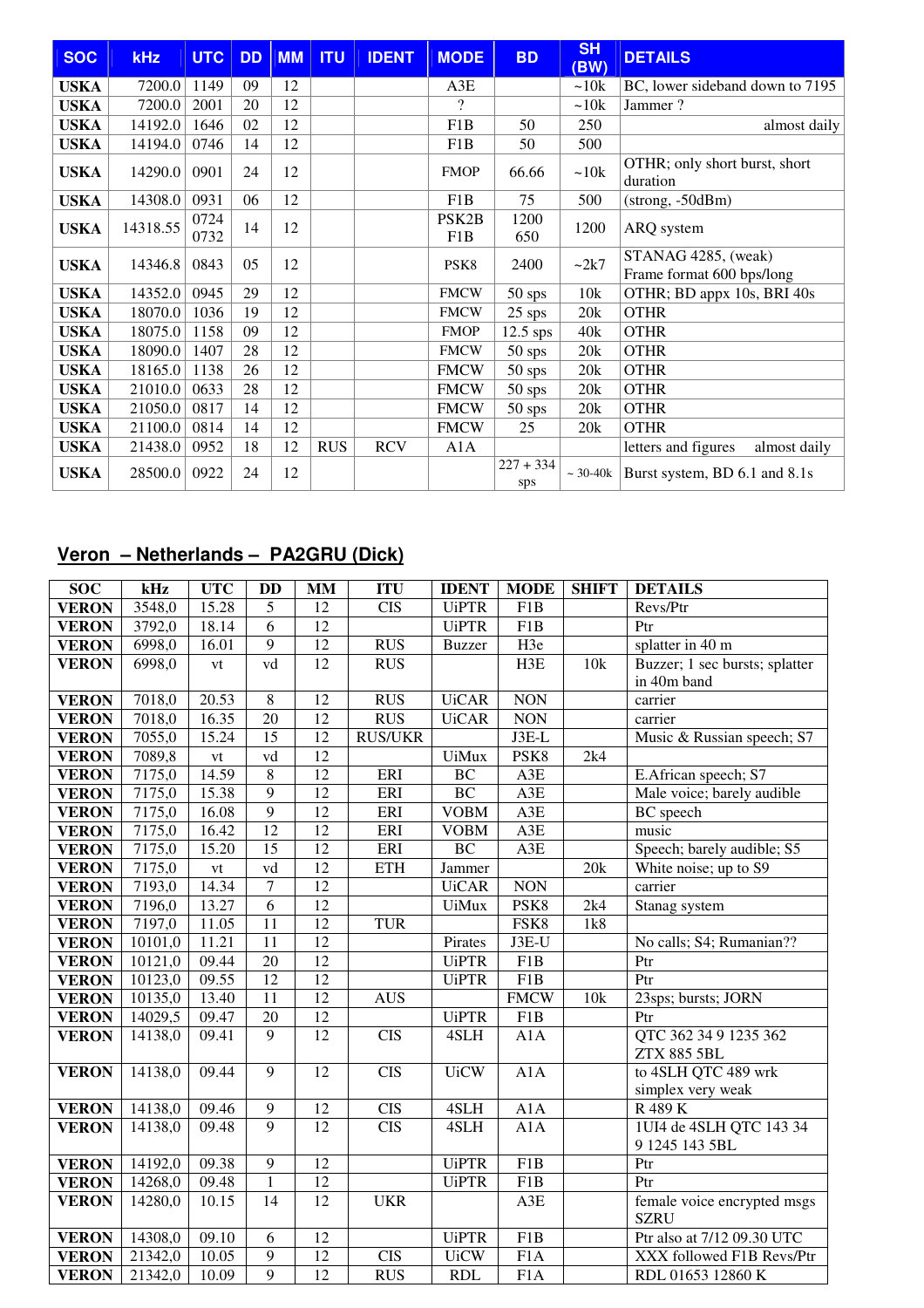| <b>SOC</b>  | <b>kHz</b> | <b>UTC</b>   | <b>DD</b> | <b>MM</b> | <b>ITU</b> | <b>IDENT</b> | <b>MODE</b>               | <b>BD</b>          | <b>SH</b><br>(BW) | <b>DETAILS</b>                                   |
|-------------|------------|--------------|-----------|-----------|------------|--------------|---------------------------|--------------------|-------------------|--------------------------------------------------|
| <b>USKA</b> | 7200.0     | 1149         | 09        | 12        |            |              | A3E                       |                    | ~10k              | BC, lower sideband down to 7195                  |
| <b>USKA</b> | 7200.0     | 2001         | 20        | 12        |            |              | $\gamma$                  |                    | ~10k              | Jammer?                                          |
| <b>USKA</b> | 14192.0    | 1646         | 02        | 12        |            |              | F1B                       | 50                 | 250               | almost daily                                     |
| <b>USKA</b> | 14194.0    | 0746         | 14        | 12        |            |              | F1B                       | 50                 | 500               |                                                  |
| <b>USKA</b> | 14290.0    | 0901         | 24        | 12        |            |              | <b>FMOP</b>               | 66.66              | ~10k              | OTHR; only short burst, short<br>duration        |
| <b>USKA</b> | 14308.0    | 0931         | 06        | 12        |            |              | F1B                       | 75                 | 500               | $(strong, -50dBm)$                               |
| <b>USKA</b> | 14318.55   | 0724<br>0732 | 14        | 12        |            |              | PSK <sub>2</sub> B<br>F1B | 1200<br>650        | 1200              | ARQ system                                       |
| <b>USKA</b> | 14346.8    | 0843         | 05        | 12        |            |              | PSK <sub>8</sub>          | 2400               | ~2k7              | STANAG 4285, (weak)<br>Frame format 600 bps/long |
| <b>USKA</b> | 14352.0    | 0945         | 29        | 12        |            |              | <b>FMCW</b>               | $50$ sps           | 10k               | OTHR; BD appx 10s, BRI 40s                       |
| <b>USKA</b> | 18070.0    | 1036         | 19        | 12        |            |              | <b>FMCW</b>               | $25$ sps           | 20k               | <b>OTHR</b>                                      |
| <b>USKA</b> | 18075.0    | 1158         | 09        | 12        |            |              | <b>FMOP</b>               | $12.5$ sps         | 40k               | <b>OTHR</b>                                      |
| <b>USKA</b> | 18090.0    | 1407         | 28        | 12        |            |              | <b>FMCW</b>               | $50$ sps           | 20k               | <b>OTHR</b>                                      |
| <b>USKA</b> | 18165.0    | 1138         | 26        | 12        |            |              | <b>FMCW</b>               | $50$ sps           | 20k               | <b>OTHR</b>                                      |
| <b>USKA</b> | 21010.0    | 0633         | 28        | 12        |            |              | <b>FMCW</b>               | $50$ sps           | 20k               | <b>OTHR</b>                                      |
| <b>USKA</b> | 21050.0    | 0817         | 14        | 12        |            |              | <b>FMCW</b>               | $50$ sps           | 20k               | <b>OTHR</b>                                      |
| <b>USKA</b> | 21100.0    | 0814         | 14        | 12        |            |              | <b>FMCW</b>               | 25                 | 20k               | <b>OTHR</b>                                      |
| <b>USKA</b> | 21438.0    | 0952         | 18        | 12        | <b>RUS</b> | <b>RCV</b>   | A1A                       |                    |                   | letters and figures<br>almost daily              |
| <b>USKA</b> | 28500.0    | 0922         | 24        | 12        |            |              |                           | $227 + 334$<br>sps | $~10-40k$         | Burst system, BD 6.1 and 8.1s                    |

## **Veron – Netherlands – PA2GRU (Dick)**

| <b>SOC</b>   | kHz     | <b>UTC</b>    | <b>DD</b>       | <b>MM</b>       | <b>ITU</b>       | <b>IDENT</b>  | <b>MODE</b>      | <b>SHIFT</b> | <b>DETAILS</b>                 |
|--------------|---------|---------------|-----------------|-----------------|------------------|---------------|------------------|--------------|--------------------------------|
| <b>VERON</b> | 3548,0  | 15.28         | 5               | 12              | <b>CIS</b>       | <b>UiPTR</b>  | F1B              |              | Revs/Ptr                       |
| <b>VERON</b> | 3792,0  | 18.14         | $\overline{6}$  | $\overline{12}$ |                  | <b>UiPTR</b>  | F1B              |              | Ptr                            |
| <b>VERON</b> | 6998,0  | 16.01         | $\overline{9}$  | 12              | <b>RUS</b>       | <b>Buzzer</b> | H3e              |              | splatter in 40 m               |
| <b>VERON</b> | 6998,0  | vt            | vd              | 12              | <b>RUS</b>       |               | H3E              | 10k          | Buzzer; 1 sec bursts; splatter |
|              |         |               |                 |                 |                  |               |                  |              | in 40m band                    |
| <b>VERON</b> | 7018,0  | 20.53         | $\overline{8}$  | $\overline{12}$ | <b>RUS</b>       | <b>UiCAR</b>  | <b>NON</b>       |              | carrier                        |
| <b>VERON</b> | 7018,0  | 16.35         | 20              | $\overline{12}$ | RUS              | <b>UiCAR</b>  | <b>NON</b>       |              | carrier                        |
| <b>VERON</b> | 7055,0  | 15.24         | 15              | 12              | <b>RUS/UKR</b>   |               | $J3E-L$          |              | Music & Russian speech; S7     |
| <b>VERON</b> | 7089,8  | $\mathrm{vt}$ | vd              | 12              |                  | <b>UiMux</b>  | PSK8             | 2k4          |                                |
| <b>VERON</b> | 7175,0  | 14.59         | $\overline{8}$  | $\overline{12}$ | ERI              | BC            | A3E              |              | E.African speech; S7           |
| <b>VERON</b> | 7175,0  | 15.38         | 9               | $\overline{12}$ | ERI              | BC            | A3E              |              | Male voice; barely audible     |
| <b>VERON</b> | 7175,0  | 16.08         | $\overline{9}$  | $\overline{12}$ | ERI              | <b>VOBM</b>   | A3E              |              | <b>BC</b> speech               |
| <b>VERON</b> | 7175,0  | 16.42         | $\overline{12}$ | 12              | ERI              | <b>VOBM</b>   | A3E              |              | music                          |
| <b>VERON</b> | 7175,0  | 15.20         | $\overline{15}$ | $\overline{12}$ | ERI              | BC            | A3E              |              | Speech; barely audible; S5     |
| <b>VERON</b> | 7175,0  | vt            | vd              | $\overline{12}$ | <b>ETH</b>       | Jammer        |                  | 20k          | White noise; up to S9          |
| <b>VERON</b> | 7193,0  | 14.34         | $\overline{7}$  | 12              |                  | <b>UiCAR</b>  | <b>NON</b>       |              | carrier                        |
| <b>VERON</b> | 7196,0  | 13.27         | $\overline{6}$  | $\overline{12}$ |                  | <b>UiMux</b>  | PSK <sub>8</sub> | 2k4          | Stanag system                  |
| <b>VERON</b> | 7197,0  | 11.05         | $\overline{11}$ | $\overline{12}$ | <b>TUR</b>       |               | FSK8             | 1k8          |                                |
| <b>VERON</b> | 10101,0 | 11.21         | 11              | $\overline{12}$ |                  | Pirates       | J3E-U            |              | No calls; S4; Rumanian??       |
| <b>VERON</b> | 10121,0 | 09.44         | 20              | $\overline{12}$ |                  | <b>UiPTR</b>  | F1B              |              | P <sub>tr</sub>                |
| <b>VERON</b> | 10123,0 | 09.55         | $\overline{12}$ | $\overline{12}$ |                  | <b>UiPTR</b>  | F1B              |              | Ptr                            |
| <b>VERON</b> | 10135,0 | 13.40         | 11              | 12              | <b>AUS</b>       |               | <b>FMCW</b>      | 10k          | 23sps; bursts; JORN            |
| <b>VERON</b> | 14029,5 | 09.47         | $\overline{20}$ | $\overline{12}$ |                  | <b>UiPTR</b>  | F1B              |              | Ptr                            |
| <b>VERON</b> | 14138,0 | 09.41         | $\overline{9}$  | $\overline{12}$ | $\overline{CIS}$ | 4SLH          | A1A              |              | QTC 362 34 9 1235 362          |
|              |         |               |                 |                 |                  |               |                  |              | <b>ZTX 885 5BL</b>             |
| <b>VERON</b> | 14138,0 | 09.44         | 9               | 12              | <b>CIS</b>       | <b>UiCW</b>   | A1A              |              | to 4SLH QTC 489 wrk            |
|              |         |               |                 |                 |                  |               |                  |              | simplex very weak              |
| <b>VERON</b> | 14138,0 | 09.46         | 9               | 12              | <b>CIS</b>       | 4SLH          | A1A              |              | R 489 K                        |
| <b>VERON</b> | 14138,0 | 09.48         | $\mathbf{Q}$    | 12              | <b>CIS</b>       | 4SLH          | A1A              |              | 1UI4 de 4SLH QTC 143 34        |
|              |         |               |                 |                 |                  |               |                  |              | 9 1245 143 5BL                 |
| <b>VERON</b> | 14192,0 | 09.38         | $\overline{9}$  | $\overline{12}$ |                  | <b>UiPTR</b>  | F1B              |              | Ptr                            |
| <b>VERON</b> | 14268,0 | 09.48         | $\overline{1}$  | $\overline{12}$ |                  | <b>UiPTR</b>  | F1B              |              | Ptr                            |
| <b>VERON</b> | 14280,0 | 10.15         | $\overline{14}$ | 12              | <b>UKR</b>       |               | A3E              |              | female voice encrypted msgs    |
|              |         |               |                 |                 |                  |               |                  |              | <b>SZRU</b>                    |
| <b>VERON</b> | 14308,0 | 09.10         | 6               | 12              |                  | <b>UiPTR</b>  | F1B              |              | Ptr also at 7/12 09.30 UTC     |
| <b>VERON</b> | 21342,0 | 10.05         | 9               | 12              | <b>CIS</b>       | <b>UiCW</b>   | F <sub>1</sub> A |              | XXX followed F1B Revs/Ptr      |
| <b>VERON</b> | 21342,0 | 10.09         | $\overline{9}$  | 12              | <b>RUS</b>       | <b>RDL</b>    | F1A              |              | RDL 01653 12860 K              |